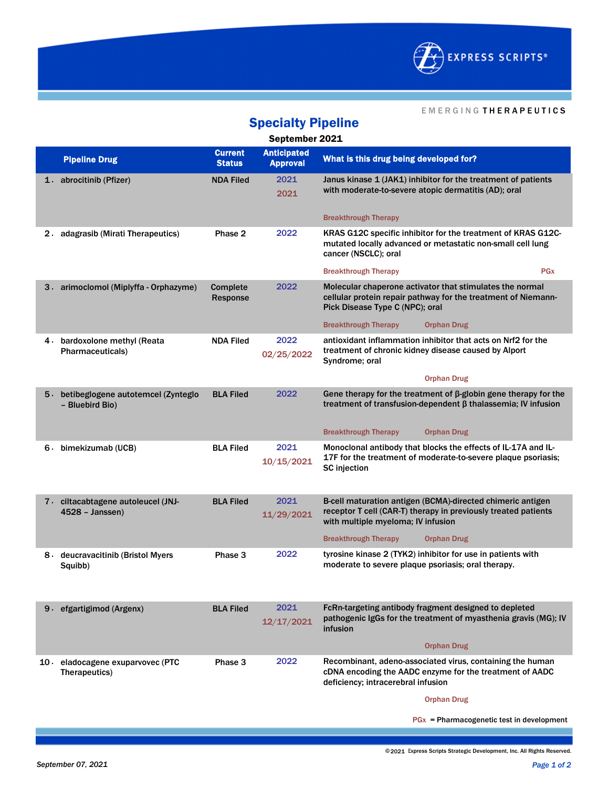

#### E M E R G I N G T H E R A P E U T I C S

| <b>Specialty Pipeline</b> |                                                          |                                 |                                       |                                                                                                                                                                    |  |  |  |
|---------------------------|----------------------------------------------------------|---------------------------------|---------------------------------------|--------------------------------------------------------------------------------------------------------------------------------------------------------------------|--|--|--|
| September 2021            |                                                          |                                 |                                       |                                                                                                                                                                    |  |  |  |
|                           | <b>Pipeline Drug</b>                                     | <b>Current</b><br><b>Status</b> | <b>Anticipated</b><br><b>Approval</b> | What is this drug being developed for?                                                                                                                             |  |  |  |
|                           | 1. abrocitinib (Pfizer)                                  | <b>NDA Filed</b>                | 2021<br>2021                          | Janus kinase 1 (JAK1) inhibitor for the treatment of patients<br>with moderate-to-severe atopic dermatitis (AD); oral                                              |  |  |  |
|                           |                                                          |                                 |                                       | <b>Breakthrough Therapy</b>                                                                                                                                        |  |  |  |
| 2.                        | adagrasib (Mirati Therapeutics)                          | Phase 2                         | 2022                                  | KRAS G12C specific inhibitor for the treatment of KRAS G12C-<br>mutated locally advanced or metastatic non-small cell lung<br>cancer (NSCLC); oral                 |  |  |  |
|                           |                                                          |                                 |                                       | <b>PG<sub>x</sub></b><br><b>Breakthrough Therapy</b>                                                                                                               |  |  |  |
| 3 -                       | arimoclomol (Miplyffa - Orphazyme)                       | <b>Complete</b><br>Response     | 2022                                  | Molecular chaperone activator that stimulates the normal<br>cellular protein repair pathway for the treatment of Niemann-<br>Pick Disease Type C (NPC); oral       |  |  |  |
|                           |                                                          |                                 |                                       | <b>Breakthrough Therapy</b><br><b>Orphan Drug</b>                                                                                                                  |  |  |  |
|                           | 4. bardoxolone methyl (Reata<br>Pharmaceuticals)         | <b>NDA Filed</b>                | 2022<br>02/25/2022                    | antioxidant inflammation inhibitor that acts on Nrf2 for the<br>treatment of chronic kidney disease caused by Alport<br>Syndrome: oral                             |  |  |  |
|                           |                                                          |                                 |                                       | <b>Orphan Drug</b>                                                                                                                                                 |  |  |  |
|                           | 5. betibeglogene autotemcel (Zynteglo<br>- Bluebird Bio) | <b>BLA Filed</b>                | 2022                                  | Gene therapy for the treatment of $\beta$ -globin gene therapy for the<br>treatment of transfusion-dependent $\beta$ thalassemia; IV infusion                      |  |  |  |
|                           |                                                          |                                 |                                       | <b>Breakthrough Therapy</b><br><b>Orphan Drug</b>                                                                                                                  |  |  |  |
|                           | 6. bimekizumab (UCB)                                     | <b>BLA Filed</b>                | 2021<br>10/15/2021                    | Monoclonal antibody that blocks the effects of IL-17A and IL-<br>17F for the treatment of moderate-to-severe plaque psoriasis;<br><b>SC</b> injection              |  |  |  |
|                           | 7. ciltacabtagene autoleucel (JNJ-<br>$4528 - Janssen)$  | <b>BLA Filed</b>                | 2021<br>11/29/2021                    | B-cell maturation antigen (BCMA)-directed chimeric antigen<br>receptor T cell (CAR-T) therapy in previously treated patients<br>with multiple myeloma; IV infusion |  |  |  |
|                           |                                                          |                                 |                                       | <b>Breakthrough Therapy</b><br><b>Orphan Drug</b>                                                                                                                  |  |  |  |
|                           | 8 deucravacitinib (Bristol Myers<br>Squibb)              | Phase 3                         | 2022                                  | tyrosine kinase 2 (TYK2) inhibitor for use in patients with<br>moderate to severe plaque psoriasis; oral therapy.                                                  |  |  |  |
|                           | 9. efgartigimod (Argenx)                                 | <b>BLA Filed</b>                | 2021<br>12/17/2021                    | FcRn-targeting antibody fragment designed to depleted<br>pathogenic IgGs for the treatment of myasthenia gravis (MG); IV<br>infusion                               |  |  |  |
|                           |                                                          |                                 |                                       | <b>Orphan Drug</b>                                                                                                                                                 |  |  |  |
| 10 -                      | eladocagene exuparvovec (PTC<br>Therapeutics)            | Phase 3                         | 2022                                  | Recombinant, adeno-associated virus, containing the human<br>cDNA encoding the AADC enzyme for the treatment of AADC<br>deficiency; intracerebral infusion         |  |  |  |
|                           |                                                          |                                 |                                       | <b>Orphan Drug</b>                                                                                                                                                 |  |  |  |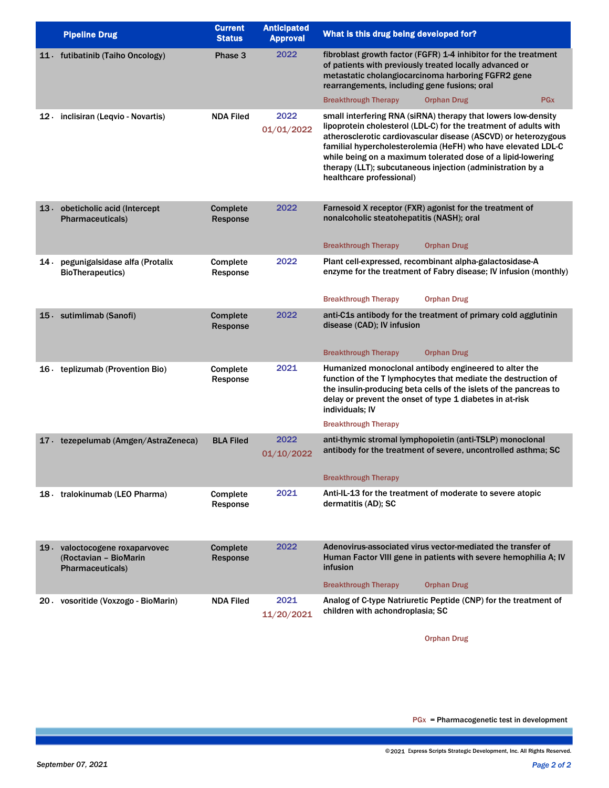|      | <b>Pipeline Drug</b>                                                               | <b>Current</b><br><b>Status</b> | <b>Anticipated</b><br><b>Approval</b> | What is this drug being developed for?                                                                                                                                                                                                                                                                                                                                                                                       |
|------|------------------------------------------------------------------------------------|---------------------------------|---------------------------------------|------------------------------------------------------------------------------------------------------------------------------------------------------------------------------------------------------------------------------------------------------------------------------------------------------------------------------------------------------------------------------------------------------------------------------|
|      | 11 futibatinib (Taiho Oncology)                                                    | Phase 3                         | 2022                                  | fibroblast growth factor (FGFR) 1-4 inhibitor for the treatment<br>of patients with previously treated locally advanced or<br>metastatic cholangiocarcinoma harboring FGFR2 gene<br>rearrangements, including gene fusions; oral                                                                                                                                                                                             |
|      |                                                                                    |                                 |                                       | <b>Breakthrough Therapy</b><br><b>Orphan Drug</b><br><b>PGx</b>                                                                                                                                                                                                                                                                                                                                                              |
|      | 12 inclisiran (Leqvio - Novartis)                                                  | <b>NDA Filed</b>                | 2022<br>01/01/2022                    | small interfering RNA (siRNA) therapy that lowers low-density<br>lipoprotein cholesterol (LDL-C) for the treatment of adults with<br>atherosclerotic cardiovascular disease (ASCVD) or heterozygous<br>familial hypercholesterolemia (HeFH) who have elevated LDL-C<br>while being on a maximum tolerated dose of a lipid-lowering<br>therapy (LLT); subcutaneous injection (administration by a<br>healthcare professional) |
|      | 13 obeticholic acid (Intercept<br>Pharmaceuticals)                                 | <b>Complete</b><br>Response     | 2022                                  | Farnesoid X receptor (FXR) agonist for the treatment of<br>nonalcoholic steatohepatitis (NASH); oral<br><b>Breakthrough Therapy</b><br><b>Orphan Drug</b>                                                                                                                                                                                                                                                                    |
| 14 - | pegunigalsidase alfa (Protalix<br><b>BioTherapeutics)</b>                          | Complete<br>Response            | 2022                                  | Plant cell-expressed, recombinant alpha-galactosidase-A<br>enzyme for the treatment of Fabry disease; IV infusion (monthly)<br><b>Breakthrough Therapy</b><br><b>Orphan Drug</b>                                                                                                                                                                                                                                             |
|      | 15. sutimlimab (Sanofi)                                                            | <b>Complete</b><br>Response     | 2022                                  | anti-C1s antibody for the treatment of primary cold agglutinin<br>disease (CAD); IV infusion                                                                                                                                                                                                                                                                                                                                 |
|      | 16 teplizumab (Provention Bio)                                                     | Complete<br>Response            | 2021                                  | <b>Breakthrough Therapy</b><br><b>Orphan Drug</b><br>Humanized monoclonal antibody engineered to alter the<br>function of the T lymphocytes that mediate the destruction of<br>the insulin-producing beta cells of the islets of the pancreas to<br>delay or prevent the onset of type 1 diabetes in at-risk<br>individuals; IV<br><b>Breakthrough Therapy</b>                                                               |
|      | 17 . tezepelumab (Amgen/AstraZeneca)                                               | <b>BLA Filed</b>                | 2022<br>01/10/2022                    | anti-thymic stromal lymphopoietin (anti-TSLP) monoclonal<br>antibody for the treatment of severe, uncontrolled asthma; SC<br><b>Breakthrough Therapy</b>                                                                                                                                                                                                                                                                     |
|      | 18 · tralokinumab (LEO Pharma)                                                     | Complete<br>Response            | 2021                                  | Anti-IL-13 for the treatment of moderate to severe atopic<br>dermatitis (AD); SC                                                                                                                                                                                                                                                                                                                                             |
|      | 19. valoctocogene roxaparvovec<br>(Roctavian - BioMarin<br><b>Pharmaceuticals)</b> | <b>Complete</b><br>Response     | 2022                                  | Adenovirus-associated virus vector-mediated the transfer of<br>Human Factor VIII gene in patients with severe hemophilia A; IV<br>infusion<br><b>Breakthrough Therapy</b><br><b>Orphan Drug</b>                                                                                                                                                                                                                              |
|      | 20 vosoritide (Voxzogo - BioMarin)                                                 | <b>NDA Filed</b>                | 2021<br>11/20/2021                    | Analog of C-type Natriuretic Peptide (CNP) for the treatment of<br>children with achondroplasia; SC                                                                                                                                                                                                                                                                                                                          |

Orphan Drug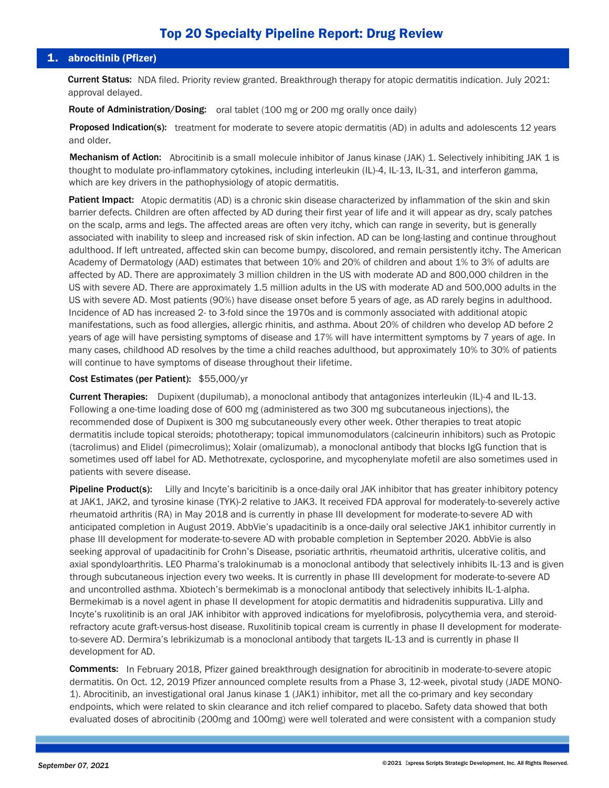# 1. abrocitinib (Pfizer)

Current Status: NDA filed. Priority review granted. Breakthrough therapy for atopic dermatitis indication. July 2021: approval delayed.

Route of Administration/Dosing: oral tablet (100 mg or 200 mg orally once daily)

Proposed Indication(s): treatment for moderate to severe atopic dermatitis (AD) in adults and adolescents 12 years and older.

Mechanism of Action: Abrocitinib is a small molecule inhibitor of Janus kinase (JAK) 1. Selectively inhibiting JAK 1 is thought to modulate pro-inflammatory cytokines, including interleukin (IL)-4, IL-13, IL-31, and interferon gamma, which are key drivers in the pathophysiology of atopic dermatitis.

Patient Impact: Atopic dermatitis (AD) is a chronic skin disease characterized by inflammation of the skin and skin barrier defects. Children are often affected by AD during their first year of life and it will appear as dry, scaly patches on the scalp, arms and legs. The affected areas are often very itchy, which can range in severity, but is generally associated with inability to sleep and increased risk of skin infection. AD can be long-lasting and continue throughout adulthood. If left untreated, affected skin can become bumpy, discolored, and remain persistently itchy. The American Academy of Dermatology (AAD) estimates that between 10% and 20% of children and about 1% to 3% of adults are affected by AD. There are approximately 3 million children in the US with moderate AD and 800,000 children in the US with severe AD. There are approximately 1.5 million adults in the US with moderate AD and 500,000 adults in the US with severe AD. Most patients (90%) have disease onset before 5 years of age, as AD rarely begins in adulthood. Incidence of AD has increased 2- to 3-fold since the 1970s and is commonly associated with additional atopic manifestations, such as food allergies, allergic rhinitis, and asthma. About 20% of children who develop AD before 2 years of age will have persisting symptoms of disease and 17% will have intermittent symptoms by 7 years of age. In many cases, childhood AD resolves by the time a child reaches adulthood, but approximately 10% to 30% of patients will continue to have symptoms of disease throughout their lifetime.

# Cost Estimates (per Patient): \$55,000/yr

Current Therapies: Dupixent (dupilumab), a monoclonal antibody that antagonizes interleukin (IL)-4 and IL-13. Following a one-time loading dose of 600 mg (administered as two 300 mg subcutaneous injections), the recommended dose of Dupixent is 300 mg subcutaneously every other week. Other therapies to treat atopic dermatitis include topical steroids; phototherapy; topical immunomodulators (calcineurin inhibitors) such as Protopic (tacrolimus) and Elidel (pimecrolimus); Xolair (omalizumab), a monoclonal antibody that blocks IgG function that is sometimes used off label for AD. Methotrexate, cyclosporine, and mycophenylate mofetil are also sometimes used in patients with severe disease.

Pipeline Product(s): Lilly and Incyte's baricitinib is a once-daily oral JAK inhibitor that has greater inhibitory potency at JAK1, JAK2, and tyrosine kinase (TYK)-2 relative to JAK3. It received FDA approval for moderately-to-severely active rheumatoid arthritis (RA) in May 2018 and is currently in phase III development for moderate-to-severe AD with anticipated completion in August 2019. AbbVie's upadacitinib is a once-daily oral selective JAK1 inhibitor currently in phase III development for moderate-to-severe AD with probable completion in September 2020. AbbVie is also seeking approval of upadacitinib for Crohn's Disease, psoriatic arthritis, rheumatoid arthritis, ulcerative colitis, and axial spondyloarthritis. LEO Pharma's tralokinumab is a monoclonal antibody that selectively inhibits IL-13 and is given through subcutaneous injection every two weeks. It is currently in phase III development for moderate-to-severe AD and uncontrolled asthma. Xbiotech's bermekimab is a monoclonal antibody that selectively inhibits IL-1-alpha. Bermekimab is a novel agent in phase II development for atopic dermatitis and hidradenitis suppurativa. Lilly and Incyte's ruxolitinib is an oral JAK inhibitor with approved indications for myelofibrosis, polycythemia vera, and steroidrefractory acute graft-versus-host disease. Ruxolitinib topical cream is currently in phase II development for moderateto-severe AD. Dermira's lebrikizumab is a monoclonal antibody that targets IL-13 and is currently in phase II development for AD.

Comments: In February 2018, Pfizer gained breakthrough designation for abrocitinib in moderate-to-severe atopic dermatitis. On Oct. 12, 2019 Pfizer announced complete results from a Phase 3, 12-week, pivotal study (JADE MONO-1). Abrocitinib, an investigational oral Janus kinase 1 (JAK1) inhibitor, met all the co-primary and key secondary endpoints, which were related to skin clearance and itch relief compared to placebo. Safety data showed that both evaluated doses of abrocitinib (200mg and 100mg) were well tolerated and were consistent with a companion study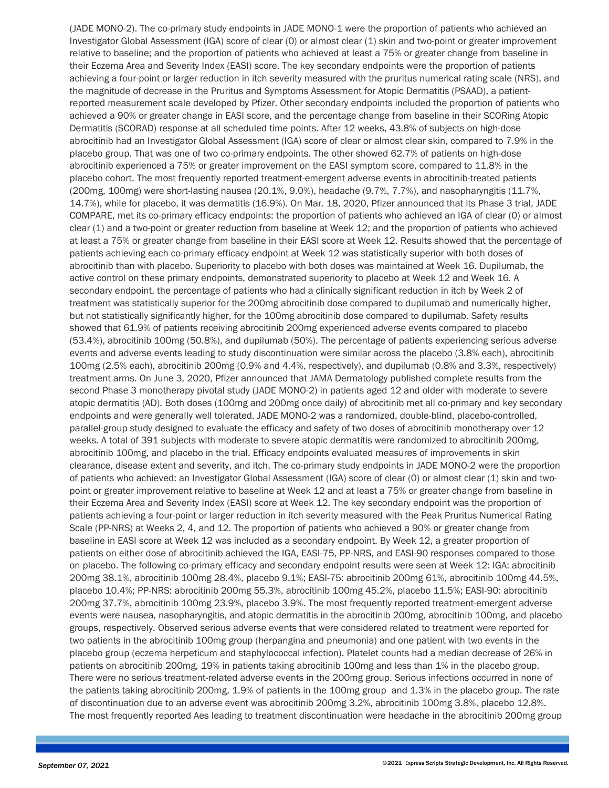(JADE MONO-2). The co-primary study endpoints in JADE MONO-1 were the proportion of patients who achieved an Investigator Global Assessment (IGA) score of clear (0) or almost clear (1) skin and two-point or greater improvement relative to baseline; and the proportion of patients who achieved at least a 75% or greater change from baseline in their Eczema Area and Severity Index (EASI) score. The key secondary endpoints were the proportion of patients achieving a four-point or larger reduction in itch severity measured with the pruritus numerical rating scale (NRS), and the magnitude of decrease in the Pruritus and Symptoms Assessment for Atopic Dermatitis (PSAAD), a patientreported measurement scale developed by Pfizer. Other secondary endpoints included the proportion of patients who achieved a 90% or greater change in EASI score, and the percentage change from baseline in their SCORing Atopic Dermatitis (SCORAD) response at all scheduled time points. After 12 weeks, 43.8% of subjects on high-dose abrocitinib had an Investigator Global Assessment (IGA) score of clear or almost clear skin, compared to 7.9% in the placebo group. That was one of two co-primary endpoints. The other showed 62.7% of patients on high-dose abrocitinib experienced a 75% or greater improvement on the EASI symptom score, compared to 11.8% in the placebo cohort. The most frequently reported treatment-emergent adverse events in abrocitinib-treated patients (200mg, 100mg) were short-lasting nausea (20.1%, 9.0%), headache (9.7%, 7.7%), and nasopharyngitis (11.7%, 14.7%), while for placebo, it was dermatitis (16.9%). On Mar. 18, 2020, Pfizer announced that its Phase 3 trial, JADE COMPARE, met its co-primary efficacy endpoints: the proportion of patients who achieved an IGA of clear (0) or almost clear (1) and a two-point or greater reduction from baseline at Week 12; and the proportion of patients who achieved at least a 75% or greater change from baseline in their EASI score at Week 12. Results showed that the percentage of patients achieving each co-primary efficacy endpoint at Week 12 was statistically superior with both doses of abrocitinib than with placebo. Superiority to placebo with both doses was maintained at Week 16. Dupilumab, the active control on these primary endpoints, demonstrated superiority to placebo at Week 12 and Week 16. A secondary endpoint, the percentage of patients who had a clinically significant reduction in itch by Week 2 of treatment was statistically superior for the 200mg abrocitinib dose compared to dupilumab and numerically higher, but not statistically significantly higher, for the 100mg abrocitinib dose compared to dupilumab. Safety results showed that 61.9% of patients receiving abrocitinib 200mg experienced adverse events compared to placebo (53.4%), abrocitinib 100mg (50.8%), and dupilumab (50%). The percentage of patients experiencing serious adverse events and adverse events leading to study discontinuation were similar across the placebo (3.8% each), abrocitinib 100mg (2.5% each), abrocitinib 200mg (0.9% and 4.4%, respectively), and dupilumab (0.8% and 3.3%, respectively) treatment arms. On June 3, 2020, Pfizer announced that JAMA Dermatology published complete results from the second Phase 3 monotherapy pivotal study (JADE MONO-2) in patients aged 12 and older with moderate to severe atopic dermatitis (AD). Both doses (100mg and 200mg once daily) of abrocitinib met all co-primary and key secondary endpoints and were generally well tolerated. JADE MONO-2 was a randomized, double-blind, placebo-controlled, parallel-group study designed to evaluate the efficacy and safety of two doses of abrocitinib monotherapy over 12 weeks. A total of 391 subjects with moderate to severe atopic dermatitis were randomized to abrocitinib 200mg, abrocitinib 100mg, and placebo in the trial. Efficacy endpoints evaluated measures of improvements in skin clearance, disease extent and severity, and itch. The co-primary study endpoints in JADE MONO-2 were the proportion of patients who achieved: an Investigator Global Assessment (IGA) score of clear (0) or almost clear (1) skin and twopoint or greater improvement relative to baseline at Week 12 and at least a 75% or greater change from baseline in their Eczema Area and Severity Index (EASI) score at Week 12. The key secondary endpoint was the proportion of patients achieving a four-point or larger reduction in itch severity measured with the Peak Pruritus Numerical Rating Scale (PP-NRS) at Weeks 2, 4, and 12. The proportion of patients who achieved a 90% or greater change from baseline in EASI score at Week 12 was included as a secondary endpoint. By Week 12, a greater proportion of patients on either dose of abrocitinib achieved the IGA, EASI-75, PP-NRS, and EASI-90 responses compared to those on placebo. The following co-primary efficacy and secondary endpoint results were seen at Week 12: IGA: abrocitinib 200mg 38.1%, abrocitinib 100mg 28.4%, placebo 9.1%; EASI-75: abrocitinib 200mg 61%, abrocitinib 100mg 44.5%, placebo 10.4%; PP-NRS: abrocitinib 200mg 55.3%, abrocitinib 100mg 45.2%, placebo 11.5%; EASI-90: abrocitinib 200mg 37.7%, abrocitinib 100mg 23.9%, placebo 3.9%. The most frequently reported treatment-emergent adverse events were nausea, nasopharyngitis, and atopic dermatitis in the abrocitinib 200mg, abrocitinib 100mg, and placebo groups, respectively. Observed serious adverse events that were considered related to treatment were reported for two patients in the abrocitinib 100mg group (herpangina and pneumonia) and one patient with two events in the placebo group (eczema herpeticum and staphylococcal infection). Platelet counts had a median decrease of 26% in patients on abrocitinib 200mg, 19% in patients taking abrocitinib 100mg and less than 1% in the placebo group. There were no serious treatment-related adverse events in the 200mg group. Serious infections occurred in none of the patients taking abrocitinib 200mg, 1.9% of patients in the 100mg group and 1.3% in the placebo group. The rate of discontinuation due to an adverse event was abrocitinib 200mg 3.2%, abrocitinib 100mg 3.8%, placebo 12.8%. The most frequently reported Aes leading to treatment discontinuation were headache in the abrocitinib 200mg group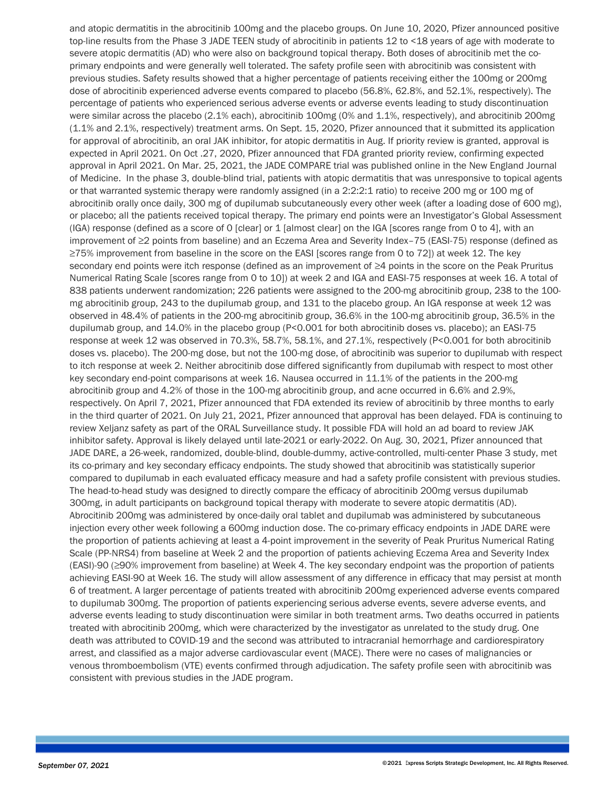and atopic dermatitis in the abrocitinib 100mg and the placebo groups. On June 10, 2020, Pfizer announced positive top-line results from the Phase 3 JADE TEEN study of abrocitinib in patients 12 to <18 years of age with moderate to severe atopic dermatitis (AD) who were also on background topical therapy. Both doses of abrocitinib met the coprimary endpoints and were generally well tolerated. The safety profile seen with abrocitinib was consistent with previous studies. Safety results showed that a higher percentage of patients receiving either the 100mg or 200mg dose of abrocitinib experienced adverse events compared to placebo (56.8%, 62.8%, and 52.1%, respectively). The percentage of patients who experienced serious adverse events or adverse events leading to study discontinuation were similar across the placebo (2.1% each), abrocitinib 100mg (0% and 1.1%, respectively), and abrocitinib 200mg (1.1% and 2.1%, respectively) treatment arms. On Sept. 15, 2020, Pfizer announced that it submitted its application for approval of abrocitinib, an oral JAK inhibitor, for atopic dermatitis in Aug. If priority review is granted, approval is expected in April 2021. On Oct .27, 2020, Pfizer announced that FDA granted priority review, confirming expected approval in April 2021. On Mar. 25, 2021, the JADE COMPARE trial was published online in the New England Journal of Medicine. In the phase 3, double-blind trial, patients with atopic dermatitis that was unresponsive to topical agents or that warranted systemic therapy were randomly assigned (in a 2:2:2:1 ratio) to receive 200 mg or 100 mg of abrocitinib orally once daily, 300 mg of dupilumab subcutaneously every other week (after a loading dose of 600 mg), or placebo; all the patients received topical therapy. The primary end points were an Investigator's Global Assessment (IGA) response (defined as a score of 0 [clear] or 1 [almost clear] on the IGA [scores range from 0 to 4], with an improvement of ≥2 points from baseline) and an Eczema Area and Severity Index–75 (EASI-75) response (defined as ≥75% improvement from baseline in the score on the EASI [scores range from 0 to 72]) at week 12. The key secondary end points were itch response (defined as an improvement of ≥4 points in the score on the Peak Pruritus Numerical Rating Scale [scores range from 0 to 10]) at week 2 and IGA and EASI-75 responses at week 16. A total of 838 patients underwent randomization; 226 patients were assigned to the 200-mg abrocitinib group, 238 to the 100 mg abrocitinib group, 243 to the dupilumab group, and 131 to the placebo group. An IGA response at week 12 was observed in 48.4% of patients in the 200-mg abrocitinib group, 36.6% in the 100-mg abrocitinib group, 36.5% in the dupilumab group, and 14.0% in the placebo group (P<0.001 for both abrocitinib doses vs. placebo); an EASI-75 response at week 12 was observed in 70.3%, 58.7%, 58.1%, and 27.1%, respectively (P<0.001 for both abrocitinib doses vs. placebo). The 200-mg dose, but not the 100-mg dose, of abrocitinib was superior to dupilumab with respect to itch response at week 2. Neither abrocitinib dose differed significantly from dupilumab with respect to most other key secondary end-point comparisons at week 16. Nausea occurred in 11.1% of the patients in the 200-mg abrocitinib group and 4.2% of those in the 100-mg abrocitinib group, and acne occurred in 6.6% and 2.9%, respectively. On April 7, 2021, Pfizer announced that FDA extended its review of abrocitinib by three months to early in the third quarter of 2021. On July 21, 2021, Pfizer announced that approval has been delayed. FDA is continuing to review Xeljanz safety as part of the ORAL Surveillance study. It possible FDA will hold an ad board to review JAK inhibitor safety. Approval is likely delayed until late-2021 or early-2022. On Aug. 30, 2021, Pfizer announced that JADE DARE, a 26-week, randomized, double-blind, double-dummy, active-controlled, multi-center Phase 3 study, met its co-primary and key secondary efficacy endpoints. The study showed that abrocitinib was statistically superior compared to dupilumab in each evaluated efficacy measure and had a safety profile consistent with previous studies. The head-to-head study was designed to directly compare the efficacy of abrocitinib 200mg versus dupilumab 300mg, in adult participants on background topical therapy with moderate to severe atopic dermatitis (AD). Abrocitinib 200mg was administered by once-daily oral tablet and dupilumab was administered by subcutaneous injection every other week following a 600mg induction dose. The co-primary efficacy endpoints in JADE DARE were the proportion of patients achieving at least a 4-point improvement in the severity of Peak Pruritus Numerical Rating Scale (PP-NRS4) from baseline at Week 2 and the proportion of patients achieving Eczema Area and Severity Index (EASI)-90 (≥90% improvement from baseline) at Week 4. The key secondary endpoint was the proportion of patients achieving EASI-90 at Week 16. The study will allow assessment of any difference in efficacy that may persist at month 6 of treatment. A larger percentage of patients treated with abrocitinib 200mg experienced adverse events compared to dupilumab 300mg. The proportion of patients experiencing serious adverse events, severe adverse events, and adverse events leading to study discontinuation were similar in both treatment arms. Two deaths occurred in patients treated with abrocitinib 200mg, which were characterized by the investigator as unrelated to the study drug. One death was attributed to COVID-19 and the second was attributed to intracranial hemorrhage and cardiorespiratory arrest, and classified as a major adverse cardiovascular event (MACE). There were no cases of malignancies or venous thromboembolism (VTE) events confirmed through adjudication. The safety profile seen with abrocitinib was consistent with previous studies in the JADE program.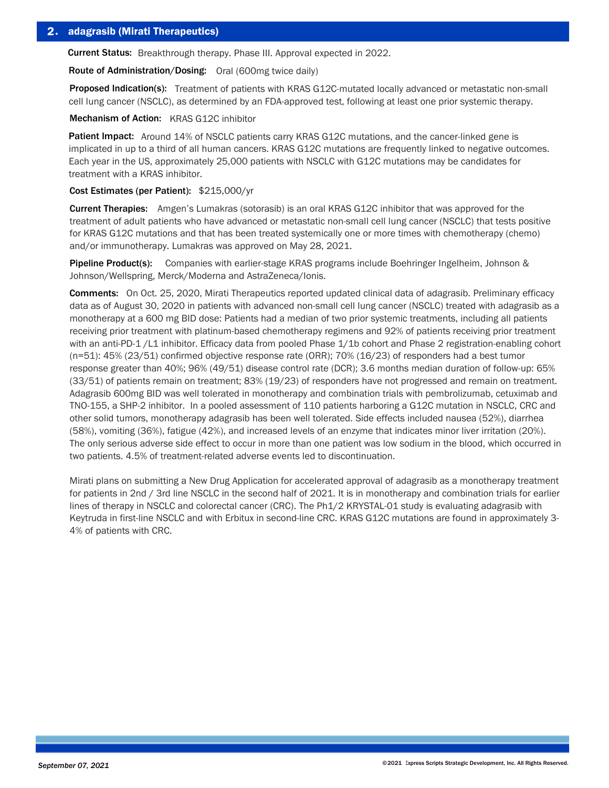Current Status: Breakthrough therapy. Phase III. Approval expected in 2022.

Route of Administration/Dosing: Oral (600mg twice daily)

Proposed Indication(s): Treatment of patients with KRAS G12C-mutated locally advanced or metastatic non-small cell lung cancer (NSCLC), as determined by an FDA-approved test, following at least one prior systemic therapy.

Mechanism of Action: KRAS G12C inhibitor

Patient Impact: Around 14% of NSCLC patients carry KRAS G12C mutations, and the cancer-linked gene is implicated in up to a third of all human cancers. KRAS G12C mutations are frequently linked to negative outcomes. Each year in the US, approximately 25,000 patients with NSCLC with G12C mutations may be candidates for treatment with a KRAS inhibitor.

#### Cost Estimates (per Patient): \$215,000/yr

Current Therapies: Amgen's Lumakras (sotorasib) is an oral KRAS G12C inhibitor that was approved for the treatment of adult patients who have advanced or metastatic non-small cell lung cancer (NSCLC) that tests positive for KRAS G12C mutations and that has been treated systemically one or more times with chemotherapy (chemo) and/or immunotherapy. Lumakras was approved on May 28, 2021.

Pipeline Product(s): Companies with earlier-stage KRAS programs include Boehringer Ingelheim, Johnson & Johnson/Wellspring, Merck/Moderna and AstraZeneca/Ionis.

Comments: On Oct. 25, 2020, Mirati Therapeutics reported updated clinical data of adagrasib. Preliminary efficacy data as of August 30, 2020 in patients with advanced non-small cell lung cancer (NSCLC) treated with adagrasib as a monotherapy at a 600 mg BID dose: Patients had a median of two prior systemic treatments, including all patients receiving prior treatment with platinum-based chemotherapy regimens and 92% of patients receiving prior treatment with an anti-PD-1/L1 inhibitor. Efficacy data from pooled Phase 1/1b cohort and Phase 2 registration-enabling cohort (n=51): 45% (23/51) confirmed objective response rate (ORR); 70% (16/23) of responders had a best tumor response greater than 40%; 96% (49/51) disease control rate (DCR); 3.6 months median duration of follow-up: 65% (33/51) of patients remain on treatment; 83% (19/23) of responders have not progressed and remain on treatment. Adagrasib 600mg BID was well tolerated in monotherapy and combination trials with pembrolizumab, cetuximab and TNO-155, a SHP-2 inhibitor. In a pooled assessment of 110 patients harboring a G12C mutation in NSCLC, CRC and other solid tumors, monotherapy adagrasib has been well tolerated. Side effects included nausea (52%), diarrhea (58%), vomiting (36%), fatigue (42%), and increased levels of an enzyme that indicates minor liver irritation (20%). The only serious adverse side effect to occur in more than one patient was low sodium in the blood, which occurred in two patients. 4.5% of treatment-related adverse events led to discontinuation.

Mirati plans on submitting a New Drug Application for accelerated approval of adagrasib as a monotherapy treatment for patients in 2nd / 3rd line NSCLC in the second half of 2021. It is in monotherapy and combination trials for earlier lines of therapy in NSCLC and colorectal cancer (CRC). The Ph1/2 KRYSTAL-01 study is evaluating adagrasib with Keytruda in first-line NSCLC and with Erbitux in second-line CRC. KRAS G12C mutations are found in approximately 3- 4% of patients with CRC.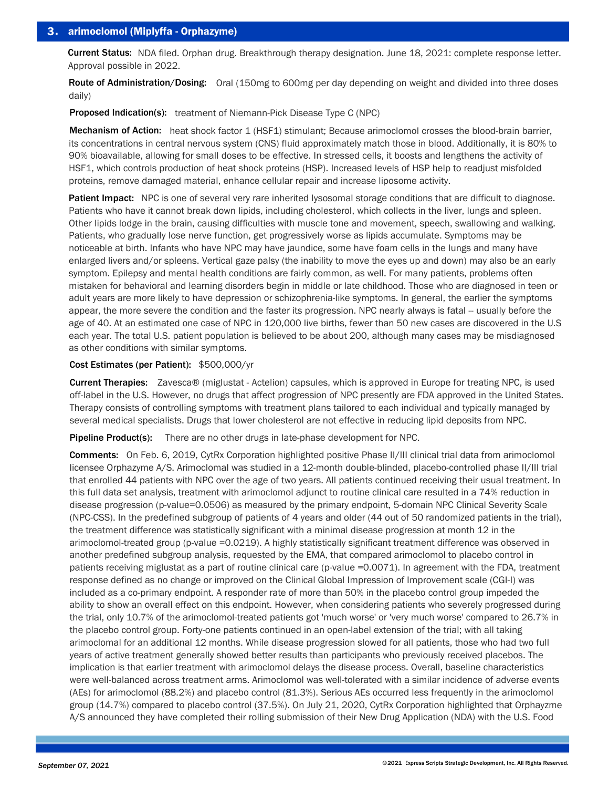Current Status: NDA filed. Orphan drug. Breakthrough therapy designation. June 18, 2021: complete response letter. Approval possible in 2022.

Route of Administration/Dosing: Oral (150mg to 600mg per day depending on weight and divided into three doses daily)

**Proposed Indication(s):** treatment of Niemann-Pick Disease Type C (NPC)

Mechanism of Action: heat shock factor 1 (HSF1) stimulant; Because arimoclomol crosses the blood-brain barrier, its concentrations in central nervous system (CNS) fluid approximately match those in blood. Additionally, it is 80% to 90% bioavailable, allowing for small doses to be effective. In stressed cells, it boosts and lengthens the activity of HSF1, which controls production of heat shock proteins (HSP). Increased levels of HSP help to readjust misfolded proteins, remove damaged material, enhance cellular repair and increase liposome activity.

Patient Impact: NPC is one of several very rare inherited lysosomal storage conditions that are difficult to diagnose. Patients who have it cannot break down lipids, including cholesterol, which collects in the liver, lungs and spleen. Other lipids lodge in the brain, causing difficulties with muscle tone and movement, speech, swallowing and walking. Patients, who gradually lose nerve function, get progressively worse as lipids accumulate. Symptoms may be noticeable at birth. Infants who have NPC may have jaundice, some have foam cells in the lungs and many have enlarged livers and/or spleens. Vertical gaze palsy (the inability to move the eyes up and down) may also be an early symptom. Epilepsy and mental health conditions are fairly common, as well. For many patients, problems often mistaken for behavioral and learning disorders begin in middle or late childhood. Those who are diagnosed in teen or adult years are more likely to have depression or schizophrenia-like symptoms. In general, the earlier the symptoms appear, the more severe the condition and the faster its progression. NPC nearly always is fatal -- usually before the age of 40. At an estimated one case of NPC in 120,000 live births, fewer than 50 new cases are discovered in the U.S each year. The total U.S. patient population is believed to be about 200, although many cases may be misdiagnosed as other conditions with similar symptoms.

## Cost Estimates (per Patient): \$500,000/yr

Current Therapies: Zavesca® (miglustat - Actelion) capsules, which is approved in Europe for treating NPC, is used off-label in the U.S. However, no drugs that affect progression of NPC presently are FDA approved in the United States. Therapy consists of controlling symptoms with treatment plans tailored to each individual and typically managed by several medical specialists. Drugs that lower cholesterol are not effective in reducing lipid deposits from NPC.

**Pipeline Product(s):** There are no other drugs in late-phase development for NPC.

Comments: On Feb. 6, 2019, CytRx Corporation highlighted positive Phase II/III clinical trial data from arimoclomol licensee Orphazyme A/S. Arimoclomal was studied in a 12-month double-blinded, placebo-controlled phase II/III trial that enrolled 44 patients with NPC over the age of two years. All patients continued receiving their usual treatment. In this full data set analysis, treatment with arimoclomol adjunct to routine clinical care resulted in a 74% reduction in disease progression (p-value=0.0506) as measured by the primary endpoint, 5-domain NPC Clinical Severity Scale (NPC-CSS). In the predefined subgroup of patients of 4 years and older (44 out of 50 randomized patients in the trial), the treatment difference was statistically significant with a minimal disease progression at month 12 in the arimoclomol-treated group (p-value =0.0219). A highly statistically significant treatment difference was observed in another predefined subgroup analysis, requested by the EMA, that compared arimoclomol to placebo control in patients receiving miglustat as a part of routine clinical care (p-value =0.0071). In agreement with the FDA, treatment response defined as no change or improved on the Clinical Global Impression of Improvement scale (CGI-I) was included as a co-primary endpoint. A responder rate of more than 50% in the placebo control group impeded the ability to show an overall effect on this endpoint. However, when considering patients who severely progressed during the trial, only 10.7% of the arimoclomol-treated patients got 'much worse' or 'very much worse' compared to 26.7% in the placebo control group. Forty-one patients continued in an open-label extension of the trial; with all taking arimoclomal for an additional 12 months. While disease progression slowed for all patients, those who had two full years of active treatment generally showed better results than participants who previously received placebos. The implication is that earlier treatment with arimoclomol delays the disease process. Overall, baseline characteristics were well-balanced across treatment arms. Arimoclomol was well-tolerated with a similar incidence of adverse events (AEs) for arimoclomol (88.2%) and placebo control (81.3%). Serious AEs occurred less frequently in the arimoclomol group (14.7%) compared to placebo control (37.5%). On July 21, 2020, CytRx Corporation highlighted that Orphayzme A/S announced they have completed their rolling submission of their New Drug Application (NDA) with the U.S. Food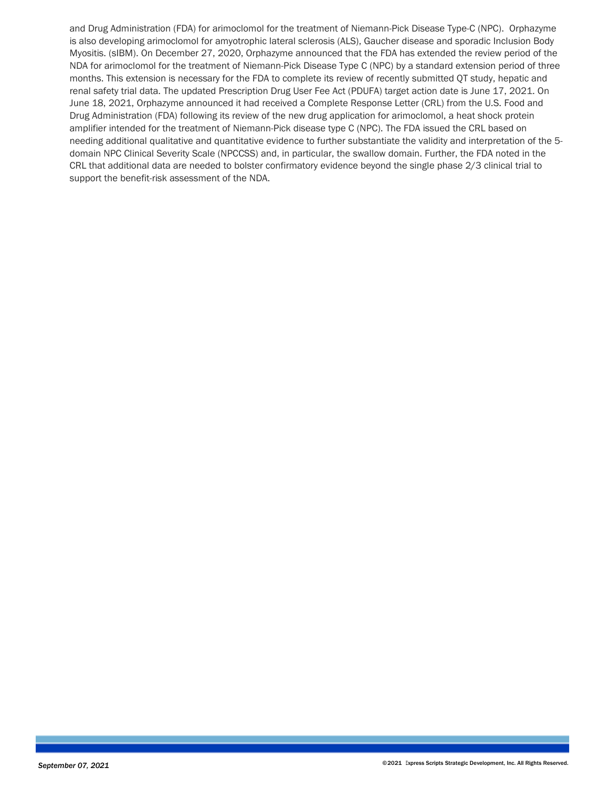and Drug Administration (FDA) for arimoclomol for the treatment of Niemann-Pick Disease Type-C (NPC). Orphazyme is also developing arimoclomol for amyotrophic lateral sclerosis (ALS), Gaucher disease and sporadic Inclusion Body Myositis. (sIBM). On December 27, 2020, Orphazyme announced that the FDA has extended the review period of the NDA for arimoclomol for the treatment of Niemann-Pick Disease Type C (NPC) by a standard extension period of three months. This extension is necessary for the FDA to complete its review of recently submitted QT study, hepatic and renal safety trial data. The updated Prescription Drug User Fee Act (PDUFA) target action date is June 17, 2021. On June 18, 2021, Orphazyme announced it had received a Complete Response Letter (CRL) from the U.S. Food and Drug Administration (FDA) following its review of the new drug application for arimoclomol, a heat shock protein amplifier intended for the treatment of Niemann-Pick disease type C (NPC). The FDA issued the CRL based on needing additional qualitative and quantitative evidence to further substantiate the validity and interpretation of the 5 domain NPC Clinical Severity Scale (NPCCSS) and, in particular, the swallow domain. Further, the FDA noted in the CRL that additional data are needed to bolster confirmatory evidence beyond the single phase 2/3 clinical trial to support the benefit-risk assessment of the NDA.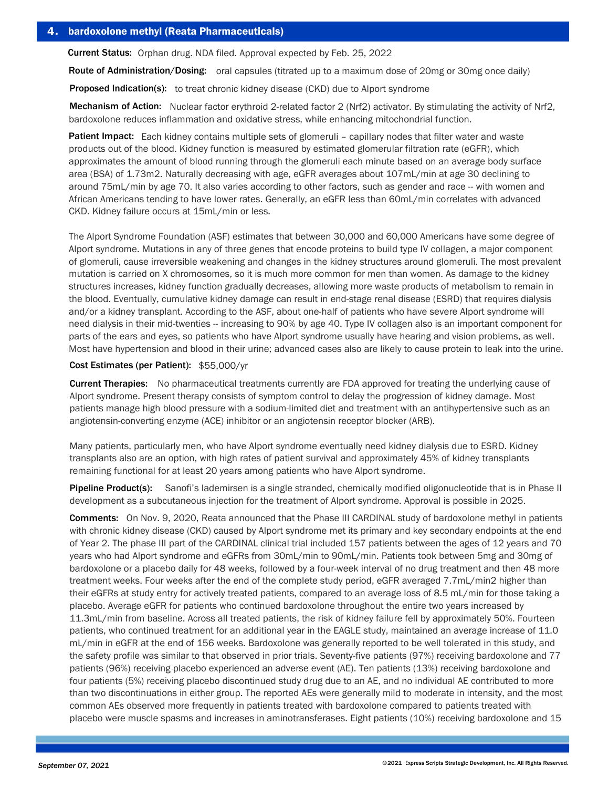Current Status: Orphan drug. NDA filed. Approval expected by Feb. 25, 2022

Route of Administration/Dosing: oral capsules (titrated up to a maximum dose of 20mg or 30mg once daily)

**Proposed Indication(s):** to treat chronic kidney disease (CKD) due to Alport syndrome

Mechanism of Action: Nuclear factor erythroid 2-related factor 2 (Nrf2) activator. By stimulating the activity of Nrf2, bardoxolone reduces inflammation and oxidative stress, while enhancing mitochondrial function.

Patient Impact: Each kidney contains multiple sets of glomeruli - capillary nodes that filter water and waste products out of the blood. Kidney function is measured by estimated glomerular filtration rate (eGFR), which approximates the amount of blood running through the glomeruli each minute based on an average body surface area (BSA) of 1.73m2. Naturally decreasing with age, eGFR averages about 107mL/min at age 30 declining to around 75mL/min by age 70. It also varies according to other factors, such as gender and race -- with women and African Americans tending to have lower rates. Generally, an eGFR less than 60mL/min correlates with advanced CKD. Kidney failure occurs at 15mL/min or less.

The Alport Syndrome Foundation (ASF) estimates that between 30,000 and 60,000 Americans have some degree of Alport syndrome. Mutations in any of three genes that encode proteins to build type IV collagen, a major component of glomeruli, cause irreversible weakening and changes in the kidney structures around glomeruli. The most prevalent mutation is carried on X chromosomes, so it is much more common for men than women. As damage to the kidney structures increases, kidney function gradually decreases, allowing more waste products of metabolism to remain in the blood. Eventually, cumulative kidney damage can result in end-stage renal disease (ESRD) that requires dialysis and/or a kidney transplant. According to the ASF, about one-half of patients who have severe Alport syndrome will need dialysis in their mid-twenties -- increasing to 90% by age 40. Type IV collagen also is an important component for parts of the ears and eyes, so patients who have Alport syndrome usually have hearing and vision problems, as well. Most have hypertension and blood in their urine; advanced cases also are likely to cause protein to leak into the urine.

## Cost Estimates (per Patient): \$55,000/yr

Current Therapies: No pharmaceutical treatments currently are FDA approved for treating the underlying cause of Alport syndrome. Present therapy consists of symptom control to delay the progression of kidney damage. Most patients manage high blood pressure with a sodium-limited diet and treatment with an antihypertensive such as an angiotensin-converting enzyme (ACE) inhibitor or an angiotensin receptor blocker (ARB).

Many patients, particularly men, who have Alport syndrome eventually need kidney dialysis due to ESRD. Kidney transplants also are an option, with high rates of patient survival and approximately 45% of kidney transplants remaining functional for at least 20 years among patients who have Alport syndrome.

Pipeline Product(s): Sanofi's lademirsen is a single stranded, chemically modified oligonucleotide that is in Phase II development as a subcutaneous injection for the treatment of Alport syndrome. Approval is possible in 2025.

Comments: On Nov. 9, 2020, Reata announced that the Phase III CARDINAL study of bardoxolone methyl in patients with chronic kidney disease (CKD) caused by Alport syndrome met its primary and key secondary endpoints at the end of Year 2. The phase III part of the CARDINAL clinical trial included 157 patients between the ages of 12 years and 70 years who had Alport syndrome and eGFRs from 30mL/min to 90mL/min. Patients took between 5mg and 30mg of bardoxolone or a placebo daily for 48 weeks, followed by a four-week interval of no drug treatment and then 48 more treatment weeks. Four weeks after the end of the complete study period, eGFR averaged 7.7mL/min2 higher than their eGFRs at study entry for actively treated patients, compared to an average loss of 8.5 mL/min for those taking a placebo. Average eGFR for patients who continued bardoxolone throughout the entire two years increased by 11.3mL/min from baseline. Across all treated patients, the risk of kidney failure fell by approximately 50%. Fourteen patients, who continued treatment for an additional year in the EAGLE study, maintained an average increase of 11.0 mL/min in eGFR at the end of 156 weeks. Bardoxolone was generally reported to be well tolerated in this study, and the safety profile was similar to that observed in prior trials. Seventy-five patients (97%) receiving bardoxolone and 77 patients (96%) receiving placebo experienced an adverse event (AE). Ten patients (13%) receiving bardoxolone and four patients (5%) receiving placebo discontinued study drug due to an AE, and no individual AE contributed to more than two discontinuations in either group. The reported AEs were generally mild to moderate in intensity, and the most common AEs observed more frequently in patients treated with bardoxolone compared to patients treated with placebo were muscle spasms and increases in aminotransferases. Eight patients (10%) receiving bardoxolone and 15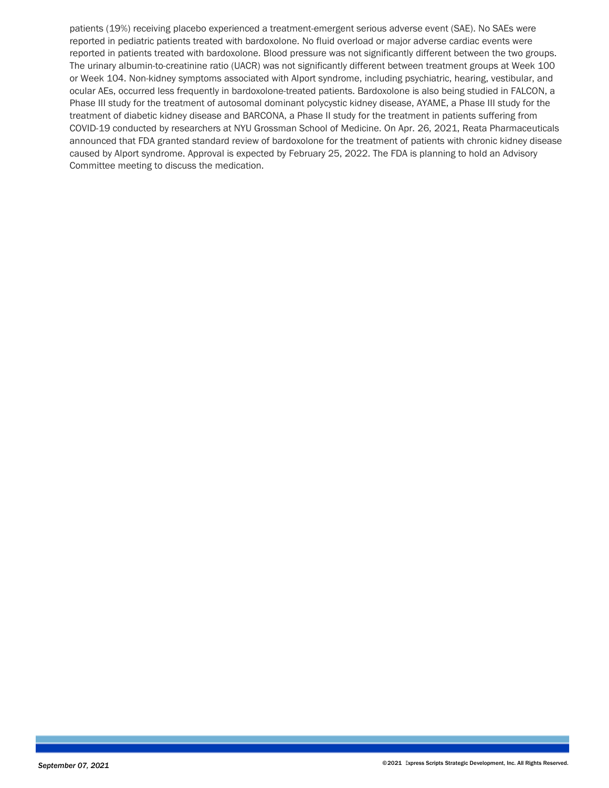patients (19%) receiving placebo experienced a treatment-emergent serious adverse event (SAE). No SAEs were reported in pediatric patients treated with bardoxolone. No fluid overload or major adverse cardiac events were reported in patients treated with bardoxolone. Blood pressure was not significantly different between the two groups. The urinary albumin-to-creatinine ratio (UACR) was not significantly different between treatment groups at Week 100 or Week 104. Non-kidney symptoms associated with Alport syndrome, including psychiatric, hearing, vestibular, and ocular AEs, occurred less frequently in bardoxolone-treated patients. Bardoxolone is also being studied in FALCON, a Phase III study for the treatment of autosomal dominant polycystic kidney disease, AYAME, a Phase III study for the treatment of diabetic kidney disease and BARCONA, a Phase II study for the treatment in patients suffering from COVID-19 conducted by researchers at NYU Grossman School of Medicine. On Apr. 26, 2021, Reata Pharmaceuticals announced that FDA granted standard review of bardoxolone for the treatment of patients with chronic kidney disease caused by Alport syndrome. Approval is expected by February 25, 2022. The FDA is planning to hold an Advisory Committee meeting to discuss the medication.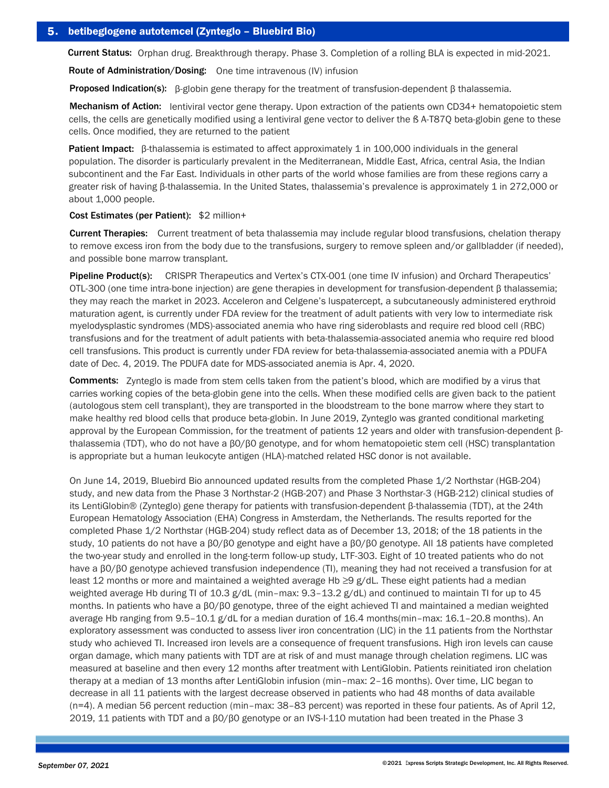Current Status: Orphan drug. Breakthrough therapy. Phase 3. Completion of a rolling BLA is expected in mid-2021.

Route of Administration/Dosing: One time intravenous (IV) infusion

**Proposed Indication(s):** β-globin gene therapy for the treatment of transfusion-dependent β thalassemia.

Mechanism of Action: lentiviral vector gene therapy. Upon extraction of the patients own CD34+ hematopoietic stem cells, the cells are genetically modified using a lentiviral gene vector to deliver the ß A-T87Q beta-globin gene to these cells. Once modified, they are returned to the patient

Patient Impact: β-thalassemia is estimated to affect approximately 1 in 100,000 individuals in the general population. The disorder is particularly prevalent in the Mediterranean, Middle East, Africa, central Asia, the Indian subcontinent and the Far East. Individuals in other parts of the world whose families are from these regions carry a greater risk of having β-thalassemia. In the United States, thalassemia's prevalence is approximately 1 in 272,000 or about 1,000 people.

#### Cost Estimates (per Patient): \$2 million+

Current Therapies: Current treatment of beta thalassemia may include regular blood transfusions, chelation therapy to remove excess iron from the body due to the transfusions, surgery to remove spleen and/or gallbladder (if needed), and possible bone marrow transplant.

Pipeline Product(s): CRISPR Therapeutics and Vertex's CTX-001 (one time IV infusion) and Orchard Therapeutics' OTL-300 (one time intra-bone injection) are gene therapies in development for transfusion-dependent β thalassemia; they may reach the market in 2023. Acceleron and Celgene's luspatercept, a subcutaneously administered erythroid maturation agent, is currently under FDA review for the treatment of adult patients with very low to intermediate risk myelodysplastic syndromes (MDS)-associated anemia who have ring sideroblasts and require red blood cell (RBC) transfusions and for the treatment of adult patients with beta-thalassemia-associated anemia who require red blood cell transfusions. This product is currently under FDA review for beta-thalassemia-associated anemia with a PDUFA date of Dec. 4, 2019. The PDUFA date for MDS-associated anemia is Apr. 4, 2020.

Comments: Zynteglo is made from stem cells taken from the patient's blood, which are modified by a virus that carries working copies of the beta-globin gene into the cells. When these modified cells are given back to the patient (autologous stem cell transplant), they are transported in the bloodstream to the bone marrow where they start to make healthy red blood cells that produce beta-globin. In June 2019, Zynteglo was granted conditional marketing approval by the European Commission, for the treatment of patients 12 years and older with transfusion-dependent βthalassemia (TDT), who do not have a β0/β0 genotype, and for whom hematopoietic stem cell (HSC) transplantation is appropriate but a human leukocyte antigen (HLA)-matched related HSC donor is not available.

On June 14, 2019, Bluebird Bio announced updated results from the completed Phase 1/2 Northstar (HGB-204) study, and new data from the Phase 3 Northstar-2 (HGB-207) and Phase 3 Northstar-3 (HGB-212) clinical studies of its LentiGlobin® (Zynteglo) gene therapy for patients with transfusion-dependent β-thalassemia (TDT), at the 24th European Hematology Association (EHA) Congress in Amsterdam, the Netherlands. The results reported for the completed Phase 1/2 Northstar (HGB-204) study reflect data as of December 13, 2018; of the 18 patients in the study, 10 patients do not have a β0/β0 genotype and eight have a β0/β0 genotype. All 18 patients have completed the two-year study and enrolled in the long-term follow-up study, LTF-303. Eight of 10 treated patients who do not have a β0/β0 genotype achieved transfusion independence (TI), meaning they had not received a transfusion for at least 12 months or more and maintained a weighted average Hb ≥9 g/dL. These eight patients had a median weighted average Hb during TI of 10.3 g/dL (min–max: 9.3–13.2 g/dL) and continued to maintain TI for up to 45 months. In patients who have a β0/β0 genotype, three of the eight achieved TI and maintained a median weighted average Hb ranging from 9.5–10.1 g/dL for a median duration of 16.4 months(min–max: 16.1–20.8 months). An exploratory assessment was conducted to assess liver iron concentration (LIC) in the 11 patients from the Northstar study who achieved TI. Increased iron levels are a consequence of frequent transfusions. High iron levels can cause organ damage, which many patients with TDT are at risk of and must manage through chelation regimens. LIC was measured at baseline and then every 12 months after treatment with LentiGlobin. Patients reinitiated iron chelation therapy at a median of 13 months after LentiGlobin infusion (min–max: 2–16 months). Over time, LIC began to decrease in all 11 patients with the largest decrease observed in patients who had 48 months of data available (n=4). A median 56 percent reduction (min–max: 38–83 percent) was reported in these four patients. As of April 12, 2019, 11 patients with TDT and a β0/β0 genotype or an IVS-I-110 mutation had been treated in the Phase 3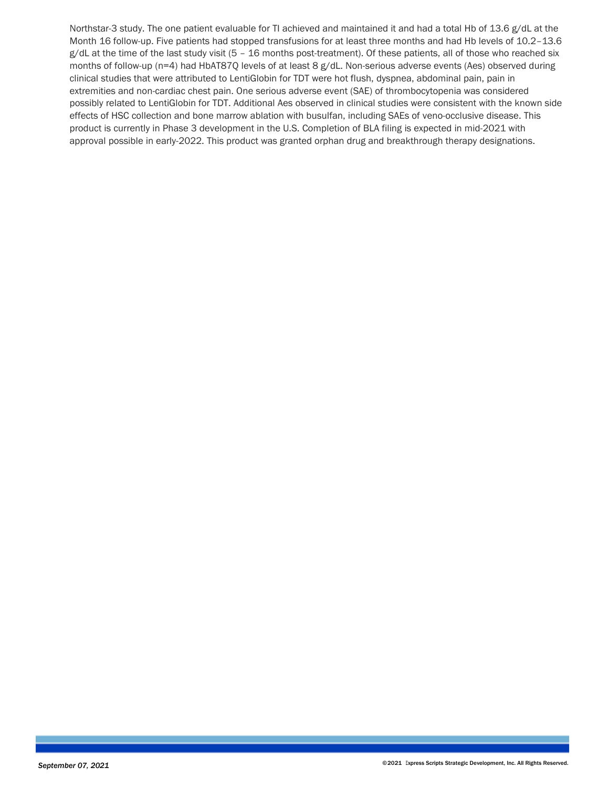Northstar-3 study. The one patient evaluable for TI achieved and maintained it and had a total Hb of 13.6 g/dL at the Month 16 follow-up. Five patients had stopped transfusions for at least three months and had Hb levels of 10.2–13.6  $g/dL$  at the time of the last study visit (5 – 16 months post-treatment). Of these patients, all of those who reached six months of follow-up (n=4) had HbAT87Q levels of at least 8 g/dL. Non-serious adverse events (Aes) observed during clinical studies that were attributed to LentiGlobin for TDT were hot flush, dyspnea, abdominal pain, pain in extremities and non-cardiac chest pain. One serious adverse event (SAE) of thrombocytopenia was considered possibly related to LentiGlobin for TDT. Additional Aes observed in clinical studies were consistent with the known side effects of HSC collection and bone marrow ablation with busulfan, including SAEs of veno-occlusive disease. This product is currently in Phase 3 development in the U.S. Completion of BLA filing is expected in mid-2021 with approval possible in early-2022. This product was granted orphan drug and breakthrough therapy designations.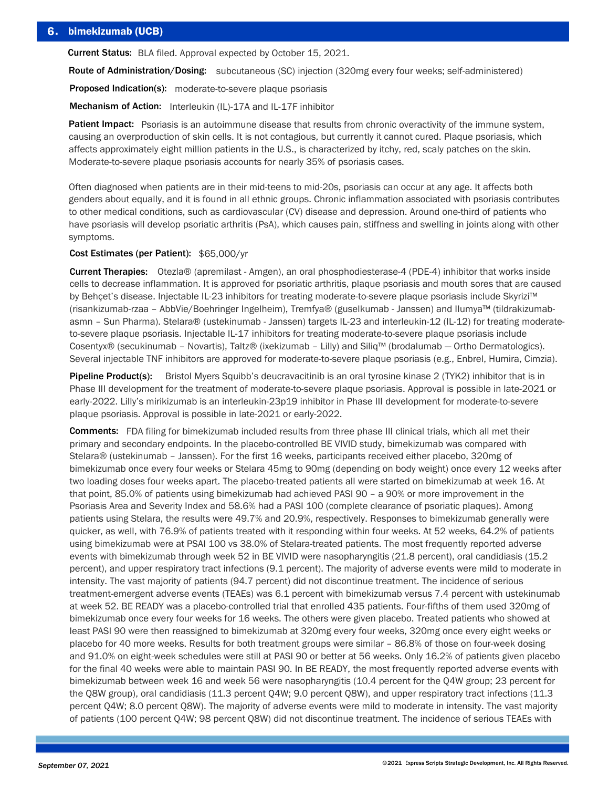# 6. bimekizumab (UCB)

Current Status: BLA filed. Approval expected by October 15, 2021.

Route of Administration/Dosing: subcutaneous (SC) injection (320mg every four weeks; self-administered)

Proposed Indication(s): moderate-to-severe plaque psoriasis

Mechanism of Action: Interleukin (IL)-17A and IL-17F inhibitor

Patient Impact: Psoriasis is an autoimmune disease that results from chronic overactivity of the immune system, causing an overproduction of skin cells. It is not contagious, but currently it cannot cured. Plaque psoriasis, which affects approximately eight million patients in the U.S., is characterized by itchy, red, scaly patches on the skin. Moderate-to-severe plaque psoriasis accounts for nearly 35% of psoriasis cases.

Often diagnosed when patients are in their mid-teens to mid-20s, psoriasis can occur at any age. It affects both genders about equally, and it is found in all ethnic groups. Chronic inflammation associated with psoriasis contributes to other medical conditions, such as cardiovascular (CV) disease and depression. Around one-third of patients who have psoriasis will develop psoriatic arthritis (PsA), which causes pain, stiffness and swelling in joints along with other symptoms.

### Cost Estimates (per Patient): \$65,000/yr

Current Therapies: Otezla® (apremilast - Amgen), an oral phosphodiesterase-4 (PDE-4) inhibitor that works inside cells to decrease inflammation. It is approved for psoriatic arthritis, plaque psoriasis and mouth sores that are caused by Behçet's disease. Injectable IL-23 inhibitors for treating moderate-to-severe plaque psoriasis include Skyrizi™ (risankizumab-rzaa – AbbVie/Boehringer Ingelheim), Tremfya® (guselkumab - Janssen) and Ilumya™ (tildrakizumabasmn – Sun Pharma). Stelara® (ustekinumab - Janssen) targets IL-23 and interleukin-12 (IL-12) for treating moderateto-severe plaque psoriasis. Injectable IL-17 inhibitors for treating moderate-to-severe plaque psoriasis include Cosentyx® (secukinumab – Novartis), Taltz® (ixekizumab – Lilly) and Siliq™ (brodalumab — Ortho Dermatologics). Several injectable TNF inhibitors are approved for moderate-to-severe plaque psoriasis (e.g., Enbrel, Humira, Cimzia).

Pipeline Product(s): Bristol Myers Squibb's deucravacitinib is an oral tyrosine kinase 2 (TYK2) inhibitor that is in Phase III development for the treatment of moderate-to-severe plaque psoriasis. Approval is possible in late-2021 or early-2022. Lilly's mirikizumab is an interleukin-23p19 inhibitor in Phase III development for moderate-to-severe plaque psoriasis. Approval is possible in late-2021 or early-2022.

Comments: FDA filing for bimekizumab included results from three phase III clinical trials, which all met their primary and secondary endpoints. In the placebo-controlled BE VIVID study, bimekizumab was compared with Stelara® (ustekinumab – Janssen). For the first 16 weeks, participants received either placebo, 320mg of bimekizumab once every four weeks or Stelara 45mg to 90mg (depending on body weight) once every 12 weeks after two loading doses four weeks apart. The placebo-treated patients all were started on bimekizumab at week 16. At that point, 85.0% of patients using bimekizumab had achieved PASI 90 – a 90% or more improvement in the Psoriasis Area and Severity Index and 58.6% had a PASI 100 (complete clearance of psoriatic plaques). Among patients using Stelara, the results were 49.7% and 20.9%, respectively. Responses to bimekizumab generally were quicker, as well, with 76.9% of patients treated with it responding within four weeks. At 52 weeks, 64.2% of patients using bimekizumab were at PSAI 100 vs 38.0% of Stelara-treated patients. The most frequently reported adverse events with bimekizumab through week 52 in BE VIVID were nasopharyngitis (21.8 percent), oral candidiasis (15.2 percent), and upper respiratory tract infections (9.1 percent). The majority of adverse events were mild to moderate in intensity. The vast majority of patients (94.7 percent) did not discontinue treatment. The incidence of serious treatment-emergent adverse events (TEAEs) was 6.1 percent with bimekizumab versus 7.4 percent with ustekinumab at week 52. BE READY was a placebo-controlled trial that enrolled 435 patients. Four-fifths of them used 320mg of bimekizumab once every four weeks for 16 weeks. The others were given placebo. Treated patients who showed at least PASI 90 were then reassigned to bimekizumab at 320mg every four weeks, 320mg once every eight weeks or placebo for 40 more weeks. Results for both treatment groups were similar – 86.8% of those on four-week dosing and 91.0% on eight-week schedules were still at PASI 90 or better at 56 weeks. Only 16.2% of patients given placebo for the final 40 weeks were able to maintain PASI 90. In BE READY, the most frequently reported adverse events with bimekizumab between week 16 and week 56 were nasopharyngitis (10.4 percent for the Q4W group; 23 percent for the Q8W group), oral candidiasis (11.3 percent Q4W; 9.0 percent Q8W), and upper respiratory tract infections (11.3 percent Q4W; 8.0 percent Q8W). The majority of adverse events were mild to moderate in intensity. The vast majority of patients (100 percent Q4W; 98 percent Q8W) did not discontinue treatment. The incidence of serious TEAEs with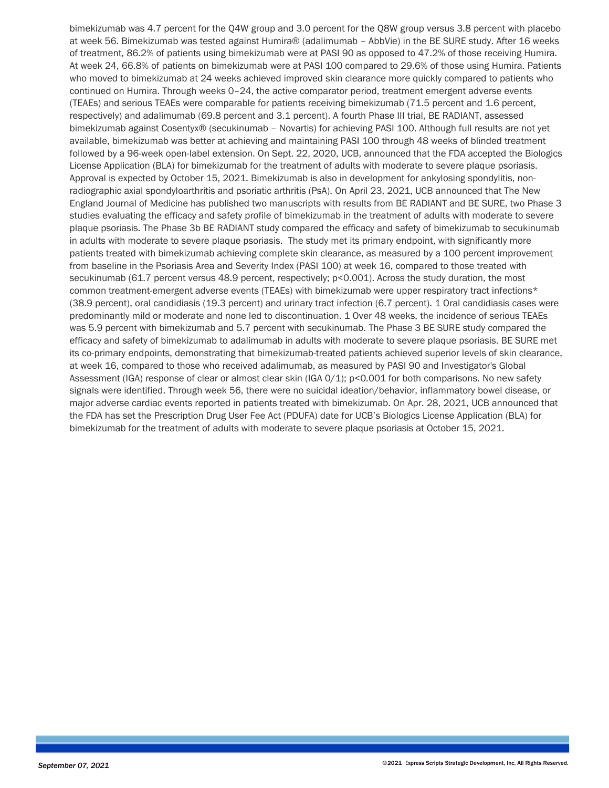bimekizumab was 4.7 percent for the Q4W group and 3.0 percent for the Q8W group versus 3.8 percent with placebo at week 56. Bimekizumab was tested against Humira® (adalimumab – AbbVie) in the BE SURE study. After 16 weeks of treatment, 86.2% of patients using bimekizumab were at PASI 90 as opposed to 47.2% of those receiving Humira. At week 24, 66.8% of patients on bimekizumab were at PASI 100 compared to 29.6% of those using Humira. Patients who moved to bimekizumab at 24 weeks achieved improved skin clearance more quickly compared to patients who continued on Humira. Through weeks 0–24, the active comparator period, treatment emergent adverse events (TEAEs) and serious TEAEs were comparable for patients receiving bimekizumab (71.5 percent and 1.6 percent, respectively) and adalimumab (69.8 percent and 3.1 percent). A fourth Phase III trial, BE RADIANT, assessed bimekizumab against Cosentyx® (secukinumab – Novartis) for achieving PASI 100. Although full results are not yet available, bimekizumab was better at achieving and maintaining PASI 100 through 48 weeks of blinded treatment followed by a 96-week open-label extension. On Sept. 22, 2020, UCB, announced that the FDA accepted the Biologics License Application (BLA) for bimekizumab for the treatment of adults with moderate to severe plaque psoriasis. Approval is expected by October 15, 2021. Bimekizumab is also in development for ankylosing spondylitis, nonradiographic axial spondyloarthritis and psoriatic arthritis (PsA). On April 23, 2021, UCB announced that The New England Journal of Medicine has published two manuscripts with results from BE RADIANT and BE SURE, two Phase 3 studies evaluating the efficacy and safety profile of bimekizumab in the treatment of adults with moderate to severe plaque psoriasis. The Phase 3b BE RADIANT study compared the efficacy and safety of bimekizumab to secukinumab in adults with moderate to severe plaque psoriasis. The study met its primary endpoint, with significantly more patients treated with bimekizumab achieving complete skin clearance, as measured by a 100 percent improvement from baseline in the Psoriasis Area and Severity Index (PASI 100) at week 16, compared to those treated with secukinumab (61.7 percent versus 48.9 percent, respectively; p<0.001). Across the study duration, the most common treatment-emergent adverse events (TEAEs) with bimekizumab were upper respiratory tract infections\* (38.9 percent), oral candidiasis (19.3 percent) and urinary tract infection (6.7 percent). 1 Oral candidiasis cases were predominantly mild or moderate and none led to discontinuation. 1 Over 48 weeks, the incidence of serious TEAEs was 5.9 percent with bimekizumab and 5.7 percent with secukinumab. The Phase 3 BE SURE study compared the efficacy and safety of bimekizumab to adalimumab in adults with moderate to severe plaque psoriasis. BE SURE met its co-primary endpoints, demonstrating that bimekizumab-treated patients achieved superior levels of skin clearance, at week 16, compared to those who received adalimumab, as measured by PASI 90 and Investigator's Global Assessment (IGA) response of clear or almost clear skin (IGA 0/1); p<0.001 for both comparisons. No new safety signals were identified. Through week 56, there were no suicidal ideation/behavior, inflammatory bowel disease, or major adverse cardiac events reported in patients treated with bimekizumab. On Apr. 28, 2021, UCB announced that the FDA has set the Prescription Drug User Fee Act (PDUFA) date for UCB's Biologics License Application (BLA) for bimekizumab for the treatment of adults with moderate to severe plaque psoriasis at October 15, 2021.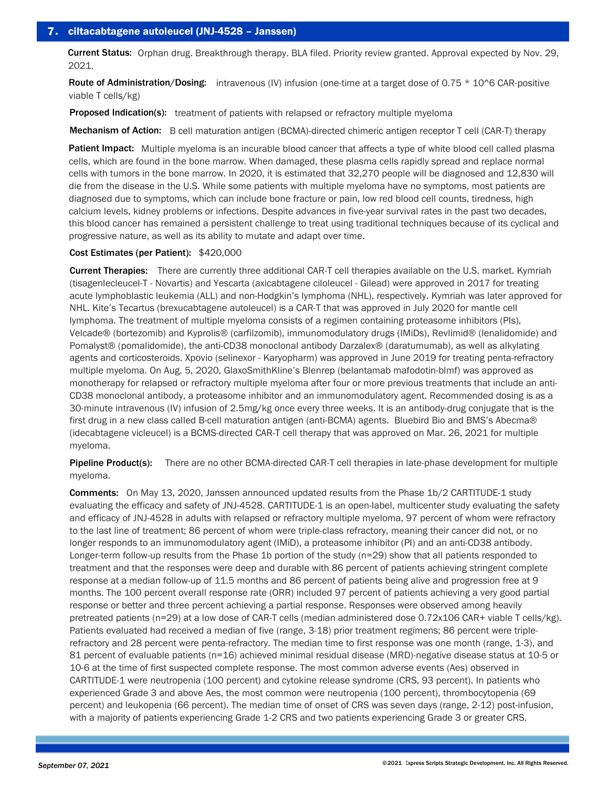Current Status: Orphan drug. Breakthrough therapy. BLA filed. Priority review granted. Approval expected by Nov. 29, 2021.

Route of Administration/Dosing: intravenous (IV) infusion (one-time at a target dose of 0.75  $*$  10^6 CAR-positive viable T cells/kg)

**Proposed Indication(s):** treatment of patients with relapsed or refractory multiple myeloma

Mechanism of Action: B cell maturation antigen (BCMA)-directed chimeric antigen receptor T cell (CAR-T) therapy

Patient Impact: Multiple myeloma is an incurable blood cancer that affects a type of white blood cell called plasma cells, which are found in the bone marrow. When damaged, these plasma cells rapidly spread and replace normal cells with tumors in the bone marrow. In 2020, it is estimated that 32,270 people will be diagnosed and 12,830 will die from the disease in the U.S. While some patients with multiple myeloma have no symptoms, most patients are diagnosed due to symptoms, which can include bone fracture or pain, low red blood cell counts, tiredness, high calcium levels, kidney problems or infections. Despite advances in five-year survival rates in the past two decades, this blood cancer has remained a persistent challenge to treat using traditional techniques because of its cyclical and progressive nature, as well as its ability to mutate and adapt over time.

### Cost Estimates (per Patient): \$420,000

Current Therapies: There are currently three additional CAR-T cell therapies available on the U.S. market. Kymriah (tisagenlecleucel-T - Novartis) and Yescarta (axicabtagene ciloleucel - Gilead) were approved in 2017 for treating acute lymphoblastic leukemia (ALL) and non-Hodgkin's lymphoma (NHL), respectively. Kymriah was later approved for NHL. Kite's Tecartus (brexucabtagene autoleucel) is a CAR-T that was approved in July 2020 for mantle cell lymphoma. The treatment of multiple myeloma consists of a regimen containing proteasome inhibitors (PIs), Velcade® (bortezomib) and Kyprolis® (carfilzomib), immunomodulatory drugs (IMiDs), Revlimid® (lenalidomide) and Pomalyst® (pomalidomide), the anti-CD38 monoclonal antibody Darzalex® (daratumumab), as well as alkylating agents and corticosteroids. Xpovio (selinexor - Karyopharm) was approved in June 2019 for treating penta-refractory multiple myeloma. On Aug. 5, 2020, GlaxoSmithKline's Blenrep (belantamab mafodotin-blmf) was approved as monotherapy for relapsed or refractory multiple myeloma after four or more previous treatments that include an anti-CD38 monoclonal antibody, a proteasome inhibitor and an immunomodulatory agent. Recommended dosing is as a 30-minute intravenous (IV) infusion of 2.5mg/kg once every three weeks. It is an antibody-drug conjugate that is the first drug in a new class called B-cell maturation antigen (anti-BCMA) agents. Bluebird Bio and BMS's Abecma® (idecabtagene vicleucel) is a BCMS-directed CAR-T cell therapy that was approved on Mar. 26, 2021 for multiple myeloma.

Pipeline Product(s): There are no other BCMA-directed CAR-T cell therapies in late-phase development for multiple myeloma.

Comments: On May 13, 2020, Janssen announced updated results from the Phase 1b/2 CARTITUDE-1 study evaluating the efficacy and safety of JNJ-4528. CARTITUDE-1 is an open-label, multicenter study evaluating the safety and efficacy of JNJ-4528 in adults with relapsed or refractory multiple myeloma, 97 percent of whom were refractory to the last line of treatment; 86 percent of whom were triple-class refractory, meaning their cancer did not, or no longer responds to an immunomodulatory agent (IMiD), a proteasome inhibitor (PI) and an anti-CD38 antibody. Longer-term follow-up results from the Phase 1b portion of the study (n=29) show that all patients responded to treatment and that the responses were deep and durable with 86 percent of patients achieving stringent complete response at a median follow-up of 11.5 months and 86 percent of patients being alive and progression free at 9 months. The 100 percent overall response rate (ORR) included 97 percent of patients achieving a very good partial response or better and three percent achieving a partial response. Responses were observed among heavily pretreated patients (n=29) at a low dose of CAR-T cells (median administered dose 0.72x106 CAR+ viable T cells/kg). Patients evaluated had received a median of five (range, 3-18) prior treatment regimens; 86 percent were triplerefractory and 28 percent were penta-refractory. The median time to first response was one month (range, 1-3), and 81 percent of evaluable patients (n=16) achieved minimal residual disease (MRD)-negative disease status at 10-5 or 10-6 at the time of first suspected complete response. The most common adverse events (Aes) observed in CARTITUDE-1 were neutropenia (100 percent) and cytokine release syndrome (CRS, 93 percent). In patients who experienced Grade 3 and above Aes, the most common were neutropenia (100 percent), thrombocytopenia (69 percent) and leukopenia (66 percent). The median time of onset of CRS was seven days (range, 2-12) post-infusion, with a majority of patients experiencing Grade 1-2 CRS and two patients experiencing Grade 3 or greater CRS.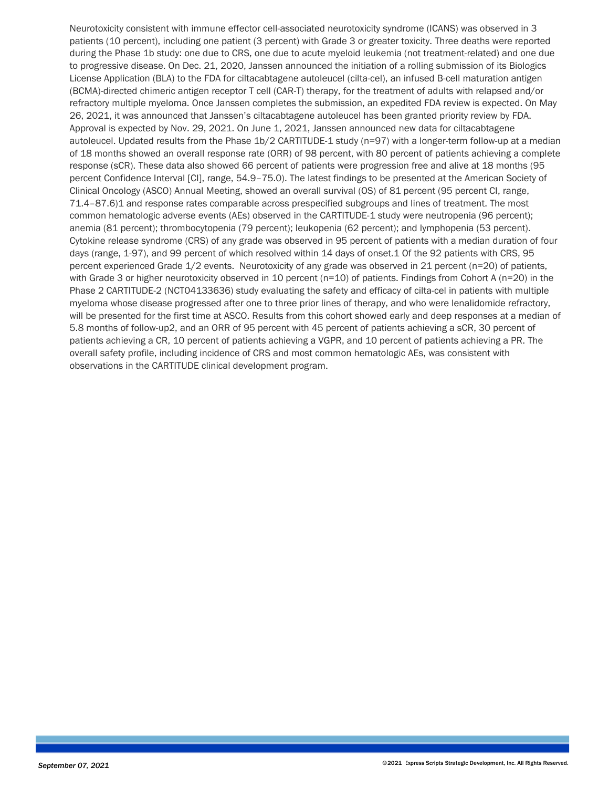Neurotoxicity consistent with immune effector cell-associated neurotoxicity syndrome (ICANS) was observed in 3 patients (10 percent), including one patient (3 percent) with Grade 3 or greater toxicity. Three deaths were reported during the Phase 1b study: one due to CRS, one due to acute myeloid leukemia (not treatment-related) and one due to progressive disease. On Dec. 21, 2020, Janssen announced the initiation of a rolling submission of its Biologics License Application (BLA) to the FDA for ciltacabtagene autoleucel (cilta-cel), an infused B-cell maturation antigen (BCMA)-directed chimeric antigen receptor T cell (CAR-T) therapy, for the treatment of adults with relapsed and/or refractory multiple myeloma. Once Janssen completes the submission, an expedited FDA review is expected. On May 26, 2021, it was announced that Janssen's ciltacabtagene autoleucel has been granted priority review by FDA. Approval is expected by Nov. 29, 2021. On June 1, 2021, Janssen announced new data for ciltacabtagene autoleucel. Updated results from the Phase 1b/2 CARTITUDE-1 study (n=97) with a longer-term follow-up at a median of 18 months showed an overall response rate (ORR) of 98 percent, with 80 percent of patients achieving a complete response (sCR). These data also showed 66 percent of patients were progression free and alive at 18 months (95 percent Confidence Interval [CI], range, 54.9–75.0). The latest findings to be presented at the American Society of Clinical Oncology (ASCO) Annual Meeting, showed an overall survival (OS) of 81 percent (95 percent CI, range, 71.4–87.6)1 and response rates comparable across prespecified subgroups and lines of treatment. The most common hematologic adverse events (AEs) observed in the CARTITUDE-1 study were neutropenia (96 percent); anemia (81 percent); thrombocytopenia (79 percent); leukopenia (62 percent); and lymphopenia (53 percent). Cytokine release syndrome (CRS) of any grade was observed in 95 percent of patients with a median duration of four days (range, 1-97), and 99 percent of which resolved within 14 days of onset.1 Of the 92 patients with CRS, 95 percent experienced Grade 1/2 events. Neurotoxicity of any grade was observed in 21 percent (n=20) of patients, with Grade 3 or higher neurotoxicity observed in 10 percent (n=10) of patients. Findings from Cohort A (n=20) in the Phase 2 CARTITUDE-2 (NCT04133636) study evaluating the safety and efficacy of cilta-cel in patients with multiple myeloma whose disease progressed after one to three prior lines of therapy, and who were lenalidomide refractory, will be presented for the first time at ASCO. Results from this cohort showed early and deep responses at a median of 5.8 months of follow-up2, and an ORR of 95 percent with 45 percent of patients achieving a sCR, 30 percent of patients achieving a CR, 10 percent of patients achieving a VGPR, and 10 percent of patients achieving a PR. The overall safety profile, including incidence of CRS and most common hematologic AEs, was consistent with observations in the CARTITUDE clinical development program.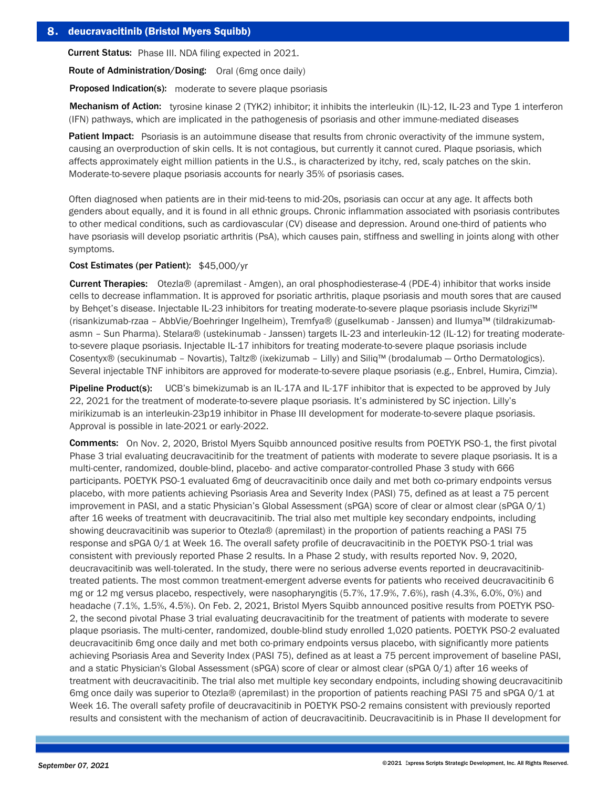Current Status: Phase III. NDA filing expected in 2021.

Route of Administration/Dosing: Oral (6mg once daily)

**Proposed Indication(s):** moderate to severe plaque psoriasis

Mechanism of Action: tyrosine kinase 2 (TYK2) inhibitor; it inhibits the interleukin (IL)-12, IL-23 and Type 1 interferon (IFN) pathways, which are implicated in the pathogenesis of psoriasis and other immune-mediated diseases

Patient Impact: Psoriasis is an autoimmune disease that results from chronic overactivity of the immune system, causing an overproduction of skin cells. It is not contagious, but currently it cannot cured. Plaque psoriasis, which affects approximately eight million patients in the U.S., is characterized by itchy, red, scaly patches on the skin. Moderate-to-severe plaque psoriasis accounts for nearly 35% of psoriasis cases.

Often diagnosed when patients are in their mid-teens to mid-20s, psoriasis can occur at any age. It affects both genders about equally, and it is found in all ethnic groups. Chronic inflammation associated with psoriasis contributes to other medical conditions, such as cardiovascular (CV) disease and depression. Around one-third of patients who have psoriasis will develop psoriatic arthritis (PsA), which causes pain, stiffness and swelling in joints along with other symptoms.

## Cost Estimates (per Patient): \$45,000/yr

Current Therapies: Otezla® (apremilast - Amgen), an oral phosphodiesterase-4 (PDE-4) inhibitor that works inside cells to decrease inflammation. It is approved for psoriatic arthritis, plaque psoriasis and mouth sores that are caused by Behçet's disease. Injectable IL-23 inhibitors for treating moderate-to-severe plaque psoriasis include Skyrizi™ (risankizumab-rzaa – AbbVie/Boehringer Ingelheim), Tremfya® (guselkumab - Janssen) and Ilumya™ (tildrakizumabasmn – Sun Pharma). Stelara® (ustekinumab - Janssen) targets IL-23 and interleukin-12 (IL-12) for treating moderateto-severe plaque psoriasis. Injectable IL-17 inhibitors for treating moderate-to-severe plaque psoriasis include Cosentyx® (secukinumab – Novartis), Taltz® (ixekizumab – Lilly) and Siliq™ (brodalumab — Ortho Dermatologics). Several injectable TNF inhibitors are approved for moderate-to-severe plaque psoriasis (e.g., Enbrel, Humira, Cimzia).

Pipeline Product(s): UCB's bimekizumab is an IL-17A and IL-17F inhibitor that is expected to be approved by July 22, 2021 for the treatment of moderate-to-severe plaque psoriasis. It's administered by SC injection. Lilly's mirikizumab is an interleukin-23p19 inhibitor in Phase III development for moderate-to-severe plaque psoriasis. Approval is possible in late-2021 or early-2022.

Comments: On Nov. 2, 2020, Bristol Myers Squibb announced positive results from POETYK PSO-1, the first pivotal Phase 3 trial evaluating deucravacitinib for the treatment of patients with moderate to severe plaque psoriasis. It is a multi-center, randomized, double-blind, placebo- and active comparator-controlled Phase 3 study with 666 participants. POETYK PSO-1 evaluated 6mg of deucravacitinib once daily and met both co-primary endpoints versus placebo, with more patients achieving Psoriasis Area and Severity Index (PASI) 75, defined as at least a 75 percent improvement in PASI, and a static Physician's Global Assessment (sPGA) score of clear or almost clear (sPGA 0/1) after 16 weeks of treatment with deucravacitinib. The trial also met multiple key secondary endpoints, including showing deucravacitinib was superior to Otezla® (apremilast) in the proportion of patients reaching a PASI 75 response and sPGA 0/1 at Week 16. The overall safety profile of deucravacitinib in the POETYK PSO-1 trial was consistent with previously reported Phase 2 results. In a Phase 2 study, with results reported Nov. 9, 2020, deucravacitinib was well-tolerated. In the study, there were no serious adverse events reported in deucravacitinibtreated patients. The most common treatment-emergent adverse events for patients who received deucravacitinib 6 mg or 12 mg versus placebo, respectively, were nasopharyngitis (5.7%, 17.9%, 7.6%), rash (4.3%, 6.0%, 0%) and headache (7.1%, 1.5%, 4.5%). On Feb. 2, 2021, Bristol Myers Squibb announced positive results from POETYK PSO-2, the second pivotal Phase 3 trial evaluating deucravacitinib for the treatment of patients with moderate to severe plaque psoriasis. The multi-center, randomized, double-blind study enrolled 1,020 patients. POETYK PSO-2 evaluated deucravacitinib 6mg once daily and met both co-primary endpoints versus placebo, with significantly more patients achieving Psoriasis Area and Severity Index (PASI 75), defined as at least a 75 percent improvement of baseline PASI, and a static Physician's Global Assessment (sPGA) score of clear or almost clear (sPGA 0/1) after 16 weeks of treatment with deucravacitinib. The trial also met multiple key secondary endpoints, including showing deucravacitinib 6mg once daily was superior to Otezla® (apremilast) in the proportion of patients reaching PASI 75 and sPGA 0/1 at Week 16. The overall safety profile of deucravacitinib in POETYK PSO-2 remains consistent with previously reported results and consistent with the mechanism of action of deucravacitinib. Deucravacitinib is in Phase II development for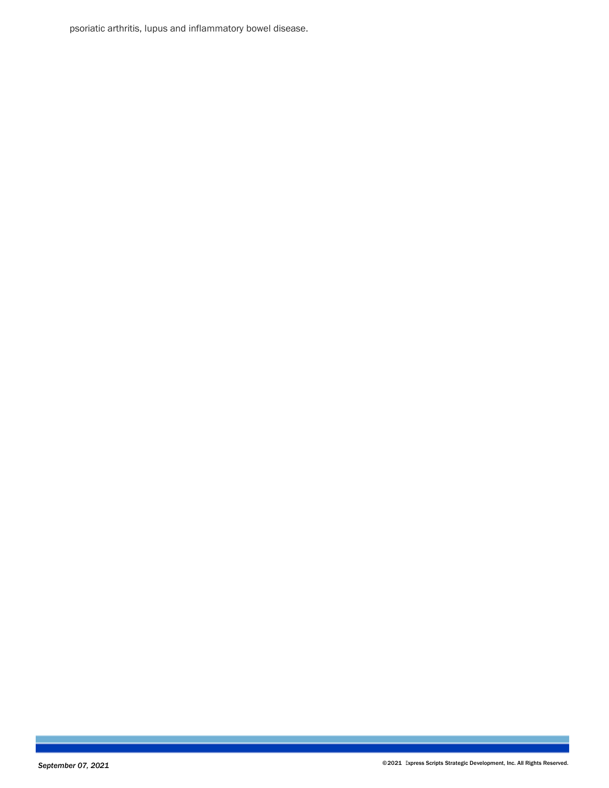psoriatic arthritis, lupus and inflammatory bowel disease.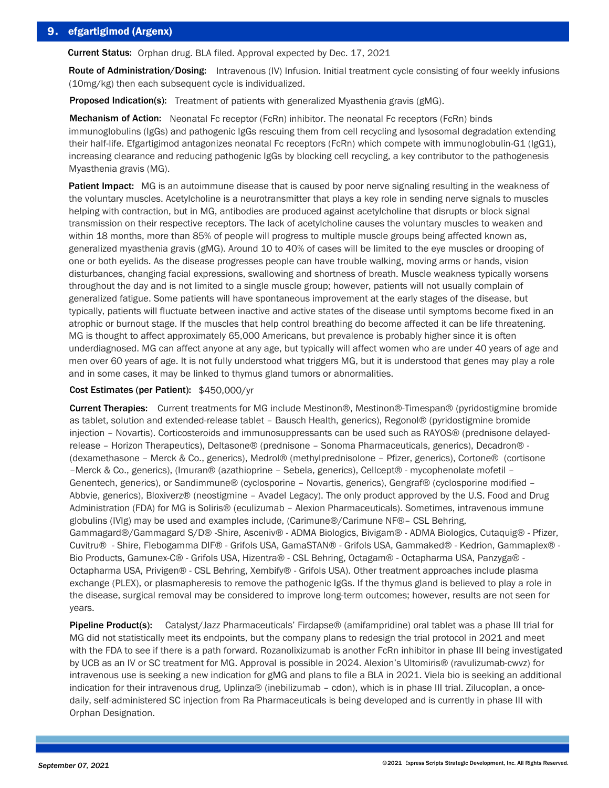# 9. efgartigimod (Argenx)

Current Status: Orphan drug. BLA filed. Approval expected by Dec. 17, 2021

Route of Administration/Dosing: Intravenous (IV) Infusion. Initial treatment cycle consisting of four weekly infusions (10mg/kg) then each subsequent cycle is individualized.

Proposed Indication(s): Treatment of patients with generalized Myasthenia gravis (gMG).

Mechanism of Action: Neonatal Fc receptor (FcRn) inhibitor. The neonatal Fc receptors (FcRn) binds immunoglobulins (IgGs) and pathogenic IgGs rescuing them from cell recycling and lysosomal degradation extending their half-life. Efgartigimod antagonizes neonatal Fc receptors (FcRn) which compete with immunoglobulin-G1 (IgG1), increasing clearance and reducing pathogenic IgGs by blocking cell recycling, a key contributor to the pathogenesis Myasthenia gravis (MG).

Patient Impact: MG is an autoimmune disease that is caused by poor nerve signaling resulting in the weakness of the voluntary muscles. Acetylcholine is a neurotransmitter that plays a key role in sending nerve signals to muscles helping with contraction, but in MG, antibodies are produced against acetylcholine that disrupts or block signal transmission on their respective receptors. The lack of acetylcholine causes the voluntary muscles to weaken and within 18 months, more than 85% of people will progress to multiple muscle groups being affected known as, generalized myasthenia gravis (gMG). Around 10 to 40% of cases will be limited to the eye muscles or drooping of one or both eyelids. As the disease progresses people can have trouble walking, moving arms or hands, vision disturbances, changing facial expressions, swallowing and shortness of breath. Muscle weakness typically worsens throughout the day and is not limited to a single muscle group; however, patients will not usually complain of generalized fatigue. Some patients will have spontaneous improvement at the early stages of the disease, but typically, patients will fluctuate between inactive and active states of the disease until symptoms become fixed in an atrophic or burnout stage. If the muscles that help control breathing do become affected it can be life threatening. MG is thought to affect approximately 65,000 Americans, but prevalence is probably higher since it is often underdiagnosed. MG can affect anyone at any age, but typically will affect women who are under 40 years of age and men over 60 years of age. It is not fully understood what triggers MG, but it is understood that genes may play a role and in some cases, it may be linked to thymus gland tumors or abnormalities.

### Cost Estimates (per Patient): \$450,000/yr

Current Therapies: Current treatments for MG include Mestinon®, Mestinon®-Timespan® (pyridostigmine bromide as tablet, solution and extended-release tablet – Bausch Health, generics), Regonol® (pyridostigmine bromide injection – Novartis). Corticosteroids and immunosuppressants can be used such as RAYOS® (prednisone delayedrelease – Horizon Therapeutics), Deltasone® (prednisone – Sonoma Pharmaceuticals, generics), Decadron® - (dexamethasone – Merck & Co., generics), Medrol® (methylprednisolone – Pfizer, generics), Cortone® (cortisone –Merck & Co., generics), (Imuran® (azathioprine – Sebela, generics), Cellcept® - mycophenolate mofetil – Genentech, generics), or Sandimmune® (cyclosporine – Novartis, generics), Gengraf® (cyclosporine modified – Abbvie, generics), Bloxiverz® (neostigmine – Avadel Legacy). The only product approved by the U.S. Food and Drug Administration (FDA) for MG is Soliris® (eculizumab – Alexion Pharmaceuticals). Sometimes, intravenous immune globulins (IVIg) may be used and examples include, (Carimune®/Carimune NF®– CSL Behring, Gammagard®/Gammagard S/D® -Shire, Asceniv® - ADMA Biologics, Bivigam® - ADMA Biologics, Cutaquig® - Pfizer, Cuvitru® - Shire, Flebogamma DIF® - Grifols USA, GamaSTAN® - Grifols USA, Gammaked® - Kedrion, Gammaplex® - Bio Products, Gamunex-C® - Grifols USA, Hizentra® - CSL Behring, Octagam® - Octapharma USA, Panzyga® - Octapharma USA, Privigen® - CSL Behring, Xembify® - Grifols USA). Other treatment approaches include plasma exchange (PLEX), or plasmapheresis to remove the pathogenic IgGs. If the thymus gland is believed to play a role in the disease, surgical removal may be considered to improve long-term outcomes; however, results are not seen for years.

Pipeline Product(s): Catalyst/Jazz Pharmaceuticals' Firdapse® (amifampridine) oral tablet was a phase III trial for MG did not statistically meet its endpoints, but the company plans to redesign the trial protocol in 2021 and meet with the FDA to see if there is a path forward. Rozanolixizumab is another FcRn inhibitor in phase III being investigated by UCB as an IV or SC treatment for MG. Approval is possible in 2024. Alexion's Ultomiris® (ravulizumab-cwvz) for intravenous use is seeking a new indication for gMG and plans to file a BLA in 2021. Viela bio is seeking an additional indication for their intravenous drug, Uplinza® (inebilizumab – cdon), which is in phase III trial. Zilucoplan, a oncedaily, self-administered SC injection from Ra Pharmaceuticals is being developed and is currently in phase III with Orphan Designation.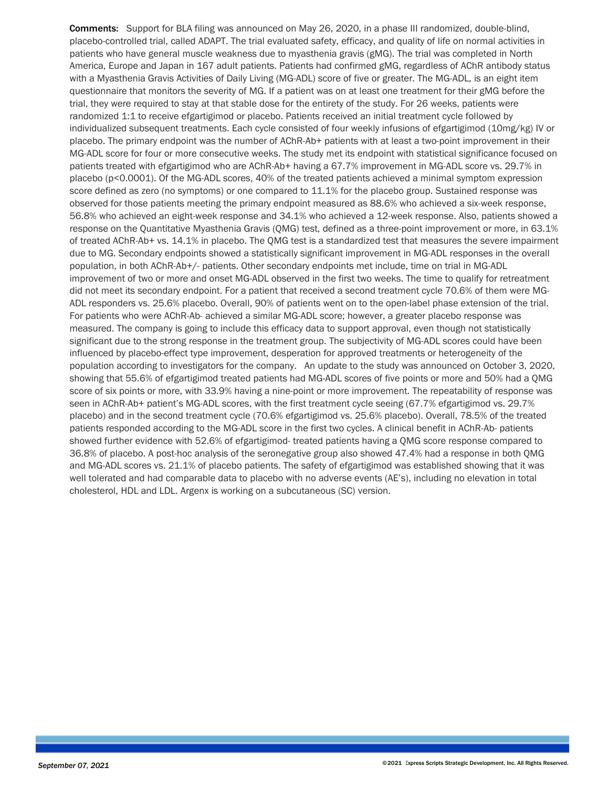Comments: Support for BLA filing was announced on May 26, 2020, in a phase III randomized, double-blind, placebo-controlled trial, called ADAPT. The trial evaluated safety, efficacy, and quality of life on normal activities in patients who have general muscle weakness due to myasthenia gravis (gMG). The trial was completed in North America, Europe and Japan in 167 adult patients. Patients had confirmed gMG, regardless of AChR antibody status with a Myasthenia Gravis Activities of Daily Living (MG-ADL) score of five or greater. The MG-ADL, is an eight item questionnaire that monitors the severity of MG. If a patient was on at least one treatment for their gMG before the trial, they were required to stay at that stable dose for the entirety of the study. For 26 weeks, patients were randomized 1:1 to receive efgartigimod or placebo. Patients received an initial treatment cycle followed by individualized subsequent treatments. Each cycle consisted of four weekly infusions of efgartigimod (10mg/kg) IV or placebo. The primary endpoint was the number of AChR-Ab+ patients with at least a two-point improvement in their MG-ADL score for four or more consecutive weeks. The study met its endpoint with statistical significance focused on patients treated with efgartigimod who are AChR-Ab+ having a 67.7% improvement in MG-ADL score vs. 29.7% in placebo (p<0.0001). Of the MG-ADL scores, 40% of the treated patients achieved a minimal symptom expression score defined as zero (no symptoms) or one compared to 11.1% for the placebo group. Sustained response was observed for those patients meeting the primary endpoint measured as 88.6% who achieved a six-week response, 56.8% who achieved an eight-week response and 34.1% who achieved a 12-week response. Also, patients showed a response on the Quantitative Myasthenia Gravis (QMG) test, defined as a three-point improvement or more, in 63.1% of treated AChR-Ab+ vs. 14.1% in placebo. The QMG test is a standardized test that measures the severe impairment due to MG. Secondary endpoints showed a statistically significant improvement in MG-ADL responses in the overall population, in both AChR-Ab+/- patients. Other secondary endpoints met include, time on trial in MG-ADL improvement of two or more and onset MG-ADL observed in the first two weeks. The time to qualify for retreatment did not meet its secondary endpoint. For a patient that received a second treatment cycle 70.6% of them were MG-ADL responders vs. 25.6% placebo. Overall, 90% of patients went on to the open-label phase extension of the trial. For patients who were AChR-Ab- achieved a similar MG-ADL score; however, a greater placebo response was measured. The company is going to include this efficacy data to support approval, even though not statistically significant due to the strong response in the treatment group. The subjectivity of MG-ADL scores could have been influenced by placebo-effect type improvement, desperation for approved treatments or heterogeneity of the population according to investigators for the company. An update to the study was announced on October 3, 2020, showing that 55.6% of efgartigimod treated patients had MG-ADL scores of five points or more and 50% had a QMG score of six points or more, with 33.9% having a nine-point or more improvement. The repeatability of response was seen in AChR-Ab+ patient's MG-ADL scores, with the first treatment cycle seeing (67.7% efgartigimod vs. 29.7% placebo) and in the second treatment cycle (70.6% efgartigimod vs. 25.6% placebo). Overall, 78.5% of the treated patients responded according to the MG-ADL score in the first two cycles. A clinical benefit in AChR-Ab- patients showed further evidence with 52.6% of efgartigimod- treated patients having a QMG score response compared to 36.8% of placebo. A post-hoc analysis of the seronegative group also showed 47.4% had a response in both QMG and MG-ADL scores vs. 21.1% of placebo patients. The safety of efgartigimod was established showing that it was well tolerated and had comparable data to placebo with no adverse events (AE's), including no elevation in total cholesterol, HDL and LDL. Argenx is working on a subcutaneous (SC) version.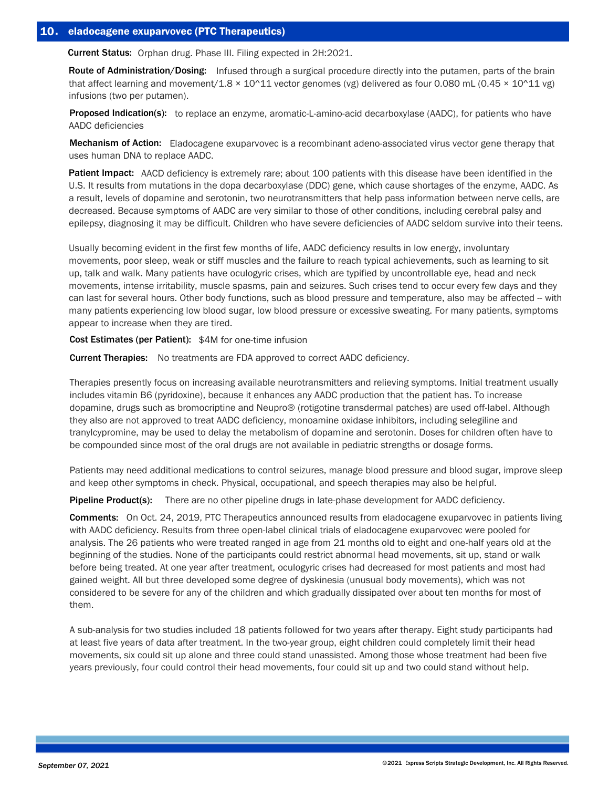Current Status: Orphan drug. Phase III. Filing expected in 2H:2021.

Route of Administration/Dosing: Infused through a surgical procedure directly into the putamen, parts of the brain that affect learning and movement/1.8  $\times$  10^11 vector genomes (vg) delivered as four 0.080 mL (0.45  $\times$  10^11 vg) infusions (two per putamen).

Proposed Indication(s): to replace an enzyme, aromatic-L-amino-acid decarboxylase (AADC), for patients who have AADC deficiencies

Mechanism of Action: Eladocagene exuparvovec is a recombinant adeno-associated virus vector gene therapy that uses human DNA to replace AADC.

Patient Impact: AACD deficiency is extremely rare; about 100 patients with this disease have been identified in the U.S. It results from mutations in the dopa decarboxylase (DDC) gene, which cause shortages of the enzyme, AADC. As a result, levels of dopamine and serotonin, two neurotransmitters that help pass information between nerve cells, are decreased. Because symptoms of AADC are very similar to those of other conditions, including cerebral palsy and epilepsy, diagnosing it may be difficult. Children who have severe deficiencies of AADC seldom survive into their teens.

Usually becoming evident in the first few months of life, AADC deficiency results in low energy, involuntary movements, poor sleep, weak or stiff muscles and the failure to reach typical achievements, such as learning to sit up, talk and walk. Many patients have oculogyric crises, which are typified by uncontrollable eye, head and neck movements, intense irritability, muscle spasms, pain and seizures. Such crises tend to occur every few days and they can last for several hours. Other body functions, such as blood pressure and temperature, also may be affected -- with many patients experiencing low blood sugar, low blood pressure or excessive sweating. For many patients, symptoms appear to increase when they are tired.

Cost Estimates (per Patient): \$4M for one-time infusion

Current Therapies: No treatments are FDA approved to correct AADC deficiency.

Therapies presently focus on increasing available neurotransmitters and relieving symptoms. Initial treatment usually includes vitamin B6 (pyridoxine), because it enhances any AADC production that the patient has. To increase dopamine, drugs such as bromocriptine and Neupro® (rotigotine transdermal patches) are used off-label. Although they also are not approved to treat AADC deficiency, monoamine oxidase inhibitors, including selegiline and tranylcypromine, may be used to delay the metabolism of dopamine and serotonin. Doses for children often have to be compounded since most of the oral drugs are not available in pediatric strengths or dosage forms.

Patients may need additional medications to control seizures, manage blood pressure and blood sugar, improve sleep and keep other symptoms in check. Physical, occupational, and speech therapies may also be helpful.

Pipeline Product(s): There are no other pipeline drugs in late-phase development for AADC deficiency.

Comments: On Oct. 24, 2019, PTC Therapeutics announced results from eladocagene exuparvovec in patients living with AADC deficiency. Results from three open-label clinical trials of eladocagene exuparvovec were pooled for analysis. The 26 patients who were treated ranged in age from 21 months old to eight and one-half years old at the beginning of the studies. None of the participants could restrict abnormal head movements, sit up, stand or walk before being treated. At one year after treatment, oculogyric crises had decreased for most patients and most had gained weight. All but three developed some degree of dyskinesia (unusual body movements), which was not considered to be severe for any of the children and which gradually dissipated over about ten months for most of them.

A sub-analysis for two studies included 18 patients followed for two years after therapy. Eight study participants had at least five years of data after treatment. In the two-year group, eight children could completely limit their head movements, six could sit up alone and three could stand unassisted. Among those whose treatment had been five years previously, four could control their head movements, four could sit up and two could stand without help.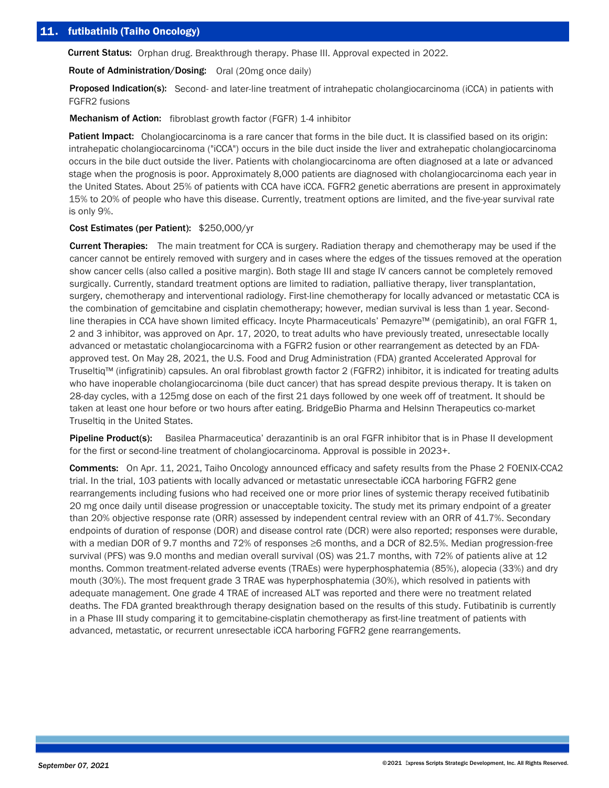Current Status: Orphan drug. Breakthrough therapy. Phase III. Approval expected in 2022.

Route of Administration/Dosing: Oral (20mg once daily)

Proposed Indication(s): Second- and later-line treatment of intrahepatic cholangiocarcinoma (iCCA) in patients with FGFR2 fusions

Mechanism of Action: fibroblast growth factor (FGFR) 1-4 inhibitor

Patient Impact: Cholangiocarcinoma is a rare cancer that forms in the bile duct. It is classified based on its origin: intrahepatic cholangiocarcinoma ("iCCA") occurs in the bile duct inside the liver and extrahepatic cholangiocarcinoma occurs in the bile duct outside the liver. Patients with cholangiocarcinoma are often diagnosed at a late or advanced stage when the prognosis is poor. Approximately 8,000 patients are diagnosed with cholangiocarcinoma each year in the United States. About 25% of patients with CCA have iCCA. FGFR2 genetic aberrations are present in approximately 15% to 20% of people who have this disease. Currently, treatment options are limited, and the five-year survival rate is only 9%.

## Cost Estimates (per Patient): \$250,000/yr

Current Therapies: The main treatment for CCA is surgery. Radiation therapy and chemotherapy may be used if the cancer cannot be entirely removed with surgery and in cases where the edges of the tissues removed at the operation show cancer cells (also called a positive margin). Both stage III and stage IV cancers cannot be completely removed surgically. Currently, standard treatment options are limited to radiation, palliative therapy, liver transplantation, surgery, chemotherapy and interventional radiology. First-line chemotherapy for locally advanced or metastatic CCA is the combination of gemcitabine and cisplatin chemotherapy; however, median survival is less than 1 year. Secondline therapies in CCA have shown limited efficacy. Incyte Pharmaceuticals' Pemazyre™ (pemigatinib), an oral FGFR 1, 2 and 3 inhibitor, was approved on Apr. 17, 2020, to treat adults who have previously treated, unresectable locally advanced or metastatic cholangiocarcinoma with a FGFR2 fusion or other rearrangement as detected by an FDAapproved test. On May 28, 2021, the U.S. Food and Drug Administration (FDA) granted Accelerated Approval for Truseltiq™ (infigratinib) capsules. An oral fibroblast growth factor 2 (FGFR2) inhibitor, it is indicated for treating adults who have inoperable cholangiocarcinoma (bile duct cancer) that has spread despite previous therapy. It is taken on 28-day cycles, with a 125mg dose on each of the first 21 days followed by one week off of treatment. It should be taken at least one hour before or two hours after eating. BridgeBio Pharma and Helsinn Therapeutics co-market Truseltiq in the United States.

Pipeline Product(s): Basilea Pharmaceutica' derazantinib is an oral FGFR inhibitor that is in Phase II development for the first or second-line treatment of cholangiocarcinoma. Approval is possible in 2023+.

Comments: On Apr. 11, 2021, Taiho Oncology announced efficacy and safety results from the Phase 2 FOENIX-CCA2 trial. In the trial, 103 patients with locally advanced or metastatic unresectable iCCA harboring FGFR2 gene rearrangements including fusions who had received one or more prior lines of systemic therapy received futibatinib 20 mg once daily until disease progression or unacceptable toxicity. The study met its primary endpoint of a greater than 20% objective response rate (ORR) assessed by independent central review with an ORR of 41.7%. Secondary endpoints of duration of response (DOR) and disease control rate (DCR) were also reported; responses were durable, with a median DOR of 9.7 months and 72% of responses ≥6 months, and a DCR of 82.5%. Median progression-free survival (PFS) was 9.0 months and median overall survival (OS) was 21.7 months, with 72% of patients alive at 12 months. Common treatment-related adverse events (TRAEs) were hyperphosphatemia (85%), alopecia (33%) and dry mouth (30%). The most frequent grade 3 TRAE was hyperphosphatemia (30%), which resolved in patients with adequate management. One grade 4 TRAE of increased ALT was reported and there were no treatment related deaths. The FDA granted breakthrough therapy designation based on the results of this study. Futibatinib is currently in a Phase III study comparing it to gemcitabine-cisplatin chemotherapy as first-line treatment of patients with advanced, metastatic, or recurrent unresectable iCCA harboring FGFR2 gene rearrangements.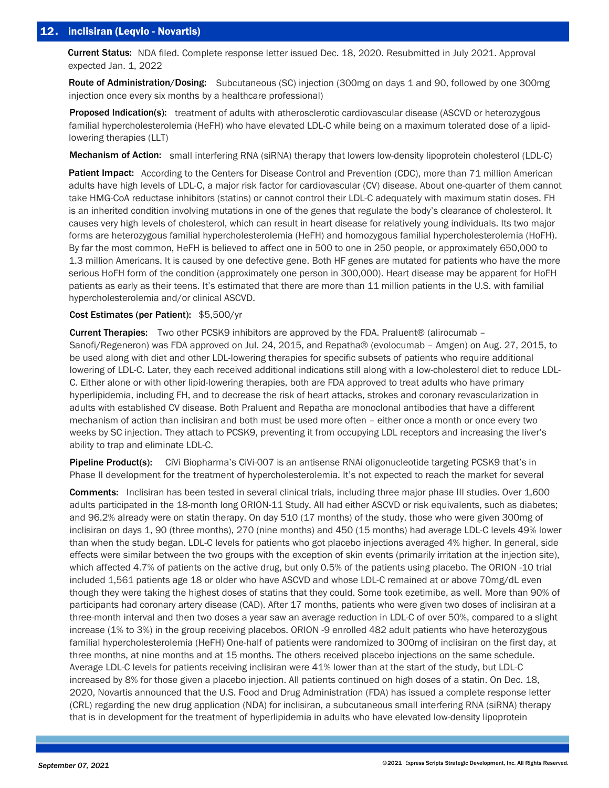# 12. inclisiran (Leqvio - Novartis)

Current Status: NDA filed. Complete response letter issued Dec. 18, 2020. Resubmitted in July 2021. Approval expected Jan. 1, 2022

Route of Administration/Dosing: Subcutaneous (SC) injection (300mg on days 1 and 90, followed by one 300mg injection once every six months by a healthcare professional)

Proposed Indication(s): treatment of adults with atherosclerotic cardiovascular disease (ASCVD or heterozygous familial hypercholesterolemia (HeFH) who have elevated LDL-C while being on a maximum tolerated dose of a lipidlowering therapies (LLT)

Mechanism of Action: small interfering RNA (siRNA) therapy that lowers low-density lipoprotein cholesterol (LDL-C)

Patient Impact: According to the Centers for Disease Control and Prevention (CDC), more than 71 million American adults have high levels of LDL-C, a major risk factor for cardiovascular (CV) disease. About one-quarter of them cannot take HMG-CoA reductase inhibitors (statins) or cannot control their LDL-C adequately with maximum statin doses. FH is an inherited condition involving mutations in one of the genes that regulate the body's clearance of cholesterol. It causes very high levels of cholesterol, which can result in heart disease for relatively young individuals. Its two major forms are heterozygous familial hypercholesterolemia (HeFH) and homozygous familial hypercholesterolemia (HoFH). By far the most common, HeFH is believed to affect one in 500 to one in 250 people, or approximately 650,000 to 1.3 million Americans. It is caused by one defective gene. Both HF genes are mutated for patients who have the more serious HoFH form of the condition (approximately one person in 300,000). Heart disease may be apparent for HoFH patients as early as their teens. It's estimated that there are more than 11 million patients in the U.S. with familial hypercholesterolemia and/or clinical ASCVD.

## Cost Estimates (per Patient): \$5,500/yr

**Current Therapies:** Two other PCSK9 inhibitors are approved by the FDA. Praluent® (alirocumab – Sanofi/Regeneron) was FDA approved on Jul. 24, 2015, and Repatha® (evolocumab – Amgen) on Aug. 27, 2015, to be used along with diet and other LDL-lowering therapies for specific subsets of patients who require additional lowering of LDL-C. Later, they each received additional indications still along with a low-cholesterol diet to reduce LDL-C. Either alone or with other lipid-lowering therapies, both are FDA approved to treat adults who have primary hyperlipidemia, including FH, and to decrease the risk of heart attacks, strokes and coronary revascularization in adults with established CV disease. Both Praluent and Repatha are monoclonal antibodies that have a different mechanism of action than inclisiran and both must be used more often – either once a month or once every two weeks by SC injection. They attach to PCSK9, preventing it from occupying LDL receptors and increasing the liver's ability to trap and eliminate LDL-C.

Pipeline Product(s): CiVi Biopharma's CiVi-007 is an antisense RNAi oligonucleotide targeting PCSK9 that's in Phase II development for the treatment of hypercholesterolemia. It's not expected to reach the market for several

Comments: Inclisiran has been tested in several clinical trials, including three major phase III studies. Over 1,600 adults participated in the 18-month long ORION-11 Study. All had either ASCVD or risk equivalents, such as diabetes; and 96.2% already were on statin therapy. On day 510 (17 months) of the study, those who were given 300mg of inclisiran on days 1, 90 (three months), 270 (nine months) and 450 (15 months) had average LDL-C levels 49% lower than when the study began. LDL-C levels for patients who got placebo injections averaged 4% higher. In general, side effects were similar between the two groups with the exception of skin events (primarily irritation at the injection site), which affected 4.7% of patients on the active drug, but only 0.5% of the patients using placebo. The ORION -10 trial included 1,561 patients age 18 or older who have ASCVD and whose LDL-C remained at or above 70mg/dL even though they were taking the highest doses of statins that they could. Some took ezetimibe, as well. More than 90% of participants had coronary artery disease (CAD). After 17 months, patients who were given two doses of inclisiran at a three-month interval and then two doses a year saw an average reduction in LDL-C of over 50%, compared to a slight increase (1% to 3%) in the group receiving placebos. ORION -9 enrolled 482 adult patients who have heterozygous familial hypercholesterolemia (HeFH) One-half of patients were randomized to 300mg of inclisiran on the first day, at three months, at nine months and at 15 months. The others received placebo injections on the same schedule. Average LDL-C levels for patients receiving inclisiran were 41% lower than at the start of the study, but LDL-C increased by 8% for those given a placebo injection. All patients continued on high doses of a statin. On Dec. 18, 2020, Novartis announced that the U.S. Food and Drug Administration (FDA) has issued a complete response letter (CRL) regarding the new drug application (NDA) for inclisiran, a subcutaneous small interfering RNA (siRNA) therapy that is in development for the treatment of hyperlipidemia in adults who have elevated low-density lipoprotein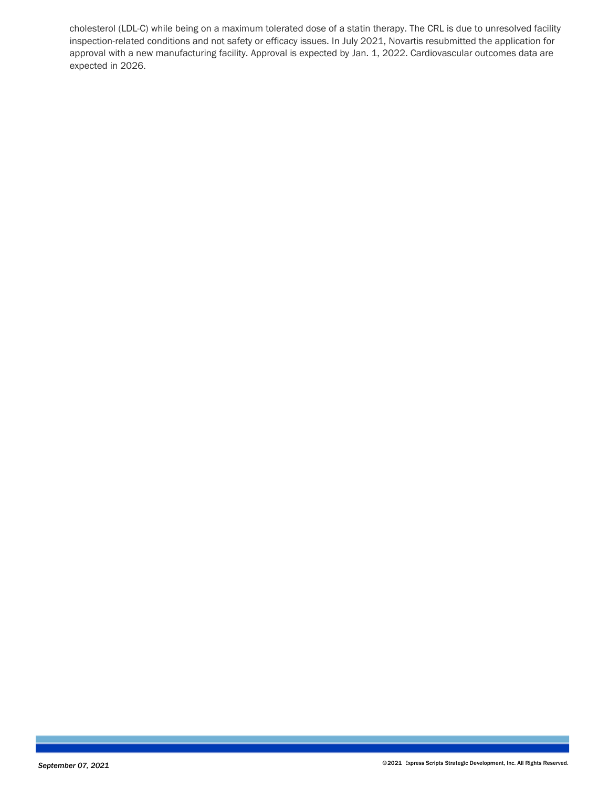cholesterol (LDL-C) while being on a maximum tolerated dose of a statin therapy. The CRL is due to unresolved facility inspection-related conditions and not safety or efficacy issues. In July 2021, Novartis resubmitted the application for approval with a new manufacturing facility. Approval is expected by Jan. 1, 2022. Cardiovascular outcomes data are expected in 2026.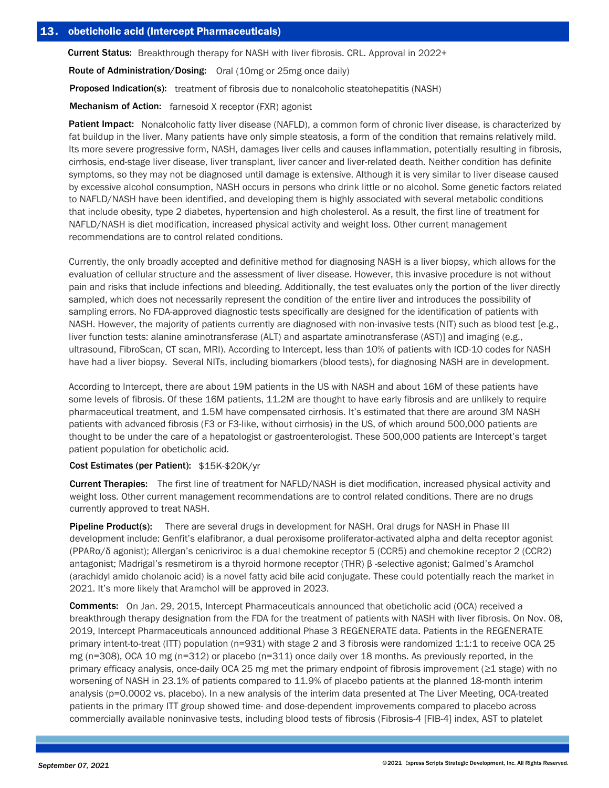Current Status: Breakthrough therapy for NASH with liver fibrosis. CRL. Approval in 2022+

Route of Administration/Dosing: Oral (10mg or 25mg once daily)

**Proposed Indication(s):** treatment of fibrosis due to nonalcoholic steatohepatitis (NASH)

Mechanism of Action: farnesoid X receptor (FXR) agonist

Patient Impact: Nonalcoholic fatty liver disease (NAFLD), a common form of chronic liver disease, is characterized by fat buildup in the liver. Many patients have only simple steatosis, a form of the condition that remains relatively mild. Its more severe progressive form, NASH, damages liver cells and causes inflammation, potentially resulting in fibrosis, cirrhosis, end-stage liver disease, liver transplant, liver cancer and liver-related death. Neither condition has definite symptoms, so they may not be diagnosed until damage is extensive. Although it is very similar to liver disease caused by excessive alcohol consumption, NASH occurs in persons who drink little or no alcohol. Some genetic factors related to NAFLD/NASH have been identified, and developing them is highly associated with several metabolic conditions that include obesity, type 2 diabetes, hypertension and high cholesterol. As a result, the first line of treatment for NAFLD/NASH is diet modification, increased physical activity and weight loss. Other current management recommendations are to control related conditions.

Currently, the only broadly accepted and definitive method for diagnosing NASH is a liver biopsy, which allows for the evaluation of cellular structure and the assessment of liver disease. However, this invasive procedure is not without pain and risks that include infections and bleeding. Additionally, the test evaluates only the portion of the liver directly sampled, which does not necessarily represent the condition of the entire liver and introduces the possibility of sampling errors. No FDA-approved diagnostic tests specifically are designed for the identification of patients with NASH. However, the majority of patients currently are diagnosed with non-invasive tests (NIT) such as blood test [e.g., liver function tests: alanine aminotransferase (ALT) and aspartate aminotransferase (AST)] and imaging (e.g., ultrasound, FibroScan, CT scan, MRI). According to Intercept, less than 10% of patients with ICD-10 codes for NASH have had a liver biopsy. Several NITs, including biomarkers (blood tests), for diagnosing NASH are in development.

According to Intercept, there are about 19M patients in the US with NASH and about 16M of these patients have some levels of fibrosis. Of these 16M patients, 11.2M are thought to have early fibrosis and are unlikely to require pharmaceutical treatment, and 1.5M have compensated cirrhosis. It's estimated that there are around 3M NASH patients with advanced fibrosis (F3 or F3-like, without cirrhosis) in the US, of which around 500,000 patients are thought to be under the care of a hepatologist or gastroenterologist. These 500,000 patients are Intercept's target patient population for obeticholic acid.

### Cost Estimates (per Patient): \$15K-\$20K/yr

Current Therapies: The first line of treatment for NAFLD/NASH is diet modification, increased physical activity and weight loss. Other current management recommendations are to control related conditions. There are no drugs currently approved to treat NASH.

Pipeline Product(s): There are several drugs in development for NASH. Oral drugs for NASH in Phase III development include: Genfit's elafibranor, a dual peroxisome proliferator-activated alpha and delta receptor agonist (PPARα/δ agonist); Allergan's cenicriviroc is a dual chemokine receptor 5 (CCR5) and chemokine receptor 2 (CCR2) antagonist; Madrigal's resmetirom is a thyroid hormone receptor (THR) β -selective agonist; Galmed's Aramchol (arachidyl amido cholanoic acid) is a novel fatty acid bile acid conjugate. These could potentially reach the market in 2021. It's more likely that Aramchol will be approved in 2023.

Comments: On Jan. 29, 2015, Intercept Pharmaceuticals announced that obeticholic acid (OCA) received a breakthrough therapy designation from the FDA for the treatment of patients with NASH with liver fibrosis. On Nov. 08, 2019, Intercept Pharmaceuticals announced additional Phase 3 REGENERATE data. Patients in the REGENERATE primary intent-to-treat (ITT) population (n=931) with stage 2 and 3 fibrosis were randomized 1:1:1 to receive OCA 25 mg (n=308), OCA 10 mg (n=312) or placebo (n=311) once daily over 18 months. As previously reported, in the primary efficacy analysis, once-daily OCA 25 mg met the primary endpoint of fibrosis improvement (≥1 stage) with no worsening of NASH in 23.1% of patients compared to 11.9% of placebo patients at the planned 18-month interim analysis (p=0.0002 vs. placebo). In a new analysis of the interim data presented at The Liver Meeting, OCA-treated patients in the primary ITT group showed time- and dose-dependent improvements compared to placebo across commercially available noninvasive tests, including blood tests of fibrosis (Fibrosis-4 [FIB-4] index, AST to platelet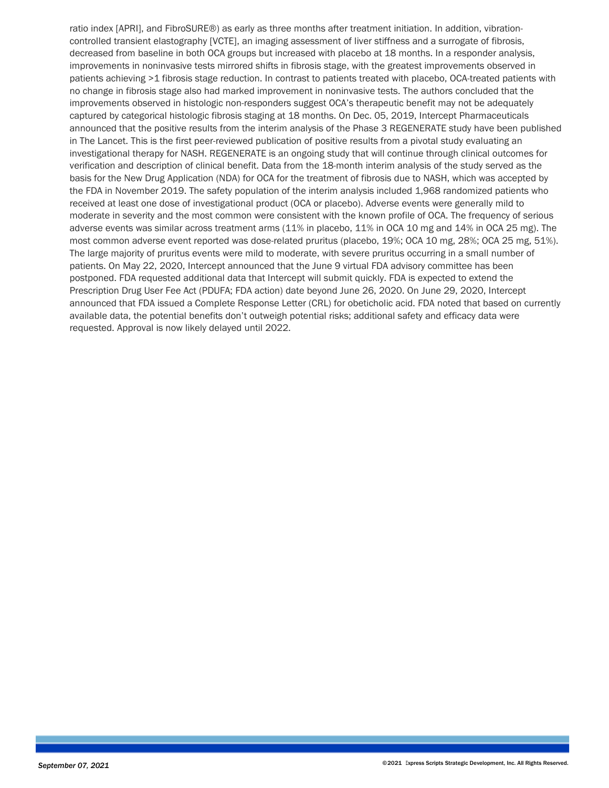ratio index [APRI], and FibroSURE®) as early as three months after treatment initiation. In addition, vibrationcontrolled transient elastography [VCTE], an imaging assessment of liver stiffness and a surrogate of fibrosis, decreased from baseline in both OCA groups but increased with placebo at 18 months. In a responder analysis, improvements in noninvasive tests mirrored shifts in fibrosis stage, with the greatest improvements observed in patients achieving >1 fibrosis stage reduction. In contrast to patients treated with placebo, OCA-treated patients with no change in fibrosis stage also had marked improvement in noninvasive tests. The authors concluded that the improvements observed in histologic non-responders suggest OCA's therapeutic benefit may not be adequately captured by categorical histologic fibrosis staging at 18 months. On Dec. 05, 2019, Intercept Pharmaceuticals announced that the positive results from the interim analysis of the Phase 3 REGENERATE study have been published in The Lancet. This is the first peer-reviewed publication of positive results from a pivotal study evaluating an investigational therapy for NASH. REGENERATE is an ongoing study that will continue through clinical outcomes for verification and description of clinical benefit. Data from the 18-month interim analysis of the study served as the basis for the New Drug Application (NDA) for OCA for the treatment of fibrosis due to NASH, which was accepted by the FDA in November 2019. The safety population of the interim analysis included 1,968 randomized patients who received at least one dose of investigational product (OCA or placebo). Adverse events were generally mild to moderate in severity and the most common were consistent with the known profile of OCA. The frequency of serious adverse events was similar across treatment arms (11% in placebo, 11% in OCA 10 mg and 14% in OCA 25 mg). The most common adverse event reported was dose-related pruritus (placebo, 19%; OCA 10 mg, 28%; OCA 25 mg, 51%). The large majority of pruritus events were mild to moderate, with severe pruritus occurring in a small number of patients. On May 22, 2020, Intercept announced that the June 9 virtual FDA advisory committee has been postponed. FDA requested additional data that Intercept will submit quickly. FDA is expected to extend the Prescription Drug User Fee Act (PDUFA; FDA action) date beyond June 26, 2020. On June 29, 2020, Intercept announced that FDA issued a Complete Response Letter (CRL) for obeticholic acid. FDA noted that based on currently available data, the potential benefits don't outweigh potential risks; additional safety and efficacy data were requested. Approval is now likely delayed until 2022.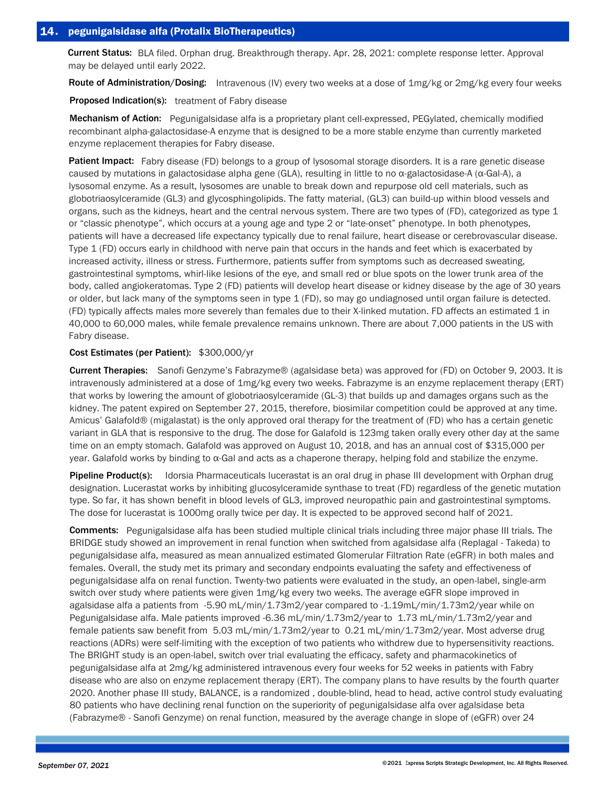Current Status: BLA filed. Orphan drug. Breakthrough therapy. Apr. 28, 2021: complete response letter. Approval may be delayed until early 2022.

Route of Administration/Dosing: Intravenous (IV) every two weeks at a dose of 1mg/kg or 2mg/kg every four weeks

Proposed Indication(s): treatment of Fabry disease

Mechanism of Action: Pegunigalsidase alfa is a proprietary plant cell-expressed, PEGylated, chemically modified recombinant alpha-galactosidase-A enzyme that is designed to be a more stable enzyme than currently marketed enzyme replacement therapies for Fabry disease.

Patient Impact: Fabry disease (FD) belongs to a group of lysosomal storage disorders. It is a rare genetic disease caused by mutations in galactosidase alpha gene (GLA), resulting in little to no α-galactosidase-A (α-Gal-A), a lysosomal enzyme. As a result, lysosomes are unable to break down and repurpose old cell materials, such as globotriaosylceramide (GL3) and glycosphingolipids. The fatty material, (GL3) can build-up within blood vessels and organs, such as the kidneys, heart and the central nervous system. There are two types of (FD), categorized as type 1 or "classic phenotype", which occurs at a young age and type 2 or "late-onset" phenotype. In both phenotypes, patients will have a decreased life expectancy typically due to renal failure, heart disease or cerebrovascular disease. Type 1 (FD) occurs early in childhood with nerve pain that occurs in the hands and feet which is exacerbated by increased activity, illness or stress. Furthermore, patients suffer from symptoms such as decreased sweating, gastrointestinal symptoms, whirl-like lesions of the eye, and small red or blue spots on the lower trunk area of the body, called angiokeratomas. Type 2 (FD) patients will develop heart disease or kidney disease by the age of 30 years or older, but lack many of the symptoms seen in type 1 (FD), so may go undiagnosed until organ failure is detected. (FD) typically affects males more severely than females due to their X-linked mutation. FD affects an estimated 1 in 40,000 to 60,000 males, while female prevalence remains unknown. There are about 7,000 patients in the US with Fabry disease.

## Cost Estimates (per Patient): \$300,000/yr

Current Therapies: Sanofi Genzyme's Fabrazyme® (agalsidase beta) was approved for (FD) on October 9, 2003. It is intravenously administered at a dose of 1mg/kg every two weeks. Fabrazyme is an enzyme replacement therapy (ERT) that works by lowering the amount of globotriaosylceramide (GL-3) that builds up and damages organs such as the kidney. The patent expired on September 27, 2015, therefore, biosimilar competition could be approved at any time. Amicus' Galafold® (migalastat) is the only approved oral therapy for the treatment of (FD) who has a certain genetic variant in GLA that is responsive to the drug. The dose for Galafold is 123mg taken orally every other day at the same time on an empty stomach. Galafold was approved on August 10, 2018, and has an annual cost of \$315,000 per year. Galafold works by binding to α-Gal and acts as a chaperone therapy, helping fold and stabilize the enzyme.

Pipeline Product(s): Idorsia Pharmaceuticals lucerastat is an oral drug in phase III development with Orphan drug designation. Lucerastat works by inhibiting glucosylceramide synthase to treat (FD) regardless of the genetic mutation type. So far, it has shown benefit in blood levels of GL3, improved neuropathic pain and gastrointestinal symptoms. The dose for lucerastat is 1000mg orally twice per day. It is expected to be approved second half of 2021.

Comments: Pegunigalsidase alfa has been studied multiple clinical trials including three major phase III trials. The BRIDGE study showed an improvement in renal function when switched from agalsidase alfa (Replagal - Takeda) to pegunigalsidase alfa, measured as mean annualized estimated Glomerular Filtration Rate (eGFR) in both males and females. Overall, the study met its primary and secondary endpoints evaluating the safety and effectiveness of pegunigalsidase alfa on renal function. Twenty-two patients were evaluated in the study, an open-label, single-arm switch over study where patients were given 1mg/kg every two weeks. The average eGFR slope improved in agalsidase alfa a patients from -5.90 mL/min/1.73m2/year compared to -1.19mL/min/1.73m2/year while on Pegunigalsidase alfa. Male patients improved -6.36 mL/min/1.73m2/year to 1.73 mL/min/1.73m2/year and female patients saw benefit from 5.03 mL/min/1.73m2/year to 0.21 mL/min/1.73m2/year. Most adverse drug reactions (ADRs) were self-limiting with the exception of two patients who withdrew due to hypersensitivity reactions. The BRIGHT study is an open-label, switch over trial evaluating the efficacy, safety and pharmacokinetics of pegunigalsidase alfa at 2mg/kg administered intravenous every four weeks for 52 weeks in patients with Fabry disease who are also on enzyme replacement therapy (ERT). The company plans to have results by the fourth quarter 2020. Another phase III study, BALANCE, is a randomized , double-blind, head to head, active control study evaluating 80 patients who have declining renal function on the superiority of pegunigalsidase alfa over agalsidase beta (Fabrazyme® - Sanofi Genzyme) on renal function, measured by the average change in slope of (eGFR) over 24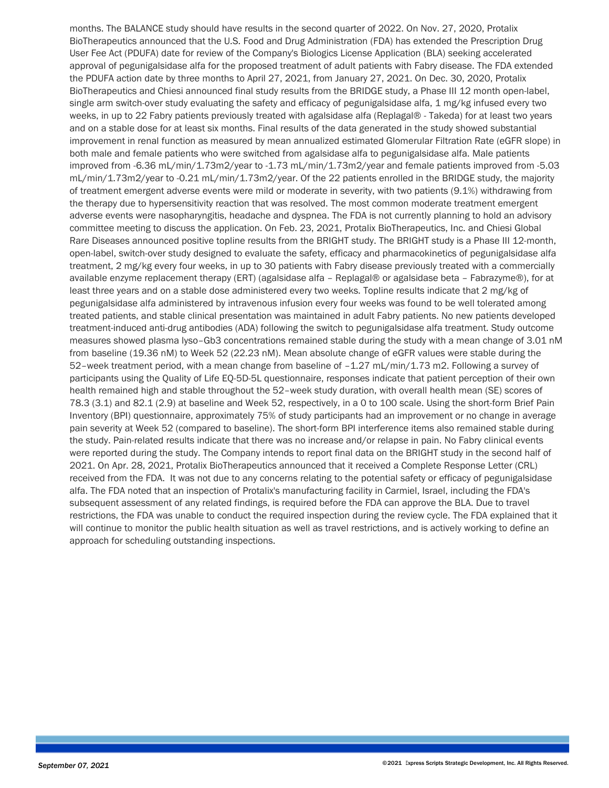months. The BALANCE study should have results in the second quarter of 2022. On Nov. 27, 2020, Protalix BioTherapeutics announced that the U.S. Food and Drug Administration (FDA) has extended the Prescription Drug User Fee Act (PDUFA) date for review of the Company's Biologics License Application (BLA) seeking accelerated approval of pegunigalsidase alfa for the proposed treatment of adult patients with Fabry disease. The FDA extended the PDUFA action date by three months to April 27, 2021, from January 27, 2021. On Dec. 30, 2020, Protalix BioTherapeutics and Chiesi announced final study results from the BRIDGE study, a Phase III 12 month open-label, single arm switch-over study evaluating the safety and efficacy of pegunigalsidase alfa, 1 mg/kg infused every two weeks, in up to 22 Fabry patients previously treated with agalsidase alfa (Replagal® - Takeda) for at least two years and on a stable dose for at least six months. Final results of the data generated in the study showed substantial improvement in renal function as measured by mean annualized estimated Glomerular Filtration Rate (eGFR slope) in both male and female patients who were switched from agalsidase alfa to pegunigalsidase alfa. Male patients improved from -6.36 mL/min/1.73m2/year to -1.73 mL/min/1.73m2/year and female patients improved from -5.03 mL/min/1.73m2/year to -0.21 mL/min/1.73m2/year. Of the 22 patients enrolled in the BRIDGE study, the majority of treatment emergent adverse events were mild or moderate in severity, with two patients (9.1%) withdrawing from the therapy due to hypersensitivity reaction that was resolved. The most common moderate treatment emergent adverse events were nasopharyngitis, headache and dyspnea. The FDA is not currently planning to hold an advisory committee meeting to discuss the application. On Feb. 23, 2021, Protalix BioTherapeutics, Inc. and Chiesi Global Rare Diseases announced positive topline results from the BRIGHT study. The BRIGHT study is a Phase III 12-month, open-label, switch-over study designed to evaluate the safety, efficacy and pharmacokinetics of pegunigalsidase alfa treatment, 2 mg/kg every four weeks, in up to 30 patients with Fabry disease previously treated with a commercially available enzyme replacement therapy (ERT) (agalsidase alfa – Replagal® or agalsidase beta – Fabrazyme®), for at least three years and on a stable dose administered every two weeks. Topline results indicate that 2 mg/kg of pegunigalsidase alfa administered by intravenous infusion every four weeks was found to be well tolerated among treated patients, and stable clinical presentation was maintained in adult Fabry patients. No new patients developed treatment-induced anti-drug antibodies (ADA) following the switch to pegunigalsidase alfa treatment. Study outcome measures showed plasma lyso–Gb3 concentrations remained stable during the study with a mean change of 3.01 nM from baseline (19.36 nM) to Week 52 (22.23 nM). Mean absolute change of eGFR values were stable during the 52–week treatment period, with a mean change from baseline of –1.27 mL/min/1.73 m2. Following a survey of participants using the Quality of Life EQ-5D-5L questionnaire, responses indicate that patient perception of their own health remained high and stable throughout the 52–week study duration, with overall health mean (SE) scores of 78.3 (3.1) and 82.1 (2.9) at baseline and Week 52, respectively, in a 0 to 100 scale. Using the short-form Brief Pain Inventory (BPI) questionnaire, approximately 75% of study participants had an improvement or no change in average pain severity at Week 52 (compared to baseline). The short-form BPI interference items also remained stable during the study. Pain-related results indicate that there was no increase and/or relapse in pain. No Fabry clinical events were reported during the study. The Company intends to report final data on the BRIGHT study in the second half of 2021. On Apr. 28, 2021, Protalix BioTherapeutics announced that it received a Complete Response Letter (CRL) received from the FDA. It was not due to any concerns relating to the potential safety or efficacy of pegunigalsidase alfa. The FDA noted that an inspection of Protalix's manufacturing facility in Carmiel, Israel, including the FDA's subsequent assessment of any related findings, is required before the FDA can approve the BLA. Due to travel restrictions, the FDA was unable to conduct the required inspection during the review cycle. The FDA explained that it will continue to monitor the public health situation as well as travel restrictions, and is actively working to define an approach for scheduling outstanding inspections.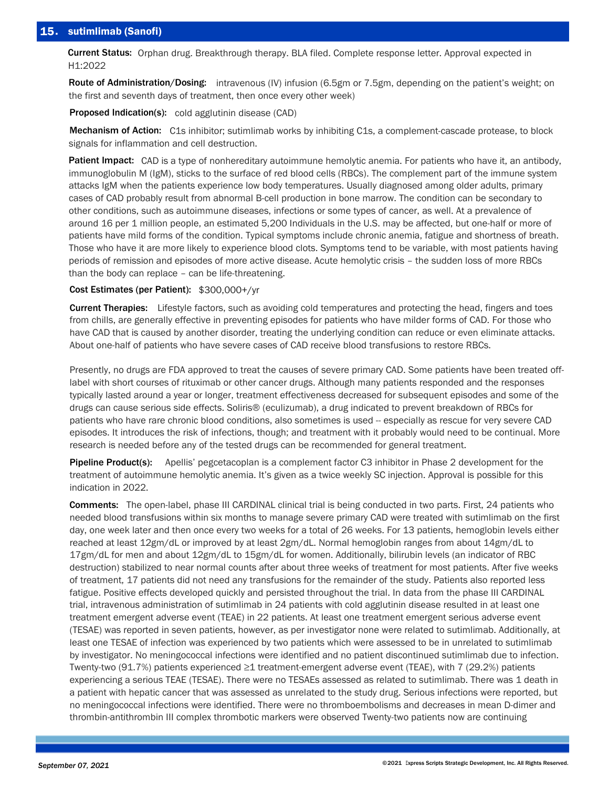# 15. sutimlimab (Sanofi)

Current Status: Orphan drug. Breakthrough therapy. BLA filed. Complete response letter. Approval expected in H1:2022

Route of Administration/Dosing: intravenous (IV) infusion (6.5gm or 7.5gm, depending on the patient's weight; on the first and seventh days of treatment, then once every other week)

**Proposed Indication(s):** cold agglutinin disease (CAD)

Mechanism of Action: C1s inhibitor; sutimlimab works by inhibiting C1s, a complement-cascade protease, to block signals for inflammation and cell destruction.

Patient Impact: CAD is a type of nonhereditary autoimmune hemolytic anemia. For patients who have it, an antibody, immunoglobulin M (IgM), sticks to the surface of red blood cells (RBCs). The complement part of the immune system attacks IgM when the patients experience low body temperatures. Usually diagnosed among older adults, primary cases of CAD probably result from abnormal B-cell production in bone marrow. The condition can be secondary to other conditions, such as autoimmune diseases, infections or some types of cancer, as well. At a prevalence of around 16 per 1 million people, an estimated 5,200 Individuals in the U.S. may be affected, but one-half or more of patients have mild forms of the condition. Typical symptoms include chronic anemia, fatigue and shortness of breath. Those who have it are more likely to experience blood clots. Symptoms tend to be variable, with most patients having periods of remission and episodes of more active disease. Acute hemolytic crisis – the sudden loss of more RBCs than the body can replace – can be life-threatening.

## Cost Estimates (per Patient): \$300,000+/yr

Current Therapies: Lifestyle factors, such as avoiding cold temperatures and protecting the head, fingers and toes from chills, are generally effective in preventing episodes for patients who have milder forms of CAD. For those who have CAD that is caused by another disorder, treating the underlying condition can reduce or even eliminate attacks. About one-half of patients who have severe cases of CAD receive blood transfusions to restore RBCs.

Presently, no drugs are FDA approved to treat the causes of severe primary CAD. Some patients have been treated offlabel with short courses of rituximab or other cancer drugs. Although many patients responded and the responses typically lasted around a year or longer, treatment effectiveness decreased for subsequent episodes and some of the drugs can cause serious side effects. Soliris® (eculizumab), a drug indicated to prevent breakdown of RBCs for patients who have rare chronic blood conditions, also sometimes is used -- especially as rescue for very severe CAD episodes. It introduces the risk of infections, though; and treatment with it probably would need to be continual. More research is needed before any of the tested drugs can be recommended for general treatment.

Pipeline Product(s): Apellis' pegcetacoplan is a complement factor C3 inhibitor in Phase 2 development for the treatment of autoimmune hemolytic anemia. It's given as a twice weekly SC injection. Approval is possible for this indication in 2022.

Comments: The open-label, phase III CARDINAL clinical trial is being conducted in two parts. First, 24 patients who needed blood transfusions within six months to manage severe primary CAD were treated with sutimlimab on the first day, one week later and then once every two weeks for a total of 26 weeks. For 13 patients, hemoglobin levels either reached at least 12gm/dL or improved by at least 2gm/dL. Normal hemoglobin ranges from about 14gm/dL to 17gm/dL for men and about 12gm/dL to 15gm/dL for women. Additionally, bilirubin levels (an indicator of RBC destruction) stabilized to near normal counts after about three weeks of treatment for most patients. After five weeks of treatment, 17 patients did not need any transfusions for the remainder of the study. Patients also reported less fatigue. Positive effects developed quickly and persisted throughout the trial. In data from the phase III CARDINAL trial, intravenous administration of sutimlimab in 24 patients with cold agglutinin disease resulted in at least one treatment emergent adverse event (TEAE) in 22 patients. At least one treatment emergent serious adverse event (TESAE) was reported in seven patients, however, as per investigator none were related to sutimlimab. Additionally, at least one TESAE of infection was experienced by two patients which were assessed to be in unrelated to sutimlimab by investigator. No meningococcal infections were identified and no patient discontinued sutimlimab due to infection. Twenty-two (91.7%) patients experienced ≥1 treatment-emergent adverse event (TEAE), with 7 (29.2%) patients experiencing a serious TEAE (TESAE). There were no TESAEs assessed as related to sutimlimab. There was 1 death in a patient with hepatic cancer that was assessed as unrelated to the study drug. Serious infections were reported, but no meningococcal infections were identified. There were no thromboembolisms and decreases in mean D-dimer and thrombin-antithrombin III complex thrombotic markers were observed Twenty-two patients now are continuing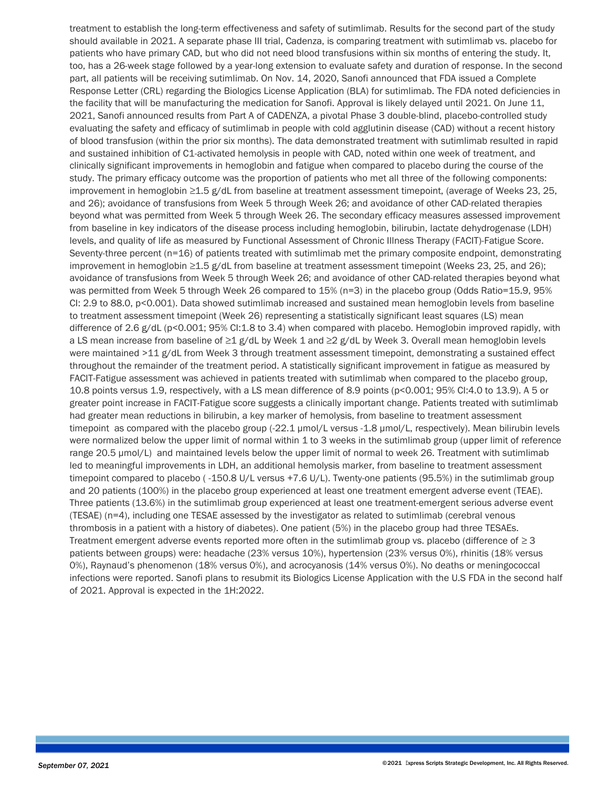treatment to establish the long-term effectiveness and safety of sutimlimab. Results for the second part of the study should available in 2021. A separate phase III trial, Cadenza, is comparing treatment with sutimlimab vs. placebo for patients who have primary CAD, but who did not need blood transfusions within six months of entering the study. It, too, has a 26-week stage followed by a year-long extension to evaluate safety and duration of response. In the second part, all patients will be receiving sutimlimab. On Nov. 14, 2020, Sanofi announced that FDA issued a Complete Response Letter (CRL) regarding the Biologics License Application (BLA) for sutimlimab. The FDA noted deficiencies in the facility that will be manufacturing the medication for Sanofi. Approval is likely delayed until 2021. On June 11, 2021, Sanofi announced results from Part A of CADENZA, a pivotal Phase 3 double-blind, placebo-controlled study evaluating the safety and efficacy of sutimlimab in people with cold agglutinin disease (CAD) without a recent history of blood transfusion (within the prior six months). The data demonstrated treatment with sutimlimab resulted in rapid and sustained inhibition of C1-activated hemolysis in people with CAD, noted within one week of treatment, and clinically significant improvements in hemoglobin and fatigue when compared to placebo during the course of the study. The primary efficacy outcome was the proportion of patients who met all three of the following components: improvement in hemoglobin ≥1.5 g/dL from baseline at treatment assessment timepoint, (average of Weeks 23, 25, and 26); avoidance of transfusions from Week 5 through Week 26; and avoidance of other CAD-related therapies beyond what was permitted from Week 5 through Week 26. The secondary efficacy measures assessed improvement from baseline in key indicators of the disease process including hemoglobin, bilirubin, lactate dehydrogenase (LDH) levels, and quality of life as measured by Functional Assessment of Chronic Illness Therapy (FACIT)-Fatigue Score. Seventy-three percent (n=16) of patients treated with sutimlimab met the primary composite endpoint, demonstrating improvement in hemoglobin ≥1.5 g/dL from baseline at treatment assessment timepoint (Weeks 23, 25, and 26); avoidance of transfusions from Week 5 through Week 26; and avoidance of other CAD-related therapies beyond what was permitted from Week 5 through Week 26 compared to 15% (n=3) in the placebo group (Odds Ratio=15.9, 95% CI: 2.9 to 88.0, p<0.001). Data showed sutimlimab increased and sustained mean hemoglobin levels from baseline to treatment assessment timepoint (Week 26) representing a statistically significant least squares (LS) mean difference of 2.6 g/dL (p<0.001; 95% CI:1.8 to 3.4) when compared with placebo. Hemoglobin improved rapidly, with a LS mean increase from baseline of ≥1 g/dL by Week 1 and ≥2 g/dL by Week 3. Overall mean hemoglobin levels were maintained >11 g/dL from Week 3 through treatment assessment timepoint, demonstrating a sustained effect throughout the remainder of the treatment period. A statistically significant improvement in fatigue as measured by FACIT-Fatigue assessment was achieved in patients treated with sutimlimab when compared to the placebo group, 10.8 points versus 1.9, respectively, with a LS mean difference of 8.9 points (p<0.001; 95% CI:4.0 to 13.9). A 5 or greater point increase in FACIT-Fatigue score suggests a clinically important change. Patients treated with sutimlimab had greater mean reductions in bilirubin, a key marker of hemolysis, from baseline to treatment assessment timepoint as compared with the placebo group (-22.1 μmol/L versus -1.8 μmol/L, respectively). Mean bilirubin levels were normalized below the upper limit of normal within 1 to 3 weeks in the sutimlimab group (upper limit of reference range 20.5 µmol/L) and maintained levels below the upper limit of normal to week 26. Treatment with sutimlimab led to meaningful improvements in LDH, an additional hemolysis marker, from baseline to treatment assessment timepoint compared to placebo (-150.8 U/L versus +7.6 U/L). Twenty-one patients (95.5%) in the sutimlimab group and 20 patients (100%) in the placebo group experienced at least one treatment emergent adverse event (TEAE). Three patients (13.6%) in the sutimlimab group experienced at least one treatment-emergent serious adverse event (TESAE) (n=4), including one TESAE assessed by the investigator as related to sutimlimab (cerebral venous thrombosis in a patient with a history of diabetes). One patient (5%) in the placebo group had three TESAEs. Treatment emergent adverse events reported more often in the sutimlimab group vs. placebo (difference of  $\geq$  3 patients between groups) were: headache (23% versus 10%), hypertension (23% versus 0%), rhinitis (18% versus 0%), Raynaud's phenomenon (18% versus 0%), and acrocyanosis (14% versus 0%). No deaths or meningococcal infections were reported. Sanofi plans to resubmit its Biologics License Application with the U.S FDA in the second half of 2021. Approval is expected in the 1H:2022.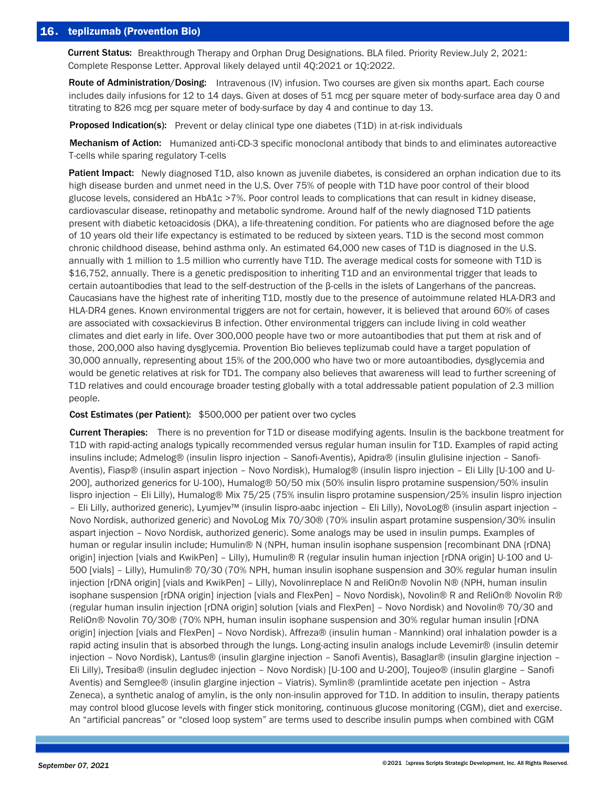# 16. teplizumab (Provention Bio)

Current Status: Breakthrough Therapy and Orphan Drug Designations. BLA filed. Priority Review.July 2, 2021: Complete Response Letter. Approval likely delayed until 4Q:2021 or 1Q:2022.

Route of Administration/Dosing: Intravenous (IV) infusion. Two courses are given six months apart. Each course includes daily infusions for 12 to 14 days. Given at doses of 51 mcg per square meter of body-surface area day 0 and titrating to 826 mcg per square meter of body-surface by day 4 and continue to day 13.

Proposed Indication(s): Prevent or delay clinical type one diabetes (T1D) in at-risk individuals

Mechanism of Action: Humanized anti-CD-3 specific monoclonal antibody that binds to and eliminates autoreactive T-cells while sparing regulatory T-cells

Patient Impact: Newly diagnosed T1D, also known as juvenile diabetes, is considered an orphan indication due to its high disease burden and unmet need in the U.S. Over 75% of people with T1D have poor control of their blood glucose levels, considered an HbA1c >7%. Poor control leads to complications that can result in kidney disease, cardiovascular disease, retinopathy and metabolic syndrome. Around half of the newly diagnosed T1D patients present with diabetic ketoacidosis (DKA), a life-threatening condition. For patients who are diagnosed before the age of 10 years old their life expectancy is estimated to be reduced by sixteen years. T1D is the second most common chronic childhood disease, behind asthma only. An estimated 64,000 new cases of T1D is diagnosed in the U.S. annually with 1 million to 1.5 million who currently have T1D. The average medical costs for someone with T1D is \$16,752, annually. There is a genetic predisposition to inheriting T1D and an environmental trigger that leads to certain autoantibodies that lead to the self-destruction of the β-cells in the islets of Langerhans of the pancreas. Caucasians have the highest rate of inheriting T1D, mostly due to the presence of autoimmune related HLA-DR3 and HLA-DR4 genes. Known environmental triggers are not for certain, however, it is believed that around 60% of cases are associated with coxsackievirus B infection. Other environmental triggers can include living in cold weather climates and diet early in life. Over 300,000 people have two or more autoantibodies that put them at risk and of those, 200,000 also having dysglycemia. Provention Bio believes teplizumab could have a target population of 30,000 annually, representing about 15% of the 200,000 who have two or more autoantibodies, dysglycemia and would be genetic relatives at risk for TD1. The company also believes that awareness will lead to further screening of T1D relatives and could encourage broader testing globally with a total addressable patient population of 2.3 million people.

### Cost Estimates (per Patient): \$500,000 per patient over two cycles

Current Therapies: There is no prevention for T1D or disease modifying agents. Insulin is the backbone treatment for T1D with rapid-acting analogs typically recommended versus regular human insulin for T1D. Examples of rapid acting insulins include; Admelog® (insulin lispro injection – Sanofi-Aventis), Apidra® (insulin glulisine injection – Sanofi-Aventis), Fiasp® (insulin aspart injection – Novo Nordisk), Humalog® (insulin lispro injection – Eli Lilly [U-100 and U-200], authorized generics for U-100), Humalog® 50/50 mix (50% insulin lispro protamine suspension/50% insulin lispro injection – Eli Lilly), Humalog® Mix 75/25 (75% insulin lispro protamine suspension/25% insulin lispro injection – Eli Lilly, authorized generic), Lyumjev™ (insulin lispro-aabc injection – Eli Lilly), NovoLog® (insulin aspart injection – Novo Nordisk, authorized generic) and NovoLog Mix 70/30® (70% insulin aspart protamine suspension/30% insulin aspart injection – Novo Nordisk, authorized generic). Some analogs may be used in insulin pumps. Examples of human or regular insulin include; Humulin® N (NPH, human insulin isophane suspension [recombinant DNA {rDNA} origin] injection [vials and KwikPen] – Lilly), Humulin® R (regular insulin human injection [rDNA origin] U-100 and U-500 [vials] – Lilly), Humulin® 70/30 (70% NPH, human insulin isophane suspension and 30% regular human insulin injection [rDNA origin] [vials and KwikPen] – Lilly), Novolinreplace N and ReliOn® Novolin N® (NPH, human insulin isophane suspension [rDNA origin] injection [vials and FlexPen] – Novo Nordisk), Novolin® R and ReliOn® Novolin R® (regular human insulin injection [rDNA origin] solution [vials and FlexPen] – Novo Nordisk) and Novolin® 70/30 and ReliOn® Novolin 70/30® (70% NPH, human insulin isophane suspension and 30% regular human insulin [rDNA origin] injection [vials and FlexPen] – Novo Nordisk). Affreza® (insulin human - Mannkind) oral inhalation powder is a rapid acting insulin that is absorbed through the lungs. Long-acting insulin analogs include Levemir® (insulin detemir injection – Novo Nordisk), Lantus® (insulin glargine injection – Sanofi Aventis), Basaglar® (insulin glargine injection – Eli Lilly), Tresiba® (insulin degludec injection – Novo Nordisk) [U-100 and U-200], Toujeo® (insulin glargine – Sanofi Aventis) and Semglee® (insulin glargine injection – Viatris). Symlin® (pramlintide acetate pen injection – Astra Zeneca), a synthetic analog of amylin, is the only non-insulin approved for T1D. In addition to insulin, therapy patients may control blood glucose levels with finger stick monitoring, continuous glucose monitoring (CGM), diet and exercise. An "artificial pancreas" or "closed loop system" are terms used to describe insulin pumps when combined with CGM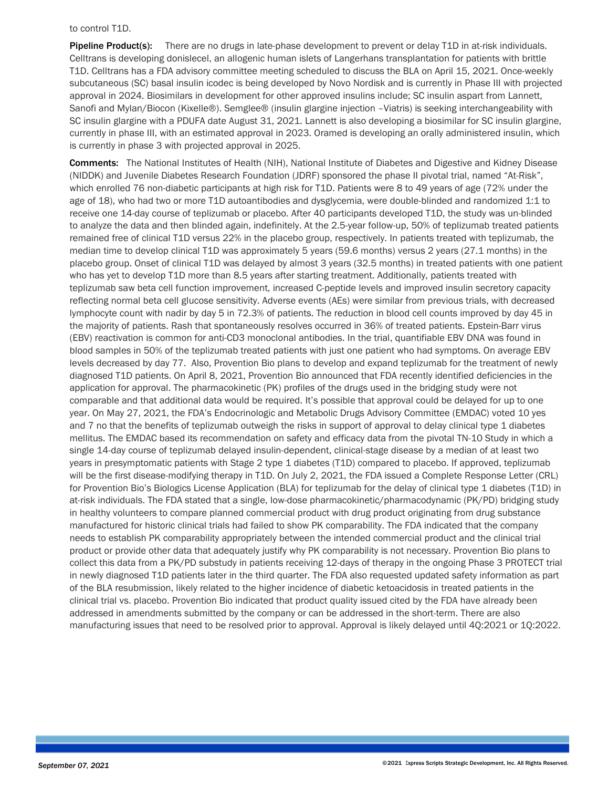to control T1D.

Pipeline Product(s): There are no drugs in late-phase development to prevent or delay T1D in at-risk individuals. Celltrans is developing donislecel, an allogenic human islets of Langerhans transplantation for patients with brittle T1D. Celltrans has a FDA advisory committee meeting scheduled to discuss the BLA on April 15, 2021. Once-weekly subcutaneous (SC) basal insulin icodec is being developed by Novo Nordisk and is currently in Phase III with projected approval in 2024. Biosimilars in development for other approved insulins include; SC insulin aspart from Lannett, Sanofi and Mylan/Biocon (Kixelle®). Semglee® (insulin glargine injection –Viatris) is seeking interchangeability with SC insulin glargine with a PDUFA date August 31, 2021. Lannett is also developing a biosimilar for SC insulin glargine, currently in phase III, with an estimated approval in 2023. Oramed is developing an orally administered insulin, which is currently in phase 3 with projected approval in 2025.

Comments: The National Institutes of Health (NIH), National Institute of Diabetes and Digestive and Kidney Disease (NIDDK) and Juvenile Diabetes Research Foundation (JDRF) sponsored the phase II pivotal trial, named "At-Risk", which enrolled 76 non-diabetic participants at high risk for T1D. Patients were 8 to 49 years of age (72% under the age of 18), who had two or more T1D autoantibodies and dysglycemia, were double-blinded and randomized 1:1 to receive one 14-day course of teplizumab or placebo. After 40 participants developed T1D, the study was un-blinded to analyze the data and then blinded again, indefinitely. At the 2.5-year follow-up, 50% of teplizumab treated patients remained free of clinical T1D versus 22% in the placebo group, respectively. In patients treated with teplizumab, the median time to develop clinical T1D was approximately 5 years (59.6 months) versus 2 years (27.1 months) in the placebo group. Onset of clinical T1D was delayed by almost 3 years (32.5 months) in treated patients with one patient who has yet to develop T1D more than 8.5 years after starting treatment. Additionally, patients treated with teplizumab saw beta cell function improvement, increased C-peptide levels and improved insulin secretory capacity reflecting normal beta cell glucose sensitivity. Adverse events (AEs) were similar from previous trials, with decreased lymphocyte count with nadir by day 5 in 72.3% of patients. The reduction in blood cell counts improved by day 45 in the majority of patients. Rash that spontaneously resolves occurred in 36% of treated patients. Epstein-Barr virus (EBV) reactivation is common for anti-CD3 monoclonal antibodies. In the trial, quantifiable EBV DNA was found in blood samples in 50% of the teplizumab treated patients with just one patient who had symptoms. On average EBV levels decreased by day 77. Also, Provention Bio plans to develop and expand teplizumab for the treatment of newly diagnosed T1D patients. On April 8, 2021, Provention Bio announced that FDA recently identified deficiencies in the application for approval. The pharmacokinetic (PK) profiles of the drugs used in the bridging study were not comparable and that additional data would be required. It's possible that approval could be delayed for up to one year. On May 27, 2021, the FDA's Endocrinologic and Metabolic Drugs Advisory Committee (EMDAC) voted 10 yes and 7 no that the benefits of teplizumab outweigh the risks in support of approval to delay clinical type 1 diabetes mellitus. The EMDAC based its recommendation on safety and efficacy data from the pivotal TN-10 Study in which a single 14-day course of teplizumab delayed insulin-dependent, clinical-stage disease by a median of at least two years in presymptomatic patients with Stage 2 type 1 diabetes (T1D) compared to placebo. If approved, teplizumab will be the first disease-modifying therapy in T1D. On July 2, 2021, the FDA issued a Complete Response Letter (CRL) for Provention Bio's Biologics License Application (BLA) for teplizumab for the delay of clinical type 1 diabetes (T1D) in at-risk individuals. The FDA stated that a single, low-dose pharmacokinetic/pharmacodynamic (PK/PD) bridging study in healthy volunteers to compare planned commercial product with drug product originating from drug substance manufactured for historic clinical trials had failed to show PK comparability. The FDA indicated that the company needs to establish PK comparability appropriately between the intended commercial product and the clinical trial product or provide other data that adequately justify why PK comparability is not necessary. Provention Bio plans to collect this data from a PK/PD substudy in patients receiving 12-days of therapy in the ongoing Phase 3 PROTECT trial in newly diagnosed T1D patients later in the third quarter. The FDA also requested updated safety information as part of the BLA resubmission, likely related to the higher incidence of diabetic ketoacidosis in treated patients in the clinical trial vs. placebo. Provention Bio indicated that product quality issued cited by the FDA have already been addressed in amendments submitted by the company or can be addressed in the short-term. There are also manufacturing issues that need to be resolved prior to approval. Approval is likely delayed until 4Q:2021 or 1Q:2022.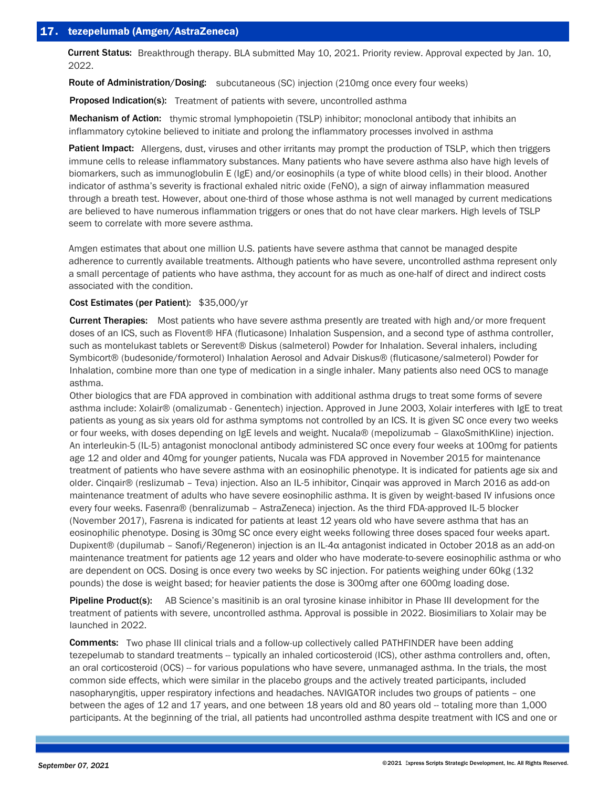Current Status: Breakthrough therapy. BLA submitted May 10, 2021. Priority review. Approval expected by Jan. 10, 2022.

Route of Administration/Dosing: subcutaneous (SC) injection (210mg once every four weeks)

Proposed Indication(s): Treatment of patients with severe, uncontrolled asthma

Mechanism of Action: thymic stromal lymphopoietin (TSLP) inhibitor; monoclonal antibody that inhibits an inflammatory cytokine believed to initiate and prolong the inflammatory processes involved in asthma

Patient Impact: Allergens, dust, viruses and other irritants may prompt the production of TSLP, which then triggers immune cells to release inflammatory substances. Many patients who have severe asthma also have high levels of biomarkers, such as immunoglobulin E (IgE) and/or eosinophils (a type of white blood cells) in their blood. Another indicator of asthma's severity is fractional exhaled nitric oxide (FeNO), a sign of airway inflammation measured through a breath test. However, about one-third of those whose asthma is not well managed by current medications are believed to have numerous inflammation triggers or ones that do not have clear markers. High levels of TSLP seem to correlate with more severe asthma.

Amgen estimates that about one million U.S. patients have severe asthma that cannot be managed despite adherence to currently available treatments. Although patients who have severe, uncontrolled asthma represent only a small percentage of patients who have asthma, they account for as much as one-half of direct and indirect costs associated with the condition.

# Cost Estimates (per Patient): \$35,000/yr

Current Therapies: Most patients who have severe asthma presently are treated with high and/or more frequent doses of an ICS, such as Flovent® HFA (fluticasone) Inhalation Suspension, and a second type of asthma controller, such as montelukast tablets or Serevent® Diskus (salmeterol) Powder for Inhalation. Several inhalers, including Symbicort® (budesonide/formoterol) Inhalation Aerosol and Advair Diskus® (fluticasone/salmeterol) Powder for Inhalation, combine more than one type of medication in a single inhaler. Many patients also need OCS to manage asthma.

Other biologics that are FDA approved in combination with additional asthma drugs to treat some forms of severe asthma include: Xolair® (omalizumab - Genentech) injection. Approved in June 2003, Xolair interferes with IgE to treat patients as young as six years old for asthma symptoms not controlled by an ICS. It is given SC once every two weeks or four weeks, with doses depending on IgE levels and weight. Nucala® (mepolizumab – GlaxoSmithKline) injection. An interleukin-5 (IL-5) antagonist monoclonal antibody administered SC once every four weeks at 100mg for patients age 12 and older and 40mg for younger patients, Nucala was FDA approved in November 2015 for maintenance treatment of patients who have severe asthma with an eosinophilic phenotype. It is indicated for patients age six and older. Cinqair® (reslizumab – Teva) injection. Also an IL-5 inhibitor, Cinqair was approved in March 2016 as add-on maintenance treatment of adults who have severe eosinophilic asthma. It is given by weight-based IV infusions once every four weeks. Fasenra® (benralizumab – AstraZeneca) injection. As the third FDA-approved IL-5 blocker (November 2017), Fasrena is indicated for patients at least 12 years old who have severe asthma that has an eosinophilic phenotype. Dosing is 30mg SC once every eight weeks following three doses spaced four weeks apart. Dupixent® (dupilumab – Sanofi/Regeneron) injection is an IL-4α antagonist indicated in October 2018 as an add-on maintenance treatment for patients age 12 years and older who have moderate-to-severe eosinophilic asthma or who are dependent on OCS. Dosing is once every two weeks by SC injection. For patients weighing under 60kg (132 pounds) the dose is weight based; for heavier patients the dose is 300mg after one 600mg loading dose.

Pipeline Product(s): AB Science's masitinib is an oral tyrosine kinase inhibitor in Phase III development for the treatment of patients with severe, uncontrolled asthma. Approval is possible in 2022. Biosimiliars to Xolair may be launched in 2022.

Comments: Two phase III clinical trials and a follow-up collectively called PATHFINDER have been adding tezepelumab to standard treatments -- typically an inhaled corticosteroid (ICS), other asthma controllers and, often, an oral corticosteroid (OCS) -- for various populations who have severe, unmanaged asthma. In the trials, the most common side effects, which were similar in the placebo groups and the actively treated participants, included nasopharyngitis, upper respiratory infections and headaches. NAVIGATOR includes two groups of patients – one between the ages of 12 and 17 years, and one between 18 years old and 80 years old -- totaling more than 1,000 participants. At the beginning of the trial, all patients had uncontrolled asthma despite treatment with ICS and one or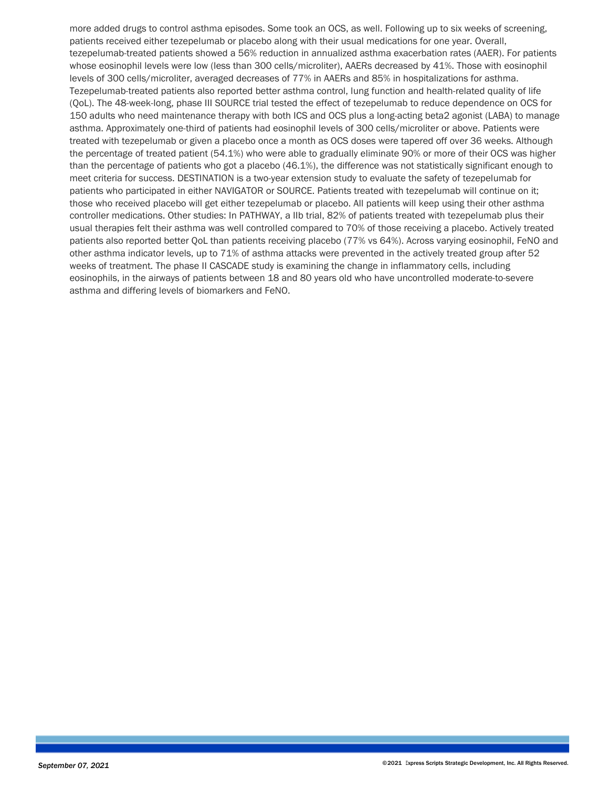more added drugs to control asthma episodes. Some took an OCS, as well. Following up to six weeks of screening, patients received either tezepelumab or placebo along with their usual medications for one year. Overall, tezepelumab-treated patients showed a 56% reduction in annualized asthma exacerbation rates (AAER). For patients whose eosinophil levels were low (less than 300 cells/microliter), AAERs decreased by 41%. Those with eosinophil levels of 300 cells/microliter, averaged decreases of 77% in AAERs and 85% in hospitalizations for asthma. Tezepelumab-treated patients also reported better asthma control, lung function and health-related quality of life (QoL). The 48-week-long, phase III SOURCE trial tested the effect of tezepelumab to reduce dependence on OCS for 150 adults who need maintenance therapy with both ICS and OCS plus a long-acting beta2 agonist (LABA) to manage asthma. Approximately one-third of patients had eosinophil levels of 300 cells/microliter or above. Patients were treated with tezepelumab or given a placebo once a month as OCS doses were tapered off over 36 weeks. Although the percentage of treated patient (54.1%) who were able to gradually eliminate 90% or more of their OCS was higher than the percentage of patients who got a placebo (46.1%), the difference was not statistically significant enough to meet criteria for success. DESTINATION is a two-year extension study to evaluate the safety of tezepelumab for patients who participated in either NAVIGATOR or SOURCE. Patients treated with tezepelumab will continue on it; those who received placebo will get either tezepelumab or placebo. All patients will keep using their other asthma controller medications. Other studies: In PATHWAY, a IIb trial, 82% of patients treated with tezepelumab plus their usual therapies felt their asthma was well controlled compared to 70% of those receiving a placebo. Actively treated patients also reported better QoL than patients receiving placebo (77% vs 64%). Across varying eosinophil, FeNO and other asthma indicator levels, up to 71% of asthma attacks were prevented in the actively treated group after 52 weeks of treatment. The phase II CASCADE study is examining the change in inflammatory cells, including eosinophils, in the airways of patients between 18 and 80 years old who have uncontrolled moderate-to-severe asthma and differing levels of biomarkers and FeNO.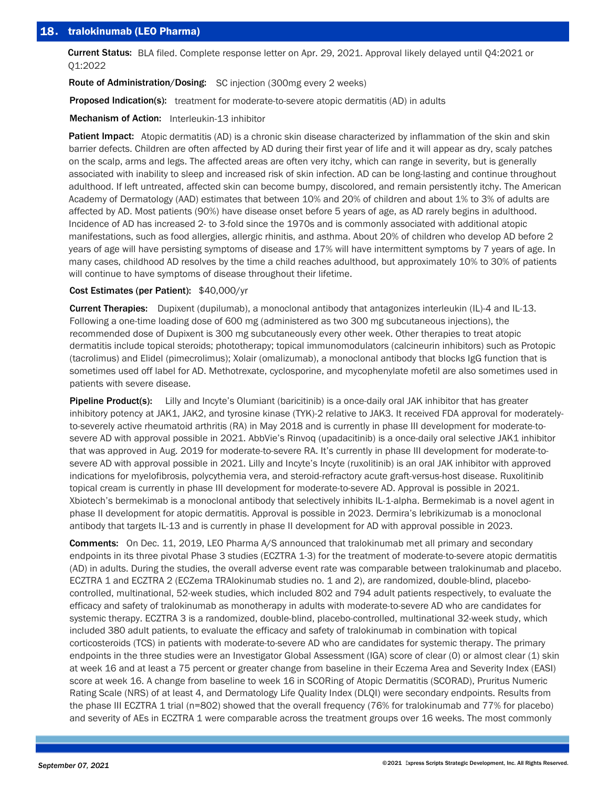Current Status: BLA filed. Complete response letter on Apr. 29, 2021. Approval likely delayed until Q4:2021 or Q1:2022

Route of Administration/Dosing: SC injection (300mg every 2 weeks)

Proposed Indication(s): treatment for moderate-to-severe atopic dermatitis (AD) in adults

Mechanism of Action: Interleukin-13 inhibitor

Patient Impact: Atopic dermatitis (AD) is a chronic skin disease characterized by inflammation of the skin and skin barrier defects. Children are often affected by AD during their first year of life and it will appear as dry, scaly patches on the scalp, arms and legs. The affected areas are often very itchy, which can range in severity, but is generally associated with inability to sleep and increased risk of skin infection. AD can be long-lasting and continue throughout adulthood. If left untreated, affected skin can become bumpy, discolored, and remain persistently itchy. The American Academy of Dermatology (AAD) estimates that between 10% and 20% of children and about 1% to 3% of adults are affected by AD. Most patients (90%) have disease onset before 5 years of age, as AD rarely begins in adulthood. Incidence of AD has increased 2- to 3-fold since the 1970s and is commonly associated with additional atopic manifestations, such as food allergies, allergic rhinitis, and asthma. About 20% of children who develop AD before 2 years of age will have persisting symptoms of disease and 17% will have intermittent symptoms by 7 years of age. In many cases, childhood AD resolves by the time a child reaches adulthood, but approximately 10% to 30% of patients will continue to have symptoms of disease throughout their lifetime.

#### Cost Estimates (per Patient): \$40,000/yr

Current Therapies: Dupixent (dupilumab), a monoclonal antibody that antagonizes interleukin (IL)-4 and IL-13. Following a one-time loading dose of 600 mg (administered as two 300 mg subcutaneous injections), the recommended dose of Dupixent is 300 mg subcutaneously every other week. Other therapies to treat atopic dermatitis include topical steroids; phototherapy; topical immunomodulators (calcineurin inhibitors) such as Protopic (tacrolimus) and Elidel (pimecrolimus); Xolair (omalizumab), a monoclonal antibody that blocks IgG function that is sometimes used off label for AD. Methotrexate, cyclosporine, and mycophenylate mofetil are also sometimes used in patients with severe disease.

Pipeline Product(s): Lilly and Incyte's Olumiant (baricitinib) is a once-daily oral JAK inhibitor that has greater inhibitory potency at JAK1, JAK2, and tyrosine kinase (TYK)-2 relative to JAK3. It received FDA approval for moderatelyto-severely active rheumatoid arthritis (RA) in May 2018 and is currently in phase III development for moderate-tosevere AD with approval possible in 2021. AbbVie's Rinvoq (upadacitinib) is a once-daily oral selective JAK1 inhibitor that was approved in Aug. 2019 for moderate-to-severe RA. It's currently in phase III development for moderate-tosevere AD with approval possible in 2021. Lilly and Incyte's Incyte (ruxolitinib) is an oral JAK inhibitor with approved indications for myelofibrosis, polycythemia vera, and steroid-refractory acute graft-versus-host disease. Ruxolitinib topical cream is currently in phase III development for moderate-to-severe AD. Approval is possible in 2021. Xbiotech's bermekimab is a monoclonal antibody that selectively inhibits IL-1-alpha. Bermekimab is a novel agent in phase II development for atopic dermatitis. Approval is possible in 2023. Dermira's lebrikizumab is a monoclonal antibody that targets IL-13 and is currently in phase II development for AD with approval possible in 2023.

Comments: On Dec. 11, 2019, LEO Pharma A/S announced that tralokinumab met all primary and secondary endpoints in its three pivotal Phase 3 studies (ECZTRA 1-3) for the treatment of moderate-to-severe atopic dermatitis (AD) in adults. During the studies, the overall adverse event rate was comparable between tralokinumab and placebo. ECZTRA 1 and ECZTRA 2 (ECZema TRAlokinumab studies no. 1 and 2), are randomized, double-blind, placebocontrolled, multinational, 52-week studies, which included 802 and 794 adult patients respectively, to evaluate the efficacy and safety of tralokinumab as monotherapy in adults with moderate-to-severe AD who are candidates for systemic therapy. ECZTRA 3 is a randomized, double-blind, placebo-controlled, multinational 32-week study, which included 380 adult patients, to evaluate the efficacy and safety of tralokinumab in combination with topical corticosteroids (TCS) in patients with moderate-to-severe AD who are candidates for systemic therapy. The primary endpoints in the three studies were an Investigator Global Assessment (IGA) score of clear (0) or almost clear (1) skin at week 16 and at least a 75 percent or greater change from baseline in their Eczema Area and Severity Index (EASI) score at week 16. A change from baseline to week 16 in SCORing of Atopic Dermatitis (SCORAD), Pruritus Numeric Rating Scale (NRS) of at least 4, and Dermatology Life Quality Index (DLQI) were secondary endpoints. Results from the phase III ECZTRA 1 trial (n=802) showed that the overall frequency (76% for tralokinumab and 77% for placebo) and severity of AEs in ECZTRA 1 were comparable across the treatment groups over 16 weeks. The most commonly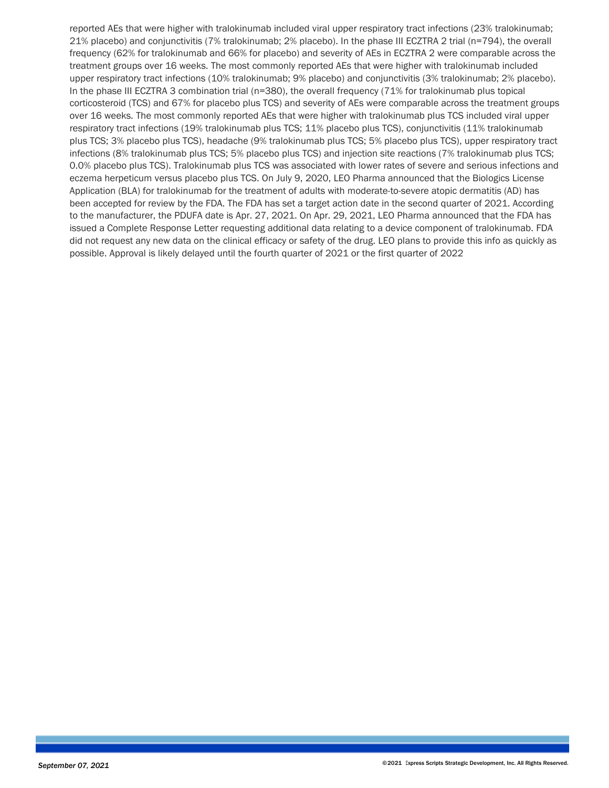reported AEs that were higher with tralokinumab included viral upper respiratory tract infections (23% tralokinumab; 21% placebo) and conjunctivitis (7% tralokinumab; 2% placebo). In the phase III ECZTRA 2 trial (n=794), the overall frequency (62% for tralokinumab and 66% for placebo) and severity of AEs in ECZTRA 2 were comparable across the treatment groups over 16 weeks. The most commonly reported AEs that were higher with tralokinumab included upper respiratory tract infections (10% tralokinumab; 9% placebo) and conjunctivitis (3% tralokinumab; 2% placebo). In the phase III ECZTRA 3 combination trial (n=380), the overall frequency (71% for tralokinumab plus topical corticosteroid (TCS) and 67% for placebo plus TCS) and severity of AEs were comparable across the treatment groups over 16 weeks. The most commonly reported AEs that were higher with tralokinumab plus TCS included viral upper respiratory tract infections (19% tralokinumab plus TCS; 11% placebo plus TCS), conjunctivitis (11% tralokinumab plus TCS; 3% placebo plus TCS), headache (9% tralokinumab plus TCS; 5% placebo plus TCS), upper respiratory tract infections (8% tralokinumab plus TCS; 5% placebo plus TCS) and injection site reactions (7% tralokinumab plus TCS; 0.0% placebo plus TCS). Tralokinumab plus TCS was associated with lower rates of severe and serious infections and eczema herpeticum versus placebo plus TCS. On July 9, 2020, LEO Pharma announced that the Biologics License Application (BLA) for tralokinumab for the treatment of adults with moderate-to-severe atopic dermatitis (AD) has been accepted for review by the FDA. The FDA has set a target action date in the second quarter of 2021. According to the manufacturer, the PDUFA date is Apr. 27, 2021. On Apr. 29, 2021, LEO Pharma announced that the FDA has issued a Complete Response Letter requesting additional data relating to a device component of tralokinumab. FDA did not request any new data on the clinical efficacy or safety of the drug. LEO plans to provide this info as quickly as possible. Approval is likely delayed until the fourth quarter of 2021 or the first quarter of 2022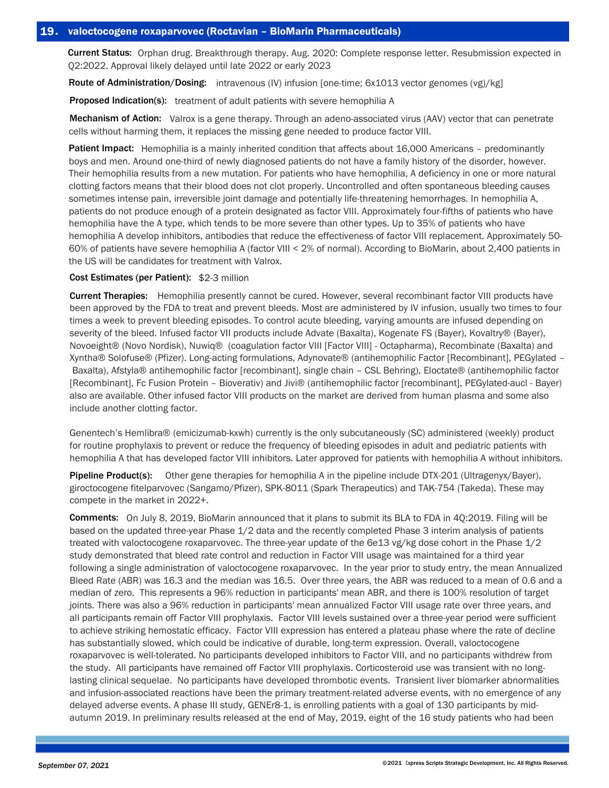Current Status: Orphan drug. Breakthrough therapy. Aug. 2020: Complete response letter. Resubmission expected in Q2:2022. Approval likely delayed until late 2022 or early 2023

Route of Administration/Dosing: intravenous (IV) infusion [one-time; 6x1013 vector genomes (vg)/kg]

Proposed Indication(s): treatment of adult patients with severe hemophilia A

Mechanism of Action: Valrox is a gene therapy. Through an adeno-associated virus (AAV) vector that can penetrate cells without harming them, it replaces the missing gene needed to produce factor VIII.

Patient Impact: Hemophilia is a mainly inherited condition that affects about 16,000 Americans - predominantly boys and men. Around one-third of newly diagnosed patients do not have a family history of the disorder, however. Their hemophilia results from a new mutation. For patients who have hemophilia, A deficiency in one or more natural clotting factors means that their blood does not clot properly. Uncontrolled and often spontaneous bleeding causes sometimes intense pain, irreversible joint damage and potentially life-threatening hemorrhages. In hemophilia A, patients do not produce enough of a protein designated as factor VIII. Approximately four-fifths of patients who have hemophilia have the A type, which tends to be more severe than other types. Up to 35% of patients who have hemophilia A develop inhibitors, antibodies that reduce the effectiveness of factor VIII replacement. Approximately 50- 60% of patients have severe hemophilia A (factor VIII < 2% of normal). According to BioMarin, about 2,400 patients in the US will be candidates for treatment with Valrox.

### Cost Estimates (per Patient): \$2-3 million

Current Therapies: Hemophilia presently cannot be cured. However, several recombinant factor VIII products have been approved by the FDA to treat and prevent bleeds. Most are administered by IV infusion, usually two times to four times a week to prevent bleeding episodes. To control acute bleeding, varying amounts are infused depending on severity of the bleed. Infused factor VII products include Advate (Baxalta), Kogenate FS (Bayer), Kovaltry® (Bayer), Novoeight® (Novo Nordisk), Nuwiq® (coagulation factor VIII [Factor VIII] - Octapharma), Recombinate (Baxalta) and Xyntha® Solofuse® (Pfizer). Long-acting formulations, Adynovate® (antihemophilic Factor [Recombinant], PEGylated – Baxalta), Afstyla® antihemophilic factor [recombinant], single chain – CSL Behring), Eloctate® (antihemophilic factor [Recombinant], Fc Fusion Protein – Bioverativ) and Jivi® (antihemophilic factor [recombinant], PEGylated-aucl - Bayer) also are available. Other infused factor VIII products on the market are derived from human plasma and some also include another clotting factor.

Genentech's Hemlibra® (emicizumab-kxwh) currently is the only subcutaneously (SC) administered (weekly) product for routine prophylaxis to prevent or reduce the frequency of bleeding episodes in adult and pediatric patients with hemophilia A that has developed factor VIII inhibitors. Later approved for patients with hemophilia A without inhibitors.

Pipeline Product(s): Other gene therapies for hemophilia A in the pipeline include DTX-201 (Ultragenyx/Bayer), giroctocogene fitelparvovec (Sangamo/Pfizer), SPK-8011 (Spark Therapeutics) and TAK-754 (Takeda). These may compete in the market in 2022+.

Comments: On July 8, 2019, BioMarin announced that it plans to submit its BLA to FDA in 4Q:2019. Filing will be based on the updated three-year Phase 1/2 data and the recently completed Phase 3 interim analysis of patients treated with valoctocogene roxaparvovec. The three-year update of the 6e13 vg/kg dose cohort in the Phase 1/2 study demonstrated that bleed rate control and reduction in Factor VIII usage was maintained for a third year following a single administration of valoctocogene roxaparvovec. In the year prior to study entry, the mean Annualized Bleed Rate (ABR) was 16.3 and the median was 16.5. Over three years, the ABR was reduced to a mean of 0.6 and a median of zero. This represents a 96% reduction in participants' mean ABR, and there is 100% resolution of target joints. There was also a 96% reduction in participants' mean annualized Factor VIII usage rate over three years, and all participants remain off Factor VIII prophylaxis. Factor VIII levels sustained over a three-year period were sufficient to achieve striking hemostatic efficacy. Factor VIII expression has entered a plateau phase where the rate of decline has substantially slowed, which could be indicative of durable, long-term expression. Overall, valoctocogene roxaparvovec is well-tolerated. No participants developed inhibitors to Factor VIII, and no participants withdrew from the study. All participants have remained off Factor VIII prophylaxis. Corticosteroid use was transient with no longlasting clinical sequelae. No participants have developed thrombotic events. Transient liver biomarker abnormalities and infusion-associated reactions have been the primary treatment-related adverse events, with no emergence of any delayed adverse events. A phase III study, GENEr8-1, is enrolling patients with a goal of 130 participants by midautumn 2019. In preliminary results released at the end of May, 2019, eight of the 16 study patients who had been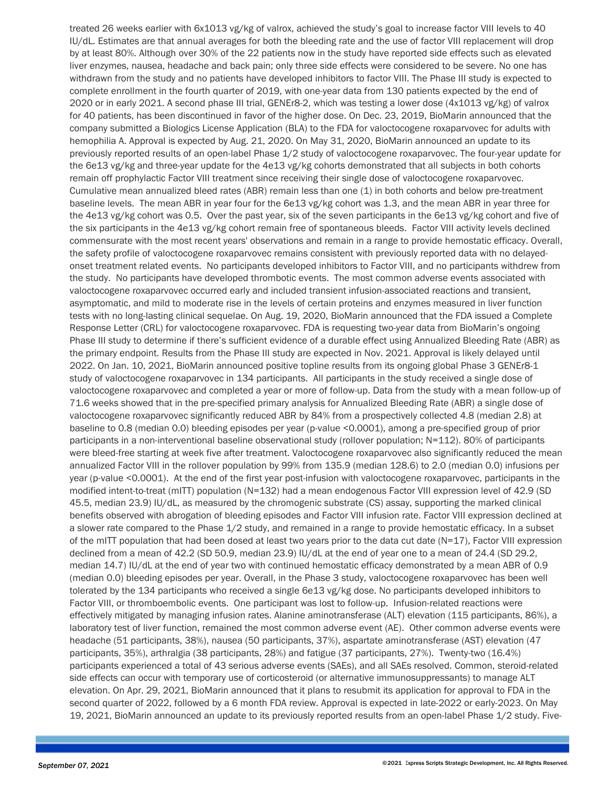treated 26 weeks earlier with 6x1013 vg/kg of valrox, achieved the study's goal to increase factor VIII levels to 40 IU/dL. Estimates are that annual averages for both the bleeding rate and the use of factor VIII replacement will drop by at least 80%. Although over 30% of the 22 patients now in the study have reported side effects such as elevated liver enzymes, nausea, headache and back pain; only three side effects were considered to be severe. No one has withdrawn from the study and no patients have developed inhibitors to factor VIII. The Phase III study is expected to complete enrollment in the fourth quarter of 2019, with one-year data from 130 patients expected by the end of 2020 or in early 2021. A second phase III trial, GENEr8-2, which was testing a lower dose (4x1013 vg/kg) of valrox for 40 patients, has been discontinued in favor of the higher dose. On Dec. 23, 2019, BioMarin announced that the company submitted a Biologics License Application (BLA) to the FDA for valoctocogene roxaparvovec for adults with hemophilia A. Approval is expected by Aug. 21, 2020. On May 31, 2020, BioMarin announced an update to its previously reported results of an open-label Phase 1/2 study of valoctocogene roxaparvovec. The four-year update for the 6e13 vg/kg and three-year update for the 4e13 vg/kg cohorts demonstrated that all subjects in both cohorts remain off prophylactic Factor VIII treatment since receiving their single dose of valoctocogene roxaparvovec. Cumulative mean annualized bleed rates (ABR) remain less than one (1) in both cohorts and below pre-treatment baseline levels. The mean ABR in year four for the 6e13 vg/kg cohort was 1.3, and the mean ABR in year three for the 4e13 vg/kg cohort was 0.5. Over the past year, six of the seven participants in the 6e13 vg/kg cohort and five of the six participants in the 4e13 vg/kg cohort remain free of spontaneous bleeds. Factor VIII activity levels declined commensurate with the most recent years' observations and remain in a range to provide hemostatic efficacy. Overall, the safety profile of valoctocogene roxaparvovec remains consistent with previously reported data with no delayedonset treatment related events. No participants developed inhibitors to Factor VIII, and no participants withdrew from the study. No participants have developed thrombotic events. The most common adverse events associated with valoctocogene roxaparvovec occurred early and included transient infusion-associated reactions and transient, asymptomatic, and mild to moderate rise in the levels of certain proteins and enzymes measured in liver function tests with no long-lasting clinical sequelae. On Aug. 19, 2020, BioMarin announced that the FDA issued a Complete Response Letter (CRL) for valoctocogene roxaparvovec. FDA is requesting two-year data from BioMarin's ongoing Phase III study to determine if there's sufficient evidence of a durable effect using Annualized Bleeding Rate (ABR) as the primary endpoint. Results from the Phase III study are expected in Nov. 2021. Approval is likely delayed until 2022. On Jan. 10, 2021, BioMarin announced positive topline results from its ongoing global Phase 3 GENEr8-1 study of valoctocogene roxaparvovec in 134 participants. All participants in the study received a single dose of valoctocogene roxaparvovec and completed a year or more of follow-up. Data from the study with a mean follow-up of 71.6 weeks showed that in the pre-specified primary analysis for Annualized Bleeding Rate (ABR) a single dose of valoctocogene roxaparvovec significantly reduced ABR by 84% from a prospectively collected 4.8 (median 2.8) at baseline to 0.8 (median 0.0) bleeding episodes per year (p-value <0.0001), among a pre-specified group of prior participants in a non-interventional baseline observational study (rollover population; N=112). 80% of participants were bleed-free starting at week five after treatment. Valoctocogene roxaparvovec also significantly reduced the mean annualized Factor VIII in the rollover population by 99% from 135.9 (median 128.6) to 2.0 (median 0.0) infusions per year (p-value <0.0001). At the end of the first year post-infusion with valoctocogene roxaparvovec, participants in the modified intent-to-treat (mITT) population (N=132) had a mean endogenous Factor VIII expression level of 42.9 (SD 45.5, median 23.9) IU/dL, as measured by the chromogenic substrate (CS) assay, supporting the marked clinical benefits observed with abrogation of bleeding episodes and Factor VIII infusion rate. Factor VIII expression declined at a slower rate compared to the Phase 1/2 study, and remained in a range to provide hemostatic efficacy. In a subset of the mITT population that had been dosed at least two years prior to the data cut date  $(N=17)$ , Factor VIII expression declined from a mean of 42.2 (SD 50.9, median 23.9) IU/dL at the end of year one to a mean of 24.4 (SD 29.2, median 14.7) IU/dL at the end of year two with continued hemostatic efficacy demonstrated by a mean ABR of 0.9 (median 0.0) bleeding episodes per year. Overall, in the Phase 3 study, valoctocogene roxaparvovec has been well tolerated by the 134 participants who received a single 6e13 vg/kg dose. No participants developed inhibitors to Factor VIII, or thromboembolic events. One participant was lost to follow-up. Infusion-related reactions were effectively mitigated by managing infusion rates. Alanine aminotransferase (ALT) elevation (115 participants, 86%), a laboratory test of liver function, remained the most common adverse event (AE). Other common adverse events were headache (51 participants, 38%), nausea (50 participants, 37%), aspartate aminotransferase (AST) elevation (47 participants, 35%), arthralgia (38 participants, 28%) and fatigue (37 participants, 27%). Twenty-two (16.4%) participants experienced a total of 43 serious adverse events (SAEs), and all SAEs resolved. Common, steroid-related side effects can occur with temporary use of corticosteroid (or alternative immunosuppressants) to manage ALT elevation. On Apr. 29, 2021, BioMarin announced that it plans to resubmit its application for approval to FDA in the second quarter of 2022, followed by a 6 month FDA review. Approval is expected in late-2022 or early-2023. On May 19, 2021, BioMarin announced an update to its previously reported results from an open-label Phase 1/2 study. Five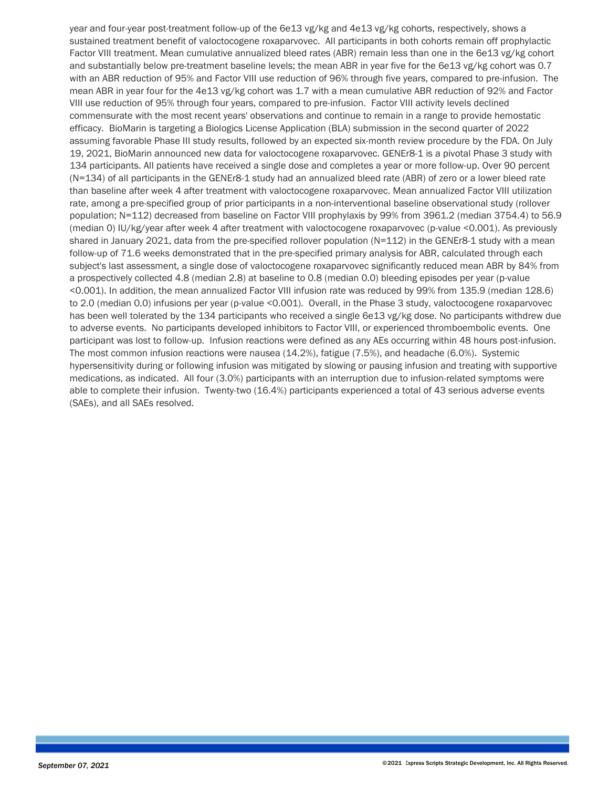year and four-year post-treatment follow-up of the 6e13 vg/kg and 4e13 vg/kg cohorts, respectively, shows a sustained treatment benefit of valoctocogene roxaparvovec. All participants in both cohorts remain off prophylactic Factor VIII treatment. Mean cumulative annualized bleed rates (ABR) remain less than one in the 6e13 vg/kg cohort and substantially below pre-treatment baseline levels; the mean ABR in year five for the 6e13 vg/kg cohort was 0.7 with an ABR reduction of 95% and Factor VIII use reduction of 96% through five years, compared to pre-infusion. The mean ABR in year four for the 4e13 vg/kg cohort was 1.7 with a mean cumulative ABR reduction of 92% and Factor VIII use reduction of 95% through four years, compared to pre-infusion. Factor VIII activity levels declined commensurate with the most recent years' observations and continue to remain in a range to provide hemostatic efficacy. BioMarin is targeting a Biologics License Application (BLA) submission in the second quarter of 2022 assuming favorable Phase III study results, followed by an expected six-month review procedure by the FDA. On July 19, 2021, BioMarin announced new data for valoctocogene roxaparvovec. GENEr8-1 is a pivotal Phase 3 study with 134 participants. All patients have received a single dose and completes a year or more follow-up. Over 90 percent (N=134) of all participants in the GENEr8-1 study had an annualized bleed rate (ABR) of zero or a lower bleed rate than baseline after week 4 after treatment with valoctocogene roxaparvovec. Mean annualized Factor VIII utilization rate, among a pre-specified group of prior participants in a non-interventional baseline observational study (rollover population; N=112) decreased from baseline on Factor VIII prophylaxis by 99% from 3961.2 (median 3754.4) to 56.9 (median 0) IU/kg/year after week 4 after treatment with valoctocogene roxaparvovec (p-value <0.001). As previously shared in January 2021, data from the pre-specified rollover population (N=112) in the GENEr8-1 study with a mean follow-up of 71.6 weeks demonstrated that in the pre-specified primary analysis for ABR, calculated through each subject's last assessment, a single dose of valoctocogene roxaparvovec significantly reduced mean ABR by 84% from a prospectively collected 4.8 (median 2.8) at baseline to 0.8 (median 0.0) bleeding episodes per year (p-value <0.001). In addition, the mean annualized Factor VIII infusion rate was reduced by 99% from 135.9 (median 128.6) to 2.0 (median 0.0) infusions per year (p-value <0.001). Overall, in the Phase 3 study, valoctocogene roxaparvovec has been well tolerated by the 134 participants who received a single 6e13 vg/kg dose. No participants withdrew due to adverse events. No participants developed inhibitors to Factor VIII, or experienced thromboembolic events. One participant was lost to follow-up. Infusion reactions were defined as any AEs occurring within 48 hours post-infusion. The most common infusion reactions were nausea (14.2%), fatigue (7.5%), and headache (6.0%). Systemic hypersensitivity during or following infusion was mitigated by slowing or pausing infusion and treating with supportive medications, as indicated. All four (3.0%) participants with an interruption due to infusion-related symptoms were able to complete their infusion. Twenty-two (16.4%) participants experienced a total of 43 serious adverse events (SAEs), and all SAEs resolved.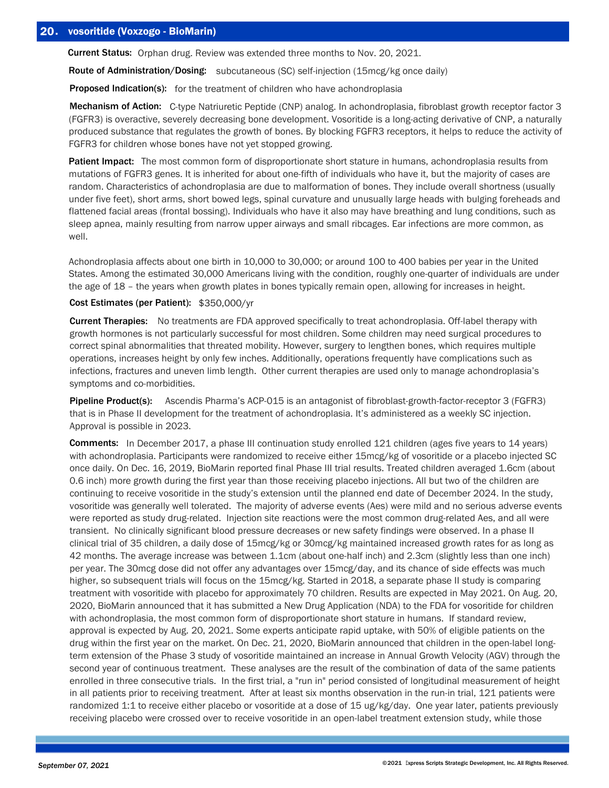Current Status: Orphan drug. Review was extended three months to Nov. 20, 2021.

Route of Administration/Dosing: subcutaneous (SC) self-injection (15mcg/kg once daily)

**Proposed Indication(s):** for the treatment of children who have achondroplasia

Mechanism of Action: C-type Natriuretic Peptide (CNP) analog. In achondroplasia, fibroblast growth receptor factor 3 (FGFR3) is overactive, severely decreasing bone development. Vosoritide is a long-acting derivative of CNP, a naturally produced substance that regulates the growth of bones. By blocking FGFR3 receptors, it helps to reduce the activity of FGFR3 for children whose bones have not yet stopped growing.

Patient Impact: The most common form of disproportionate short stature in humans, achondroplasia results from mutations of FGFR3 genes. It is inherited for about one-fifth of individuals who have it, but the majority of cases are random. Characteristics of achondroplasia are due to malformation of bones. They include overall shortness (usually under five feet), short arms, short bowed legs, spinal curvature and unusually large heads with bulging foreheads and flattened facial areas (frontal bossing). Individuals who have it also may have breathing and lung conditions, such as sleep apnea, mainly resulting from narrow upper airways and small ribcages. Ear infections are more common, as well.

Achondroplasia affects about one birth in 10,000 to 30,000; or around 100 to 400 babies per year in the United States. Among the estimated 30,000 Americans living with the condition, roughly one-quarter of individuals are under the age of 18 – the years when growth plates in bones typically remain open, allowing for increases in height.

# Cost Estimates (per Patient): \$350,000/yr

Current Therapies: No treatments are FDA approved specifically to treat achondroplasia. Off-label therapy with growth hormones is not particularly successful for most children. Some children may need surgical procedures to correct spinal abnormalities that threated mobility. However, surgery to lengthen bones, which requires multiple operations, increases height by only few inches. Additionally, operations frequently have complications such as infections, fractures and uneven limb length. Other current therapies are used only to manage achondroplasia's symptoms and co-morbidities.

Pipeline Product(s): Ascendis Pharma's ACP-015 is an antagonist of fibroblast-growth-factor-receptor 3 (FGFR3) that is in Phase II development for the treatment of achondroplasia. It's administered as a weekly SC injection. Approval is possible in 2023.

Comments: In December 2017, a phase III continuation study enrolled 121 children (ages five years to 14 years) with achondroplasia. Participants were randomized to receive either 15mcg/kg of vosoritide or a placebo injected SC once daily. On Dec. 16, 2019, BioMarin reported final Phase III trial results. Treated children averaged 1.6cm (about 0.6 inch) more growth during the first year than those receiving placebo injections. All but two of the children are continuing to receive vosoritide in the study's extension until the planned end date of December 2024. In the study, vosoritide was generally well tolerated. The majority of adverse events (Aes) were mild and no serious adverse events were reported as study drug-related. Injection site reactions were the most common drug-related Aes, and all were transient. No clinically significant blood pressure decreases or new safety findings were observed. In a phase II clinical trial of 35 children, a daily dose of 15mcg/kg or 30mcg/kg maintained increased growth rates for as long as 42 months. The average increase was between 1.1cm (about one-half inch) and 2.3cm (slightly less than one inch) per year. The 30mcg dose did not offer any advantages over 15mcg/day, and its chance of side effects was much higher, so subsequent trials will focus on the 15mcg/kg. Started in 2018, a separate phase II study is comparing treatment with vosoritide with placebo for approximately 70 children. Results are expected in May 2021. On Aug. 20, 2020, BioMarin announced that it has submitted a New Drug Application (NDA) to the FDA for vosoritide for children with achondroplasia, the most common form of disproportionate short stature in humans. If standard review, approval is expected by Aug. 20, 2021. Some experts anticipate rapid uptake, with 50% of eligible patients on the drug within the first year on the market. On Dec. 21, 2020, BioMarin announced that children in the open-label longterm extension of the Phase 3 study of vosoritide maintained an increase in Annual Growth Velocity (AGV) through the second year of continuous treatment. These analyses are the result of the combination of data of the same patients enrolled in three consecutive trials. In the first trial, a "run in" period consisted of longitudinal measurement of height in all patients prior to receiving treatment. After at least six months observation in the run-in trial, 121 patients were randomized 1:1 to receive either placebo or vosoritide at a dose of 15 ug/kg/day. One year later, patients previously receiving placebo were crossed over to receive vosoritide in an open-label treatment extension study, while those